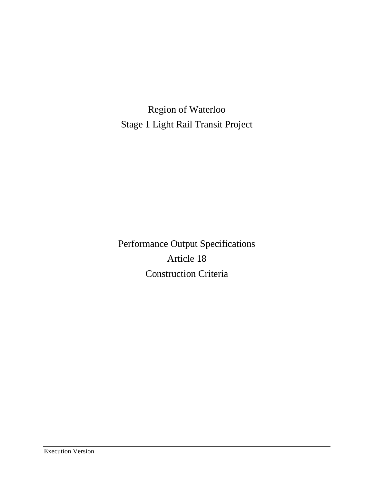Region of Waterloo Stage 1 Light Rail Transit Project

Performance Output Specifications Article 18 Construction Criteria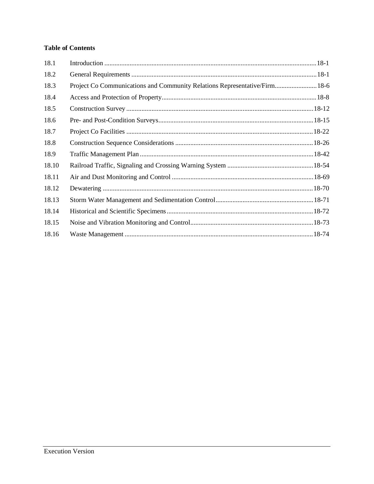# **Table of Contents**

| 18.1  |                                                                            |
|-------|----------------------------------------------------------------------------|
| 18.2  |                                                                            |
| 18.3  | Project Co Communications and Community Relations Representative/Firm 18-6 |
| 18.4  |                                                                            |
| 18.5  |                                                                            |
| 18.6  |                                                                            |
| 18.7  |                                                                            |
| 18.8  |                                                                            |
| 18.9  |                                                                            |
| 18.10 |                                                                            |
| 18.11 |                                                                            |
| 18.12 |                                                                            |
| 18.13 |                                                                            |
| 18.14 |                                                                            |
| 18.15 |                                                                            |
| 18.16 |                                                                            |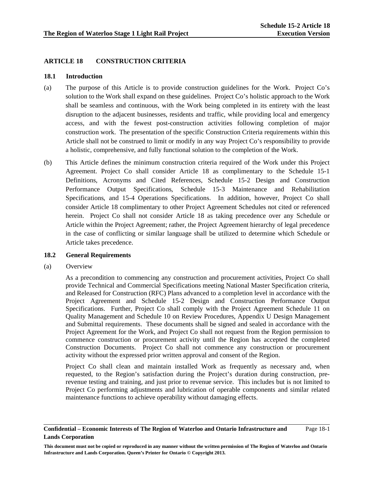# **ARTICLE 18 CONSTRUCTION CRITERIA**

# **18.1 Introduction**

- (a) The purpose of this Article is to provide construction guidelines for the Work. Project Co's solution to the Work shall expand on these guidelines. Project Co's holistic approach to the Work shall be seamless and continuous, with the Work being completed in its entirety with the least disruption to the adjacent businesses, residents and traffic, while providing local and emergency access, and with the fewest post-construction activities following completion of major construction work. The presentation of the specific Construction Criteria requirements within this Article shall not be construed to limit or modify in any way Project Co's responsibility to provide a holistic, comprehensive, and fully functional solution to the completion of the Work.
- (b) This Article defines the minimum construction criteria required of the Work under this Project Agreement. Project Co shall consider Article 18 as complimentary to the Schedule 15-1 Definitions, Acronyms and Cited References, Schedule 15-2 Design and Construction Performance Output Specifications, Schedule 15-3 Maintenance and Rehabilitation Specifications, and 15-4 Operations Specifications. In addition, however, Project Co shall consider Article 18 complimentary to other Project Agreement Schedules not cited or referenced herein. Project Co shall not consider Article 18 as taking precedence over any Schedule or Article within the Project Agreement; rather, the Project Agreement hierarchy of legal precedence in the case of conflicting or similar language shall be utilized to determine which Schedule or Article takes precedence.

# **18.2 General Requirements**

(a) Overview

 As a precondition to commencing any construction and procurement activities, Project Co shall provide Technical and Commercial Specifications meeting National Master Specification criteria, and Released for Construction (RFC) Plans advanced to a completion level in accordance with the Project Agreement and Schedule 15-2 Design and Construction Performance Output Specifications. Further, Project Co shall comply with the Project Agreement Schedule 11 on Quality Management and Schedule 10 on Review Procedures, Appendix U Design Management and Submittal requirements. These documents shall be signed and sealed in accordance with the Project Agreement for the Work, and Project Co shall not request from the Region permission to commence construction or procurement activity until the Region has accepted the completed Construction Documents. Project Co shall not commence any construction or procurement activity without the expressed prior written approval and consent of the Region.

 Project Co shall clean and maintain installed Work as frequently as necessary and, when requested, to the Region's satisfaction during the Project's duration during construction, prerevenue testing and training, and just prior to revenue service. This includes but is not limited to Project Co performing adjustments and lubrication of operable components and similar related maintenance functions to achieve operability without damaging effects.

## **Confidential – Economic Interests of The Region of Waterloo and Ontario Infrastructure and Lands Corporation**  Page 18-1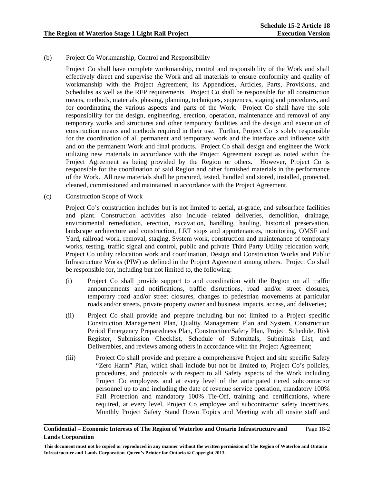# (b) Project Co Workmanship, Control and Responsibility

Project Co shall have complete workmanship, control and responsibility of the Work and shall effectively direct and supervise the Work and all materials to ensure conformity and quality of workmanship with the Project Agreement, its Appendices, Articles, Parts, Provisions, and Schedules as well as the RFP requirements. Project Co shall be responsible for all construction means, methods, materials, phasing, planning, techniques, sequences, staging and procedures, and for coordinating the various aspects and parts of the Work. Project Co shall have the sole responsibility for the design, engineering, erection, operation, maintenance and removal of any temporary works and structures and other temporary facilities and the design and execution of construction means and methods required in their use. Further, Project Co is solely responsible for the coordination of all permanent and temporary work and the interface and influence with and on the permanent Work and final products. Project Co shall design and engineer the Work utilizing new materials in accordance with the Project Agreement except as noted within the Project Agreement as being provided by the Region or others. However, Project Co is responsible for the coordination of said Region and other furnished materials in the performance of the Work. All new materials shall be procured, tested, handled and stored, installed, protected, cleaned, commissioned and maintained in accordance with the Project Agreement.

(c) Construction Scope of Work

Project Co's construction includes but is not limited to aerial, at-grade, and subsurface facilities and plant. Construction activities also include related deliveries, demolition, drainage, environmental remediation, erection, excavation, handling, hauling, historical preservation, landscape architecture and construction, LRT stops and appurtenances, monitoring, OMSF and Yard, railroad work, removal, staging, System work, construction and maintenance of temporary works, testing, traffic signal and control, public and private Third Party Utility relocation work, Project Co utility relocation work and coordination, Design and Construction Works and Public Infrastructure Works (PIW) as defined in the Project Agreement among others. Project Co shall be responsible for, including but not limited to, the following:

- (i) Project Co shall provide support to and coordination with the Region on all traffic announcements and notifications, traffic disruptions, road and/or street closures, temporary road and/or street closures, changes to pedestrian movements at particular roads and/or streets, private property owner and business impacts, access, and deliveries;
- (ii) Project Co shall provide and prepare including but not limited to a Project specific Construction Management Plan, Quality Management Plan and System, Construction Period Emergency Preparedness Plan, Construction/Safety Plan, Project Schedule, Risk Register, Submission Checklist, Schedule of Submittals, Submittals List, and Deliverables, and reviews among others in accordance with the Project Agreement;
- (iii) Project Co shall provide and prepare a comprehensive Project and site specific Safety "Zero Harm" Plan, which shall include but not be limited to, Project Co's policies, procedures, and protocols with respect to all Safety aspects of the Work including Project Co employees and at every level of the anticipated tiered subcontractor personnel up to and including the date of revenue service operation, mandatory 100% Fall Protection and mandatory 100% Tie-Off, training and certifications, where required, at every level, Project Co employee and subcontractor safety incentives, Monthly Project Safety Stand Down Topics and Meeting with all onsite staff and

### **Confidential – Economic Interests of The Region of Waterloo and Ontario Infrastructure and Lands Corporation**  Page 18-2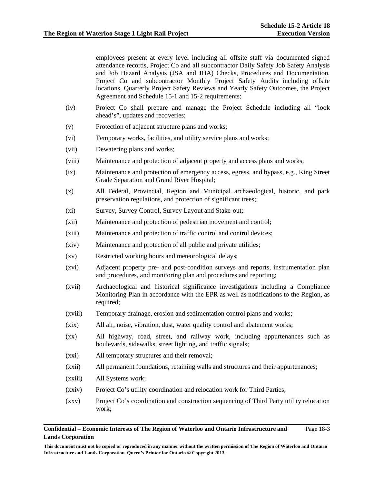employees present at every level including all offsite staff via documented signed attendance records, Project Co and all subcontractor Daily Safety Job Safety Analysis and Job Hazard Analysis (JSA and JHA) Checks, Procedures and Documentation, Project Co and subcontractor Monthly Project Safety Audits including offsite locations, Quarterly Project Safety Reviews and Yearly Safety Outcomes, the Project Agreement and Schedule 15-1 and 15-2 requirements;

- (iv) Project Co shall prepare and manage the Project Schedule including all "look ahead's", updates and recoveries;
- (v) Protection of adjacent structure plans and works;
- (vi) Temporary works, facilities, and utility service plans and works;
- (vii) Dewatering plans and works;
- (viii) Maintenance and protection of adjacent property and access plans and works;
- (ix) Maintenance and protection of emergency access, egress, and bypass, e.g., King Street Grade Separation and Grand River Hospital;
- (x) All Federal, Provincial, Region and Municipal archaeological, historic, and park preservation regulations, and protection of significant trees;
- (xi) Survey, Survey Control, Survey Layout and Stake-out;
- (xii) Maintenance and protection of pedestrian movement and control;
- (xiii) Maintenance and protection of traffic control and control devices;
- (xiv) Maintenance and protection of all public and private utilities;
- (xv) Restricted working hours and meteorological delays;
- (xvi) Adjacent property pre- and post-condition surveys and reports, instrumentation plan and procedures, and monitoring plan and procedures and reporting;
- (xvii) Archaeological and historical significance investigations including a Compliance Monitoring Plan in accordance with the EPR as well as notifications to the Region, as required;
- (xviii) Temporary drainage, erosion and sedimentation control plans and works;
- (xix) All air, noise, vibration, dust, water quality control and abatement works;
- (xx) All highway, road, street, and railway work, including appurtenances such as boulevards, sidewalks, street lighting, and traffic signals;
- (xxi) All temporary structures and their removal;
- (xxii) All permanent foundations, retaining walls and structures and their appurtenances;
- (xxiii) All Systems work;
- (xxiv) Project Co's utility coordination and relocation work for Third Parties;
- (xxv) Project Co's coordination and construction sequencing of Third Party utility relocation work;

### **Confidential – Economic Interests of The Region of Waterloo and Ontario Infrastructure and Lands Corporation**  Page 18-3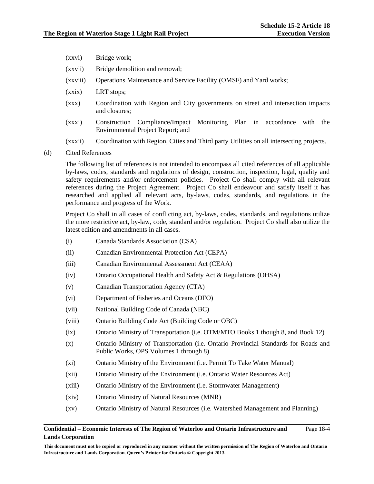- (xxvi) Bridge work;
- (xxvii) Bridge demolition and removal;
- (xxviii) Operations Maintenance and Service Facility (OMSF) and Yard works;
- (xxix) LRT stops;
- (xxx) Coordination with Region and City governments on street and intersection impacts and closures;
- (xxxi) Construction Compliance/Impact Monitoring Plan in accordance with the Environmental Project Report; and
- (xxxii) Coordination with Region, Cities and Third party Utilities on all intersecting projects.
- (d) Cited References

 The following list of references is not intended to encompass all cited references of all applicable by-laws, codes, standards and regulations of design, construction, inspection, legal, quality and safety requirements and/or enforcement policies. Project Co shall comply with all relevant references during the Project Agreement. Project Co shall endeavour and satisfy itself it has researched and applied all relevant acts, by-laws, codes, standards, and regulations in the performance and progress of the Work.

Project Co shall in all cases of conflicting act, by-laws, codes, standards, and regulations utilize the more restrictive act, by-law, code, standard and/or regulation. Project Co shall also utilize the latest edition and amendments in all cases.

- (i) Canada Standards Association (CSA)
- (ii) Canadian Environmental Protection Act (CEPA)
- (iii) Canadian Environmental Assessment Act (CEAA)
- (iv) Ontario Occupational Health and Safety Act & Regulations (OHSA)
- (v) Canadian Transportation Agency (CTA)
- (vi) Department of Fisheries and Oceans (DFO)
- (vii) National Building Code of Canada (NBC)
- (viii) Ontario Building Code Act (Building Code or OBC)
- (ix) Ontario Ministry of Transportation (i.e. OTM/MTO Books 1 though 8, and Book 12)
- (x) Ontario Ministry of Transportation (i.e. Ontario Provincial Standards for Roads and Public Works, OPS Volumes 1 through 8)
- (xi) Ontario Ministry of the Environment (i.e. Permit To Take Water Manual)
- (xii) Ontario Ministry of the Environment (i.e. Ontario Water Resources Act)
- (xiii) Ontario Ministry of the Environment (i.e. Stormwater Management)
- (xiv) Ontario Ministry of Natural Resources (MNR)
- (xv) Ontario Ministry of Natural Resources (i.e. Watershed Management and Planning)

### **Confidential – Economic Interests of The Region of Waterloo and Ontario Infrastructure and Lands Corporation**  Page 18-4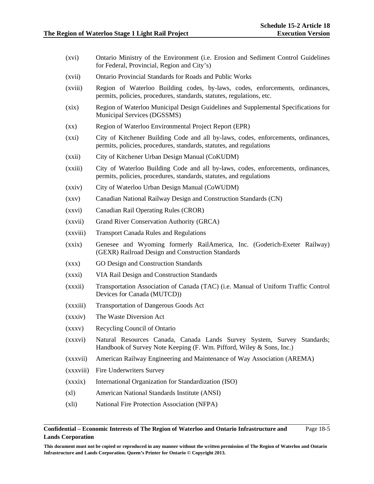- (xvi) Ontario Ministry of the Environment (i.e. Erosion and Sediment Control Guidelines for Federal, Provincial, Region and City's)
- (xvii) Ontario Provincial Standards for Roads and Public Works
- (xviii) Region of Waterloo Building codes, by-laws, codes, enforcements, ordinances, permits, policies, procedures, standards, statutes, regulations, etc.
- (xix) Region of Waterloo Municipal Design Guidelines and Supplemental Specifications for Municipal Services (DGSSMS)
- (xx) Region of Waterloo Environmental Project Report (EPR)
- (xxi) City of Kitchener Building Code and all by-laws, codes, enforcements, ordinances, permits, policies, procedures, standards, statutes, and regulations
- (xxii) City of Kitchener Urban Design Manual (CoKUDM)
- (xxiii) City of Waterloo Building Code and all by-laws, codes, enforcements, ordinances, permits, policies, procedures, standards, statutes, and regulations
- (xxiv) City of Waterloo Urban Design Manual (CoWUDM)
- (xxv) Canadian National Railway Design and Construction Standards (CN)
- (xxvi) Canadian Rail Operating Rules (CROR)
- (xxvii) Grand River Conservation Authority (GRCA)
- (xxviii) Transport Canada Rules and Regulations
- (xxix) Genesee and Wyoming formerly RailAmerica, Inc. (Goderich-Exeter Railway) (GEXR) Railroad Design and Construction Standards
- (xxx) GO Design and Construction Standards
- (xxxi) VIA Rail Design and Construction Standards
- (xxxii) Transportation Association of Canada (TAC) (i.e. Manual of Uniform Traffic Control Devices for Canada (MUTCD))
- (xxxiii) Transportation of Dangerous Goods Act
- (xxxiv) The Waste Diversion Act
- (xxxv) Recycling Council of Ontario
- (xxxvi) Natural Resources Canada, Canada Lands Survey System, Survey Standards; Handbook of Survey Note Keeping (F. Wm. Pifford, Wiley & Sons, Inc.)
- (xxxvii) American Railway Engineering and Maintenance of Way Association (AREMA)
- (xxxviii) Fire Underwriters Survey
- (xxxix) International Organization for Standardization (ISO)
- (xl) American National Standards Institute (ANSI)
- (xli) National Fire Protection Association (NFPA)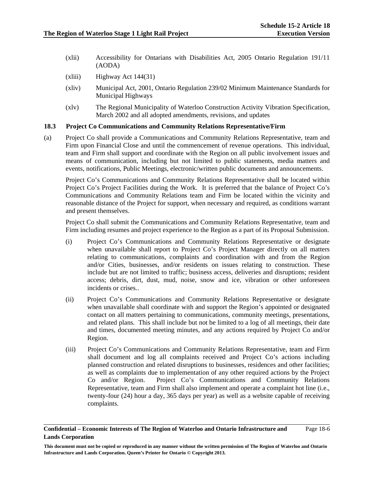- (xlii) Accessibility for Ontarians with Disabilities Act, 2005 Ontario Regulation 191/11 (AODA)
- $(xliii)$  Highway Act 144(31)
- (xliv) Municipal Act, 2001, Ontario Regulation 239/02 Minimum Maintenance Standards for Municipal Highways
- (xlv) The Regional Municipality of Waterloo Construction Activity Vibration Specification, March 2002 and all adopted amendments, revisions, and updates

# **18.3 Project Co Communications and Community Relations Representative/Firm**

(a) Project Co shall provide a Communications and Community Relations Representative, team and Firm upon Financial Close and until the commencement of revenue operations. This individual, team and Firm shall support and coordinate with the Region on all public involvement issues and means of communication, including but not limited to public statements, media matters and events, notifications, Public Meetings, electronic/written public documents and announcements.

Project Co's Communications and Community Relations Representative shall be located within Project Co's Project Facilities during the Work. It is preferred that the balance of Project Co's Communications and Community Relations team and Firm be located within the vicinity and reasonable distance of the Project for support, when necessary and required, as conditions warrant and present themselves.

Project Co shall submit the Communications and Community Relations Representative, team and Firm including resumes and project experience to the Region as a part of its Proposal Submission.

- (i) Project Co's Communications and Community Relations Representative or designate when unavailable shall report to Project Co's Project Manager directly on all matters relating to communications, complaints and coordination with and from the Region and/or Cities, businesses, and/or residents on issues relating to construction. These include but are not limited to traffic; business access, deliveries and disruptions; resident access; debris, dirt, dust, mud, noise, snow and ice, vibration or other unforeseen incidents or crises..
- (ii) Project Co's Communications and Community Relations Representative or designate when unavailable shall coordinate with and support the Region's appointed or designated contact on all matters pertaining to communications, community meetings, presentations, and related plans. This shall include but not be limited to a log of all meetings, their date and times, documented meeting minutes, and any actions required by Project Co and/or Region.
- (iii) Project Co's Communications and Community Relations Representative, team and Firm shall document and log all complaints received and Project Co's actions including planned construction and related disruptions to businesses, residences and other facilities; as well as complaints due to implementation of any other required actions by the Project Co and/or Region. Project Co's Communications and Community Relations Representative, team and Firm shall also implement and operate a complaint hot line (i.e., twenty-four (24) hour a day, 365 days per year) as well as a website capable of receiving complaints.

## **Confidential – Economic Interests of The Region of Waterloo and Ontario Infrastructure and Lands Corporation**  Page 18-6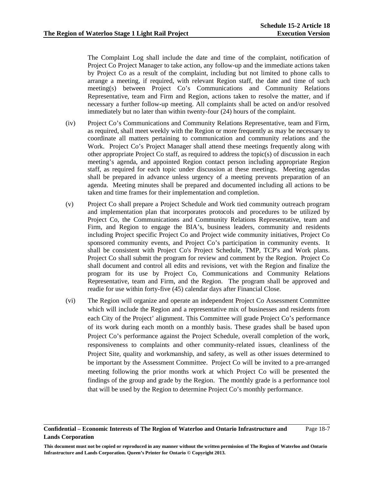The Complaint Log shall include the date and time of the complaint, notification of Project Co Project Manager to take action, any follow-up and the immediate actions taken by Project Co as a result of the complaint, including but not limited to phone calls to arrange a meeting, if required, with relevant Region staff, the date and time of such meeting(s) between Project Co's Communications and Community Relations Representative, team and Firm and Region, actions taken to resolve the matter, and if necessary a further follow-up meeting. All complaints shall be acted on and/or resolved immediately but no later than within twenty-four (24) hours of the complaint.

- (iv) Project Co's Communications and Community Relations Representative, team and Firm, as required, shall meet weekly with the Region or more frequently as may be necessary to coordinate all matters pertaining to communication and community relations and the Work. Project Co's Project Manager shall attend these meetings frequently along with other appropriate Project Co staff, as required to address the topic(s) of discussion in each meeting's agenda, and appointed Region contact person including appropriate Region staff, as required for each topic under discussion at these meetings. Meeting agendas shall be prepared in advance unless urgency of a meeting prevents preparation of an agenda. Meeting minutes shall be prepared and documented including all actions to be taken and time frames for their implementation and completion.
- (v) Project Co shall prepare a Project Schedule and Work tied community outreach program and implementation plan that incorporates protocols and procedures to be utilized by Project Co, the Communications and Community Relations Representative, team and Firm, and Region to engage the BIA's, business leaders, community and residents including Project specific Project Co and Project wide community initiatives, Project Co sponsored community events, and Project Co's participation in community events. It shall be consistent with Project Co's Project Schedule, TMP, TCP's and Work plans. Project Co shall submit the program for review and comment by the Region. Project Co shall document and control all edits and revisions, vet with the Region and finalize the program for its use by Project Co, Communications and Community Relations Representative, team and Firm, and the Region. The program shall be approved and readie for use within forty-five (45) calendar days after Financial Close.
- (vi) The Region will organize and operate an independent Project Co Assessment Committee which will include the Region and a representative mix of businesses and residents from each City of the Project' alignment. This Committee will grade Project Co's performance of its work during each month on a monthly basis. These grades shall be based upon Project Co's performance against the Project Schedule, overall completion of the work, responsiveness to complaints and other community-related issues, cleanliness of the Project Site, quality and workmanship, and safety, as well as other issues determined to be important by the Assessment Committee. Project Co will be invited to a pre-arranged meeting following the prior months work at which Project Co will be presented the findings of the group and grade by the Region. The monthly grade is a performance tool that will be used by the Region to determine Project Co's monthly performance.

**Confidential – Economic Interests of The Region of Waterloo and Ontario Infrastructure and Lands Corporation**  Page 18-7

**This document must not be copied or reproduced in any manner without the written permission of The Region of Waterloo and Ontario Infrastructure and Lands Corporation. Queen's Printer for Ontario © Copyright 2013.**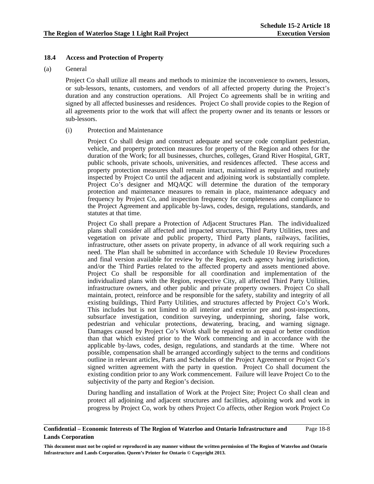# **18.4 Access and Protection of Property**

# (a) General

 Project Co shall utilize all means and methods to minimize the inconvenience to owners, lessors, or sub-lessors, tenants, customers, and vendors of all affected property during the Project's duration and any construction operations. All Project Co agreements shall be in writing and signed by all affected businesses and residences. Project Co shall provide copies to the Region of all agreements prior to the work that will affect the property owner and its tenants or lessors or sub-lessors.

(i) Protection and Maintenance

Project Co shall design and construct adequate and secure code compliant pedestrian, vehicle, and property protection measures for property of the Region and others for the duration of the Work; for all businesses, churches, colleges, Grand River Hospital, GRT, public schools, private schools, universities, and residences affected. These access and property protection measures shall remain intact, maintained as required and routinely inspected by Project Co until the adjacent and adjoining work is substantially complete. Project Co's designer and MQAQC will determine the duration of the temporary protection and maintenance measures to remain in place, maintenance adequacy and frequency by Project Co, and inspection frequency for completeness and compliance to the Project Agreement and applicable by-laws, codes, design, regulations, standards, and statutes at that time.

Project Co shall prepare a Protection of Adjacent Structures Plan. The individualized plans shall consider all affected and impacted structures, Third Party Utilities, trees and vegetation on private and public property, Third Party plants, railways, facilities, infrastructure, other assets on private property, in advance of all work requiring such a need. The Plan shall be submitted in accordance with Schedule 10 Review Procedures and final version available for review by the Region, each agency having jurisdiction, and/or the Third Parties related to the affected property and assets mentioned above. Project Co shall be responsible for all coordination and implementation of the individualized plans with the Region, respective City, all affected Third Party Utilities, infrastructure owners, and other public and private property owners. Project Co shall maintain, protect, reinforce and be responsible for the safety, stability and integrity of all existing buildings, Third Party Utilities, and structures affected by Project Co's Work. This includes but is not limited to all interior and exterior pre and post-inspections, subsurface investigation, condition surveying, underpinning, shoring, false work, pedestrian and vehicular protections, dewatering, bracing, and warning signage. Damages caused by Project Co's Work shall be repaired to an equal or better condition than that which existed prior to the Work commencing and in accordance with the applicable by-laws, codes, design, regulations, and standards at the time. Where not possible, compensation shall be arranged accordingly subject to the terms and conditions outline in relevant articles, Parts and Schedules of the Project Agreement or Project Co's signed written agreement with the party in question. Project Co shall document the existing condition prior to any Work commencement. Failure will leave Project Co to the subjectivity of the party and Region's decision.

During handling and installation of Work at the Project Site; Project Co shall clean and protect all adjoining and adjacent structures and facilities, adjoining work and work in progress by Project Co, work by others Project Co affects, other Region work Project Co

### **Confidential – Economic Interests of The Region of Waterloo and Ontario Infrastructure and Lands Corporation**  Page 18-8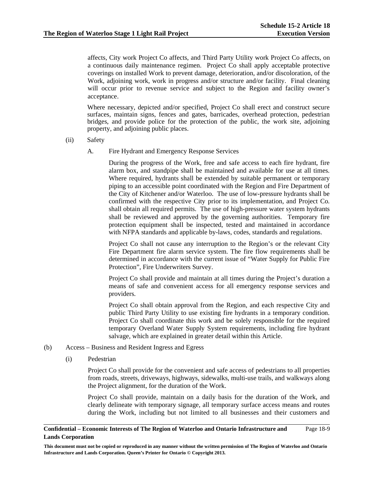affects, City work Project Co affects, and Third Party Utility work Project Co affects, on a continuous daily maintenance regimen. Project Co shall apply acceptable protective coverings on installed Work to prevent damage, deterioration, and/or discoloration, of the Work, adjoining work, work in progress and/or structure and/or facility. Final cleaning will occur prior to revenue service and subject to the Region and facility owner's acceptance.

Where necessary, depicted and/or specified, Project Co shall erect and construct secure surfaces, maintain signs, fences and gates, barricades, overhead protection, pedestrian bridges, and provide police for the protection of the public, the work site, adjoining property, and adjoining public places.

- (ii) Safety
	- A. Fire Hydrant and Emergency Response Services

During the progress of the Work, free and safe access to each fire hydrant, fire alarm box, and standpipe shall be maintained and available for use at all times. Where required, hydrants shall be extended by suitable permanent or temporary piping to an accessible point coordinated with the Region and Fire Department of the City of Kitchener and/or Waterloo. The use of low-pressure hydrants shall be confirmed with the respective City prior to its implementation, and Project Co. shall obtain all required permits. The use of high-pressure water system hydrants shall be reviewed and approved by the governing authorities. Temporary fire protection equipment shall be inspected, tested and maintained in accordance with NFPA standards and applicable by-laws, codes, standards and regulations.

Project Co shall not cause any interruption to the Region's or the relevant City Fire Department fire alarm service system. The fire flow requirements shall be determined in accordance with the current issue of "Water Supply for Public Fire Protection", Fire Underwriters Survey.

Project Co shall provide and maintain at all times during the Project's duration a means of safe and convenient access for all emergency response services and providers.

Project Co shall obtain approval from the Region, and each respective City and public Third Party Utility to use existing fire hydrants in a temporary condition. Project Co shall coordinate this work and be solely responsible for the required temporary Overland Water Supply System requirements, including fire hydrant salvage, which are explained in greater detail within this Article.

- (b) Access Business and Resident Ingress and Egress
	- (i) Pedestrian

Project Co shall provide for the convenient and safe access of pedestrians to all properties from roads, streets, driveways, highways, sidewalks, multi-use trails, and walkways along the Project alignment, for the duration of the Work.

Project Co shall provide, maintain on a daily basis for the duration of the Work, and clearly delineate with temporary signage, all temporary surface access means and routes during the Work, including but not limited to all businesses and their customers and

### **Confidential – Economic Interests of The Region of Waterloo and Ontario Infrastructure and Lands Corporation**  Page 18-9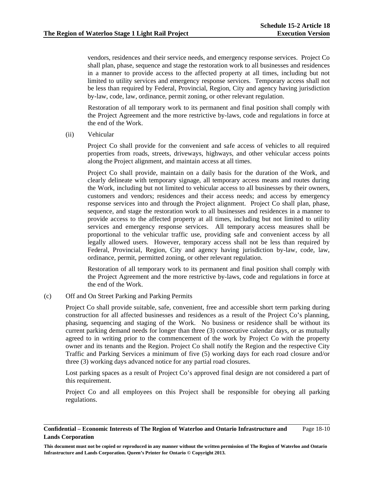vendors, residences and their service needs, and emergency response services. Project Co shall plan, phase, sequence and stage the restoration work to all businesses and residences in a manner to provide access to the affected property at all times, including but not limited to utility services and emergency response services. Temporary access shall not be less than required by Federal, Provincial, Region, City and agency having jurisdiction by-law, code, law, ordinance, permit zoning, or other relevant regulation.

Restoration of all temporary work to its permanent and final position shall comply with the Project Agreement and the more restrictive by-laws, code and regulations in force at the end of the Work.

(ii) Vehicular

Project Co shall provide for the convenient and safe access of vehicles to all required properties from roads, streets, driveways, highways, and other vehicular access points along the Project alignment, and maintain access at all times.

Project Co shall provide, maintain on a daily basis for the duration of the Work, and clearly delineate with temporary signage, all temporary access means and routes during the Work, including but not limited to vehicular access to all businesses by their owners, customers and vendors; residences and their access needs; and access by emergency response services into and through the Project alignment. Project Co shall plan, phase, sequence, and stage the restoration work to all businesses and residences in a manner to provide access to the affected property at all times, including but not limited to utility services and emergency response services. All temporary access measures shall be proportional to the vehicular traffic use, providing safe and convenient access by all legally allowed users. However, temporary access shall not be less than required by Federal, Provincial, Region, City and agency having jurisdiction by-law, code, law, ordinance, permit, permitted zoning, or other relevant regulation.

Restoration of all temporary work to its permanent and final position shall comply with the Project Agreement and the more restrictive by-laws, code and regulations in force at the end of the Work.

(c) Off and On Street Parking and Parking Permits

Project Co shall provide suitable, safe, convenient, free and accessible short term parking during construction for all affected businesses and residences as a result of the Project Co's planning, phasing, sequencing and staging of the Work. No business or residence shall be without its current parking demand needs for longer than three (3) consecutive calendar days, or as mutually agreed to in writing prior to the commencement of the work by Project Co with the property owner and its tenants and the Region. Project Co shall notify the Region and the respective City Traffic and Parking Services a minimum of five (5) working days for each road closure and/or three (3) working days advanced notice for any partial road closures.

Lost parking spaces as a result of Project Co's approved final design are not considered a part of this requirement.

Project Co and all employees on this Project shall be responsible for obeying all parking regulations.

### **Confidential – Economic Interests of The Region of Waterloo and Ontario Infrastructure and Lands Corporation**  Page 18-10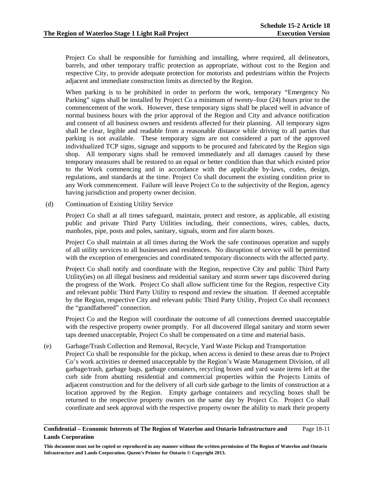Project Co shall be responsible for furnishing and installing, where required, all delineators, barrels, and other temporary traffic protection as appropriate, without cost to the Region and respective City, to provide adequate protection for motorists and pedestrians within the Projects adjacent and immediate construction limits as directed by the Region.

When parking is to be prohibited in order to perform the work, temporary "Emergency No Parking" signs shall be installed by Project Co a minimum of twenty–four (24) hours prior to the commencement of the work. However, these temporary signs shall be placed well in advance of normal business hours with the prior approval of the Region and City and advance notification and consent of all business owners and residents affected for their planning. All temporary signs shall be clear, legible and readable from a reasonable distance while driving to all parties that parking is not available. These temporary signs are not considered a part of the approved individualized TCP signs, signage and supports to be procured and fabricated by the Region sign shop. All temporary signs shall be removed immediately and all damages caused by these temporary measures shall be restored to an equal or better condition than that which existed prior to the Work commencing and in accordance with the applicable by-laws, codes, design, regulations, and standards at the time. Project Co shall document the existing condition prior to any Work commencement. Failure will leave Project Co to the subjectivity of the Region, agency having jurisdiction and property owner decision.

(d) Continuation of Existing Utility Service

Project Co shall at all times safeguard, maintain, protect and restore, as applicable, all existing public and private Third Party Utilities including, their connections, wires, cables, ducts, manholes, pipe, posts and poles, sanitary, signals, storm and fire alarm boxes.

Project Co shall maintain at all times during the Work the safe continuous operation and supply of all utility services to all businesses and residences. No disruption of service will be permitted with the exception of emergencies and coordinated temporary disconnects with the affected party.

Project Co shall notify and coordinate with the Region, respective City and public Third Party Utility(ies) on all illegal business and residential sanitary and storm sewer taps discovered during the progress of the Work. Project Co shall allow sufficient time for the Region, respective City and relevant public Third Party Utility to respond and review the situation. If deemed acceptable by the Region, respective City and relevant public Third Party Utility, Project Co shall reconnect the "grandfathered" connection.

Project Co and the Region will coordinate the outcome of all connections deemed unacceptable with the respective property owner promptly. For all discovered illegal sanitary and storm sewer taps deemed unacceptable, Project Co shall be compensated on a time and material basis.

(e) Garbage/Trash Collection and Removal, Recycle, Yard Waste Pickup and Transportation Project Co shall be responsible for the pickup, when access is denied to these areas due to Project Co's work activities or deemed unacceptable by the Region's Waste Management Division, of all garbage/trash, garbage bags, garbage containers, recycling boxes and yard waste items left at the curb side from abutting residential and commercial properties within the Projects Limits of adjacent construction and for the delivery of all curb side garbage to the limits of construction at a location approved by the Region. Empty garbage containers and recycling boxes shall be returned to the respective property owners on the same day by Project Co. Project Co shall coordinate and seek approval with the respective property owner the ability to mark their property

### **Confidential – Economic Interests of The Region of Waterloo and Ontario Infrastructure and Lands Corporation**  Page 18-11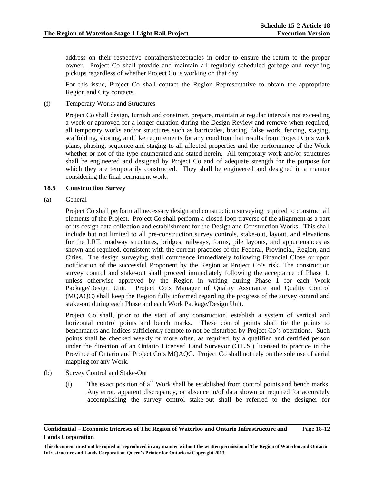address on their respective containers/receptacles in order to ensure the return to the proper owner. Project Co shall provide and maintain all regularly scheduled garbage and recycling pickups regardless of whether Project Co is working on that day.

For this issue, Project Co shall contact the Region Representative to obtain the appropriate Region and City contacts.

(f) Temporary Works and Structures

Project Co shall design, furnish and construct, prepare, maintain at regular intervals not exceeding a week or approved for a longer duration during the Design Review and remove when required, all temporary works and/or structures such as barricades, bracing, false work, fencing, staging, scaffolding, shoring, and like requirements for any condition that results from Project Co's work plans, phasing, sequence and staging to all affected properties and the performance of the Work whether or not of the type enumerated and stated herein. All temporary work and/or structures shall be engineered and designed by Project Co and of adequate strength for the purpose for which they are temporarily constructed. They shall be engineered and designed in a manner considering the final permanent work.

# **18.5 Construction Survey**

(a) General

 Project Co shall perform all necessary design and construction surveying required to construct all elements of the Project. Project Co shall perform a closed loop traverse of the alignment as a part of its design data collection and establishment for the Design and Construction Works. This shall include but not limited to all pre-construction survey controls, stake-out, layout, and elevations for the LRT, roadway structures, bridges, railways, forms, pile layouts, and appurtenances as shown and required, consistent with the current practices of the Federal, Provincial, Region, and Cities. The design surveying shall commence immediately following Financial Close or upon notification of the successful Proponent by the Region at Project Co's risk. The construction survey control and stake-out shall proceed immediately following the acceptance of Phase 1, unless otherwise approved by the Region in writing during Phase 1 for each Work Package/Design Unit. Project Co's Manager of Quality Assurance and Quality Control (MQAQC) shall keep the Region fully informed regarding the progress of the survey control and stake-out during each Phase and each Work Package/Design Unit.

 Project Co shall, prior to the start of any construction, establish a system of vertical and horizontal control points and bench marks. These control points shall tie the points to benchmarks and indices sufficiently remote to not be disturbed by Project Co's operations. Such points shall be checked weekly or more often, as required, by a qualified and certified person under the direction of an Ontario Licensed Land Surveyor (O.L.S.) licensed to practice in the Province of Ontario and Project Co's MQAQC. Project Co shall not rely on the sole use of aerial mapping for any Work.

- (b) Survey Control and Stake-Out
	- (i) The exact position of all Work shall be established from control points and bench marks. Any error, apparent discrepancy, or absence in/of data shown or required for accurately accomplishing the survey control stake-out shall be referred to the designer for

**Confidential – Economic Interests of The Region of Waterloo and Ontario Infrastructure and Lands Corporation**  Page 18-12

**This document must not be copied or reproduced in any manner without the written permission of The Region of Waterloo and Ontario Infrastructure and Lands Corporation. Queen's Printer for Ontario © Copyright 2013.**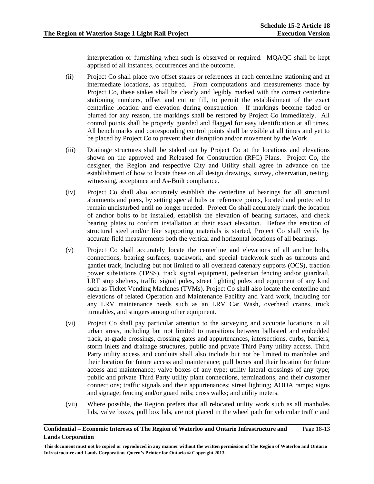interpretation or furnishing when such is observed or required. MQAQC shall be kept apprised of all instances, occurrences and the outcome.

- (ii) Project Co shall place two offset stakes or references at each centerline stationing and at intermediate locations, as required. From computations and measurements made by Project Co, these stakes shall be clearly and legibly marked with the correct centerline stationing numbers, offset and cut or fill, to permit the establishment of the exact centerline location and elevation during construction. If markings become faded or blurred for any reason, the markings shall be restored by Project Co immediately. All control points shall be properly guarded and flagged for easy identification at all times. All bench marks and corresponding control points shall be visible at all times and yet to be placed by Project Co to prevent their disruption and/or movement by the Work.
- (iii) Drainage structures shall be staked out by Project Co at the locations and elevations shown on the approved and Released for Construction (RFC) Plans. Project Co, the designer, the Region and respective City and Utility shall agree in advance on the establishment of how to locate these on all design drawings, survey, observation, testing, witnessing, acceptance and As-Built compliance.
- (iv) Project Co shall also accurately establish the centerline of bearings for all structural abutments and piers, by setting special hubs or reference points, located and protected to remain undisturbed until no longer needed. Project Co shall accurately mark the location of anchor bolts to be installed, establish the elevation of bearing surfaces, and check bearing plates to confirm installation at their exact elevation. Before the erection of structural steel and/or like supporting materials is started, Project Co shall verify by accurate field measurements both the vertical and horizontal locations of all bearings.
- (v) Project Co shall accurately locate the centerline and elevations of all anchor bolts, connections, bearing surfaces, trackwork, and special trackwork such as turnouts and gantlet track, including but not limited to all overhead catenary supports (OCS), traction power substations (TPSS), track signal equipment, pedestrian fencing and/or guardrail, LRT stop shelters, traffic signal poles, street lighting poles and equipment of any kind such as Ticket Vending Machines (TVMs). Project Co shall also locate the centerline and elevations of related Operation and Maintenance Facility and Yard work, including for any LRV maintenance needs such as an LRV Car Wash, overhead cranes, truck turntables, and stingers among other equipment.
- (vi) Project Co shall pay particular attention to the surveying and accurate locations in all urban areas, including but not limited to transitions between ballasted and embedded track, at-grade crossings, crossing gates and appurtenances, intersections, curbs, barriers, storm inlets and drainage structures, public and private Third Party utility access. Third Party utility access and conduits shall also include but not be limited to manholes and their location for future access and maintenance; pull boxes and their location for future access and maintenance; valve boxes of any type; utility lateral crossings of any type; public and private Third Party utility plant connections, terminations, and their customer connections; traffic signals and their appurtenances; street lighting; AODA ramps; signs and signage; fencing and/or guard rails; cross walks; and utility meters.
- (vii) Where possible, the Region prefers that all relocated utility work such as all manholes lids, valve boxes, pull box lids, are not placed in the wheel path for vehicular traffic and

### **Confidential – Economic Interests of The Region of Waterloo and Ontario Infrastructure and Lands Corporation**  Page 18-13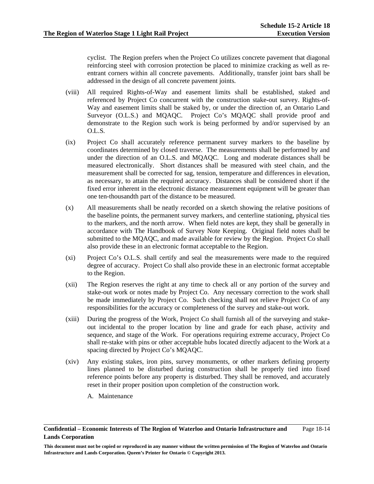cyclist. The Region prefers when the Project Co utilizes concrete pavement that diagonal reinforcing steel with corrosion protection be placed to minimize cracking as well as reentrant corners within all concrete pavements. Additionally, transfer joint bars shall be addressed in the design of all concrete pavement joints.

- (viii) All required Rights-of-Way and easement limits shall be established, staked and referenced by Project Co concurrent with the construction stake-out survey. Rights-of-Way and easement limits shall be staked by, or under the direction of, an Ontario Land Surveyor (O.L.S.) and MQAQC. Project Co's MQAQC shall provide proof and demonstrate to the Region such work is being performed by and/or supervised by an O.L.S.
- (ix) Project Co shall accurately reference permanent survey markers to the baseline by coordinates determined by closed traverse. The measurements shall be performed by and under the direction of an O.L.S. and MQAQC. Long and moderate distances shall be measured electronically. Short distances shall be measured with steel chain, and the measurement shall be corrected for sag, tension, temperature and differences in elevation, as necessary, to attain the required accuracy. Distances shall be considered short if the fixed error inherent in the electronic distance measurement equipment will be greater than one ten-thousandth part of the distance to be measured.
- (x) All measurements shall be neatly recorded on a sketch showing the relative positions of the baseline points, the permanent survey markers, and centerline stationing, physical ties to the markers, and the north arrow. When field notes are kept, they shall be generally in accordance with The Handbook of Survey Note Keeping. Original field notes shall be submitted to the MQAQC, and made available for review by the Region. Project Co shall also provide these in an electronic format acceptable to the Region.
- (xi) Project Co's O.L.S. shall certify and seal the measurements were made to the required degree of accuracy. Project Co shall also provide these in an electronic format acceptable to the Region.
- (xii) The Region reserves the right at any time to check all or any portion of the survey and stake-out work or notes made by Project Co. Any necessary correction to the work shall be made immediately by Project Co. Such checking shall not relieve Project Co of any responsibilities for the accuracy or completeness of the survey and stake-out work.
- (xiii) During the progress of the Work, Project Co shall furnish all of the surveying and stakeout incidental to the proper location by line and grade for each phase, activity and sequence, and stage of the Work. For operations requiring extreme accuracy, Project Co shall re-stake with pins or other acceptable hubs located directly adjacent to the Work at a spacing directed by Project Co's MQAQC.
- (xiv) Any existing stakes, iron pins, survey monuments, or other markers defining property lines planned to be disturbed during construction shall be properly tied into fixed reference points before any property is disturbed. They shall be removed, and accurately reset in their proper position upon completion of the construction work.
	- A. Maintenance

**Confidential – Economic Interests of The Region of Waterloo and Ontario Infrastructure and Lands Corporation**  Page 18-14

**This document must not be copied or reproduced in any manner without the written permission of The Region of Waterloo and Ontario Infrastructure and Lands Corporation. Queen's Printer for Ontario © Copyright 2013.**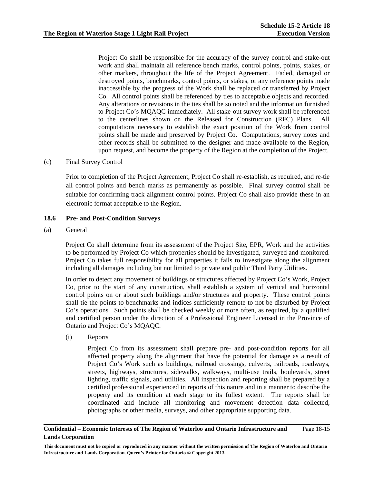Project Co shall be responsible for the accuracy of the survey control and stake-out work and shall maintain all reference bench marks, control points, points, stakes, or other markers, throughout the life of the Project Agreement. Faded, damaged or destroyed points, benchmarks, control points, or stakes, or any reference points made inaccessible by the progress of the Work shall be replaced or transferred by Project Co. All control points shall be referenced by ties to acceptable objects and recorded. Any alterations or revisions in the ties shall be so noted and the information furnished to Project Co's MQAQC immediately. All stake-out survey work shall be referenced to the centerlines shown on the Released for Construction (RFC) Plans. All computations necessary to establish the exact position of the Work from control points shall be made and preserved by Project Co. Computations, survey notes and other records shall be submitted to the designer and made available to the Region, upon request, and become the property of the Region at the completion of the Project.

# (c) Final Survey Control

Prior to completion of the Project Agreement, Project Co shall re-establish, as required, and re-tie all control points and bench marks as permanently as possible. Final survey control shall be suitable for confirming track alignment control points. Project Co shall also provide these in an electronic format acceptable to the Region.

# **18.6 Pre- and Post-Condition Surveys**

(a) General

Project Co shall determine from its assessment of the Project Site, EPR, Work and the activities to be performed by Project Co which properties should be investigated, surveyed and monitored. Project Co takes full responsibility for all properties it fails to investigate along the alignment including all damages including but not limited to private and public Third Party Utilities.

In order to detect any movement of buildings or structures affected by Project Co's Work, Project Co, prior to the start of any construction, shall establish a system of vertical and horizontal control points on or about such buildings and/or structures and property. These control points shall tie the points to benchmarks and indices sufficiently remote to not be disturbed by Project Co's operations. Such points shall be checked weekly or more often, as required, by a qualified and certified person under the direction of a Professional Engineer Licensed in the Province of Ontario and Project Co's MQAQC.

(i) Reports

Project Co from its assessment shall prepare pre- and post-condition reports for all affected property along the alignment that have the potential for damage as a result of Project Co's Work such as buildings, railroad crossings, culverts, railroads, roadways, streets, highways, structures, sidewalks, walkways, multi-use trails, boulevards, street lighting, traffic signals, and utilities. All inspection and reporting shall be prepared by a certified professional experienced in reports of this nature and in a manner to describe the property and its condition at each stage to its fullest extent. The reports shall be coordinated and include all monitoring and movement detection data collected, photographs or other media, surveys, and other appropriate supporting data.

### **Confidential – Economic Interests of The Region of Waterloo and Ontario Infrastructure and Lands Corporation**  Page 18-15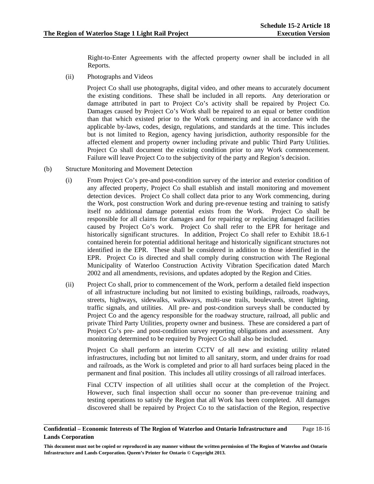Right-to-Enter Agreements with the affected property owner shall be included in all Reports.

(ii) Photographs and Videos

 Project Co shall use photographs, digital video, and other means to accurately document the existing conditions. These shall be included in all reports. Any deterioration or damage attributed in part to Project Co's activity shall be repaired by Project Co. Damages caused by Project Co's Work shall be repaired to an equal or better condition than that which existed prior to the Work commencing and in accordance with the applicable by-laws, codes, design, regulations, and standards at the time. This includes but is not limited to Region, agency having jurisdiction, authority responsible for the affected element and property owner including private and public Third Party Utilities. Project Co shall document the existing condition prior to any Work commencement. Failure will leave Project Co to the subjectivity of the party and Region's decision.

# (b) Structure Monitoring and Movement Detection

- (i) From Project Co's pre-and post-condition survey of the interior and exterior condition of any affected property, Project Co shall establish and install monitoring and movement detection devices. Project Co shall collect data prior to any Work commencing, during the Work, post construction Work and during pre-revenue testing and training to satisfy itself no additional damage potential exists from the Work. Project Co shall be responsible for all claims for damages and for repairing or replacing damaged facilities caused by Project Co's work. Project Co shall refer to the EPR for heritage and historically significant structures. In addition, Project Co shall refer to Exhibit 18.6-1 contained herein for potential additional heritage and historically significant structures not identified in the EPR. These shall be considered in addition to those identified in the EPR. Project Co is directed and shall comply during construction with The Regional Municipality of Waterloo Construction Activity Vibration Specification dated March 2002 and all amendments, revisions, and updates adopted by the Region and Cities.
- (ii) Project Co shall, prior to commencement of the Work, perform a detailed field inspection of all infrastructure including but not limited to existing buildings, railroads, roadways, streets, highways, sidewalks, walkways, multi-use trails, boulevards, street lighting, traffic signals, and utilities. All pre- and post-condition surveys shall be conducted by Project Co and the agency responsible for the roadway structure, railroad, all public and private Third Party Utilities, property owner and business. These are considered a part of Project Co's pre- and post-condition survey reporting obligations and assessment. Any monitoring determined to be required by Project Co shall also be included.

 Project Co shall perform an interim CCTV of all new and existing utility related infrastructures, including but not limited to all sanitary, storm, and under drains for road and railroads, as the Work is completed and prior to all hard surfaces being placed in the permanent and final position. This includes all utility crossings of all railroad interfaces.

Final CCTV inspection of all utilities shall occur at the completion of the Project. However, such final inspection shall occur no sooner than pre-revenue training and testing operations to satisfy the Region that all Work has been completed. All damages discovered shall be repaired by Project Co to the satisfaction of the Region, respective

**Confidential – Economic Interests of The Region of Waterloo and Ontario Infrastructure and Lands Corporation**  Page 18-16

**This document must not be copied or reproduced in any manner without the written permission of The Region of Waterloo and Ontario Infrastructure and Lands Corporation. Queen's Printer for Ontario © Copyright 2013.**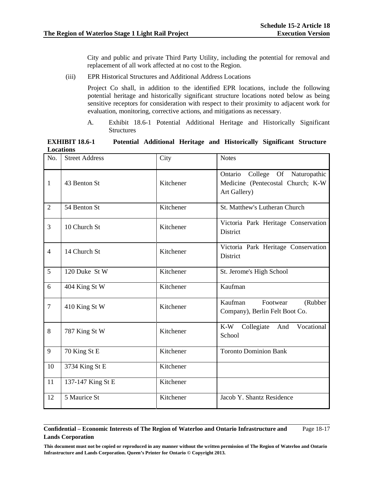City and public and private Third Party Utility, including the potential for removal and replacement of all work affected at no cost to the Region.

(iii) EPR Historical Structures and Additional Address Locations

Project Co shall, in addition to the identified EPR locations, include the following potential heritage and historically significant structure locations noted below as being sensitive receptors for consideration with respect to their proximity to adjacent work for evaluation, monitoring, corrective actions, and mitigations as necessary.

A. Exhibit 18.6-1 Potential Additional Heritage and Historically Significant **Structures** 

| <b>EXHIBIT 18.6-1</b> |  |  | Potential Additional Heritage and Historically Significant Structure |  |
|-----------------------|--|--|----------------------------------------------------------------------|--|
| Locations             |  |  |                                                                      |  |

| No.            | <b>Street Address</b> | City      | <b>Notes</b>                                                                            |
|----------------|-----------------------|-----------|-----------------------------------------------------------------------------------------|
| 1              | 43 Benton St          | Kitchener | College Of Naturopathic<br>Ontario<br>Medicine (Pentecostal Church; K-W<br>Art Gallery) |
| $\overline{2}$ | 54 Benton St          | Kitchener | St. Matthew's Lutheran Church                                                           |
| 3              | 10 Church St          | Kitchener | Victoria Park Heritage Conservation<br><b>District</b>                                  |
| $\overline{4}$ | 14 Church St          | Kitchener | Victoria Park Heritage Conservation<br>District                                         |
| 5              | 120 Duke St W         | Kitchener | St. Jerome's High School                                                                |
| 6              | 404 King St W         | Kitchener | Kaufman                                                                                 |
| $\overline{7}$ | 410 King St W         | Kitchener | Kaufman<br>Footwear<br>(Rubber<br>Company), Berlin Felt Boot Co.                        |
| 8              | 787 King St W         | Kitchener | $K-W$<br>Collegiate<br>And<br>Vocational<br>School                                      |
| 9              | 70 King St E          | Kitchener | <b>Toronto Dominion Bank</b>                                                            |
| 10             | 3734 King St E        | Kitchener |                                                                                         |
| 11             | 137-147 King St E     | Kitchener |                                                                                         |
| 12             | 5 Maurice St          | Kitchener | Jacob Y. Shantz Residence                                                               |

### **Confidential – Economic Interests of The Region of Waterloo and Ontario Infrastructure and Lands Corporation**  Page 18-17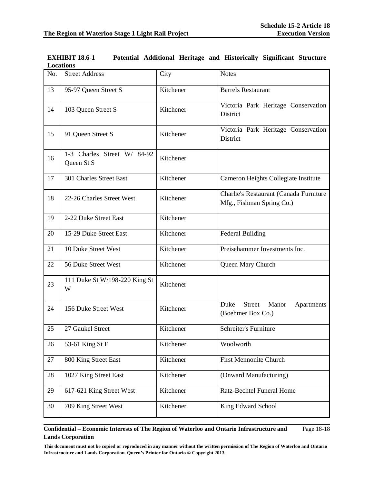| No. | <b>Street Address</b>                     | City      | <b>Notes</b>                                                        |
|-----|-------------------------------------------|-----------|---------------------------------------------------------------------|
| 13  | 95-97 Queen Street S                      | Kitchener | <b>Barrels Restaurant</b>                                           |
| 14  | 103 Queen Street S                        | Kitchener | Victoria Park Heritage Conservation<br><b>District</b>              |
| 15  | 91 Queen Street S                         | Kitchener | Victoria Park Heritage Conservation<br><b>District</b>              |
| 16  | 1-3 Charles Street W/ 84-92<br>Queen St S | Kitchener |                                                                     |
| 17  | 301 Charles Street East                   | Kitchener | Cameron Heights Collegiate Institute                                |
| 18  | 22-26 Charles Street West                 | Kitchener | Charlie's Restaurant (Canada Furniture<br>Mfg., Fishman Spring Co.) |
| 19  | 2-22 Duke Street East                     | Kitchener |                                                                     |
| 20  | 15-29 Duke Street East                    | Kitchener | <b>Federal Building</b>                                             |
| 21  | 10 Duke Street West                       | Kitchener | Preisehammer Investments Inc.                                       |
| 22  | 56 Duke Street West                       | Kitchener | Queen Mary Church                                                   |
| 23  | 111 Duke St W/198-220 King St<br>W        | Kitchener |                                                                     |
| 24  | 156 Duke Street West                      | Kitchener | Duke<br><b>Street</b><br>Manor<br>Apartments<br>(Boehmer Box Co.)   |
| 25  | 27 Gaukel Street                          | Kitchener | Schreiter's Furniture                                               |
| 26  | 53-61 King St E                           | Kitchener | Woolworth                                                           |
| 27  | 800 King Street East                      | Kitchener | <b>First Mennonite Church</b>                                       |
| 28  | 1027 King Street East                     | Kitchener | (Onward Manufacturing)                                              |
| 29  | 617-621 King Street West                  | Kitchener | Ratz-Bechtel Funeral Home                                           |
| 30  | 709 King Street West                      | Kitchener | King Edward School                                                  |

| <b>EXHIBIT 18.6-1</b> |  |  | Potential Additional Heritage and Historically Significant Structure |  |
|-----------------------|--|--|----------------------------------------------------------------------|--|
| <b>Locations</b>      |  |  |                                                                      |  |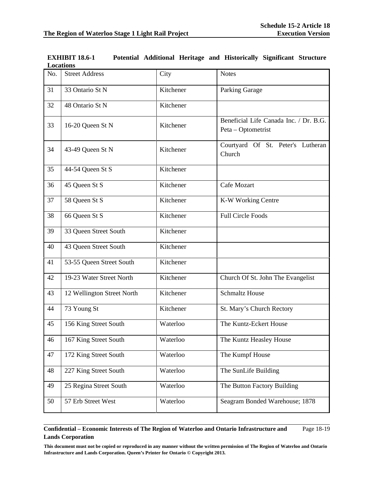| No. | <b>Street Address</b>      | City      | <b>Notes</b>                                                 |
|-----|----------------------------|-----------|--------------------------------------------------------------|
| 31  | 33 Ontario St N            | Kitchener | Parking Garage                                               |
| 32  | 48 Ontario St N            | Kitchener |                                                              |
| 33  | 16-20 Queen St N           | Kitchener | Beneficial Life Canada Inc. / Dr. B.G.<br>Peta – Optometrist |
| 34  | 43-49 Queen St N           | Kitchener | Courtyard Of St. Peter's Lutheran<br>Church                  |
| 35  | 44-54 Queen St S           | Kitchener |                                                              |
| 36  | 45 Queen St S              | Kitchener | Cafe Mozart                                                  |
| 37  | 58 Queen St S              | Kitchener | K-W Working Centre                                           |
| 38  | 66 Queen St S              | Kitchener | <b>Full Circle Foods</b>                                     |
| 39  | 33 Queen Street South      | Kitchener |                                                              |
| 40  | 43 Queen Street South      | Kitchener |                                                              |
| 41  | 53-55 Queen Street South   | Kitchener |                                                              |
| 42  | 19-23 Water Street North   | Kitchener | Church Of St. John The Evangelist                            |
| 43  | 12 Wellington Street North | Kitchener | <b>Schmaltz House</b>                                        |
| 44  | 73 Young St                | Kitchener | St. Mary's Church Rectory                                    |
| 45  | 156 King Street South      | Waterloo  | The Kuntz-Eckert House                                       |
| 46  | 167 King Street South      | Waterloo  | The Kuntz Heasley House                                      |
| 47  | 172 King Street South      | Waterloo  | The Kumpf House                                              |
| 48  | 227 King Street South      | Waterloo  | The SunLife Building                                         |
| 49  | 25 Regina Street South     | Waterloo  | The Button Factory Building                                  |
| 50  | 57 Erb Street West         | Waterloo  | Seagram Bonded Warehouse; 1878                               |

**EXHIBIT 18.6-1 Potential Additional Heritage and Historically Significant Structure Locations**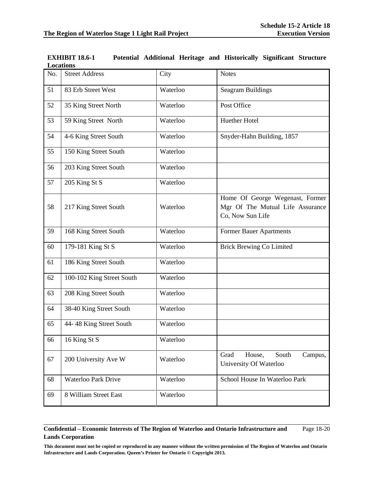| No. | <b>Street Address</b>      | City     | <b>Notes</b>                                                                            |
|-----|----------------------------|----------|-----------------------------------------------------------------------------------------|
| 51  | 83 Erb Street West         | Waterloo | <b>Seagram Buildings</b>                                                                |
| 52  | 35 King Street North       | Waterloo | Post Office                                                                             |
| 53  | 59 King Street North       | Waterloo | Huether Hotel                                                                           |
| 54  | 4-6 King Street South      | Waterloo | Snyder-Hahn Building, 1857                                                              |
| 55  | 150 King Street South      | Waterloo |                                                                                         |
| 56  | 203 King Street South      | Waterloo |                                                                                         |
| 57  | 205 King St S              | Waterloo |                                                                                         |
| 58  | 217 King Street South      | Waterloo | Home Of George Wegenast, Former<br>Mgr Of The Mutual Life Assurance<br>Co, Now Sun Life |
| 59  | 168 King Street South      | Waterloo | Former Bauer Apartments                                                                 |
| 60  | 179-181 King St S          | Waterloo | <b>Brick Brewing Co Limited</b>                                                         |
| 61  | 186 King Street South      | Waterloo |                                                                                         |
| 62  | 100-102 King Street South  | Waterloo |                                                                                         |
| 63  | 208 King Street South      | Waterloo |                                                                                         |
| 64  | 38-40 King Street South    | Waterloo |                                                                                         |
| 65  | 44-48 King Street South    | Waterloo |                                                                                         |
| 66  | 16 King St S               | Waterloo |                                                                                         |
| 67  | 200 University Ave W       | Waterloo | Grad<br>House,<br>South<br>Campus,<br>University Of Waterloo                            |
| 68  | <b>Waterloo Park Drive</b> | Waterloo | School House In Waterloo Park                                                           |
| 69  | 8 William Street East      | Waterloo |                                                                                         |

**EXHIBIT 18.6-1 Potential Additional Heritage and Historically Significant Structure Locations**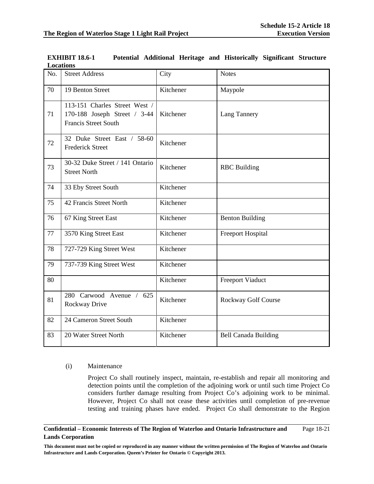| No. | <b>Street Address</b>                                                                        | City      | <b>Notes</b>                |
|-----|----------------------------------------------------------------------------------------------|-----------|-----------------------------|
| 70  | 19 Benton Street                                                                             | Kitchener | Maypole                     |
| 71  | 113-151 Charles Street West /<br>170-188 Joseph Street / 3-44<br><b>Francis Street South</b> | Kitchener | Lang Tannery                |
| 72  | 32 Duke Street East / 58-60<br><b>Frederick Street</b>                                       | Kitchener |                             |
| 73  | 30-32 Duke Street / 141 Ontario<br><b>Street North</b>                                       | Kitchener | <b>RBC</b> Building         |
| 74  | 33 Eby Street South                                                                          | Kitchener |                             |
| 75  | 42 Francis Street North                                                                      | Kitchener |                             |
| 76  | 67 King Street East                                                                          | Kitchener | <b>Benton Building</b>      |
| 77  | 3570 King Street East                                                                        | Kitchener | <b>Freeport Hospital</b>    |
| 78  | 727-729 King Street West                                                                     | Kitchener |                             |
| 79  | 737-739 King Street West                                                                     | Kitchener |                             |
| 80  |                                                                                              | Kitchener | <b>Freeport Viaduct</b>     |
| 81  | 280 Carwood Avenue / 625<br>Rockway Drive                                                    | Kitchener | Rockway Golf Course         |
| 82  | 24 Cameron Street South                                                                      | Kitchener |                             |
| 83  | 20 Water Street North                                                                        | Kitchener | <b>Bell Canada Building</b> |

| <b>EXHIBIT 18.6-1</b> |  |  | Potential Additional Heritage and Historically Significant Structure |  |
|-----------------------|--|--|----------------------------------------------------------------------|--|
| Locations             |  |  |                                                                      |  |

# (i) Maintenance

Project Co shall routinely inspect, maintain, re-establish and repair all monitoring and detection points until the completion of the adjoining work or until such time Project Co considers further damage resulting from Project Co's adjoining work to be minimal. However, Project Co shall not cease these activities until completion of pre-revenue testing and training phases have ended. Project Co shall demonstrate to the Region

### **Confidential – Economic Interests of The Region of Waterloo and Ontario Infrastructure and Lands Corporation**  Page 18-21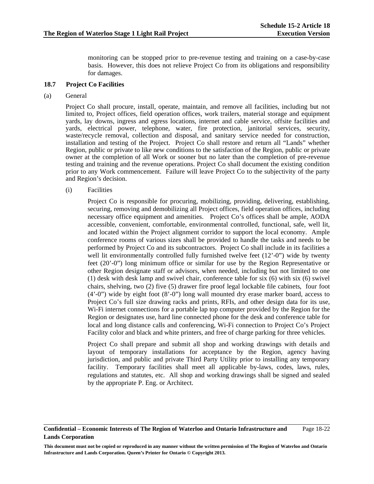monitoring can be stopped prior to pre-revenue testing and training on a case-by-case basis. However, this does not relieve Project Co from its obligations and responsibility for damages.

# **18.7 Project Co Facilities**

# (a) General

 Project Co shall procure, install, operate, maintain, and remove all facilities, including but not limited to, Project offices, field operation offices, work trailers, material storage and equipment yards, lay downs, ingress and egress locations, internet and cable service, offsite facilities and yards, electrical power, telephone, water, fire protection, janitorial services, security, waste/recycle removal, collection and disposal, and sanitary service needed for construction, installation and testing of the Project. Project Co shall restore and return all "Lands" whether Region, public or private to like new conditions to the satisfaction of the Region, public or private owner at the completion of all Work or sooner but no later than the completion of pre-revenue testing and training and the revenue operations. Project Co shall document the existing condition prior to any Work commencement. Failure will leave Project Co to the subjectivity of the party and Region's decision.

(i) Facilities

Project Co is responsible for procuring, mobilizing, providing, delivering, establishing, securing, removing and demobilizing all Project offices, field operation offices, including necessary office equipment and amenities. Project Co's offices shall be ample, AODA accessible, convenient, comfortable, environmental controlled, functional, safe, well lit, and located within the Project alignment corridor to support the local economy. Ample conference rooms of various sizes shall be provided to handle the tasks and needs to be performed by Project Co and its subcontractors. Project Co shall include in its facilities a well lit environmentally controlled fully furnished twelve feet  $(12'-0'')$  wide by twenty feet (20'-0") long minimum office or similar for use by the Region Representative or other Region designate staff or advisors, when needed, including but not limited to one (1) desk with desk lamp and swivel chair, conference table for six (6) with six (6) swivel chairs, shelving, two (2) five (5) drawer fire proof legal lockable file cabinets, four foot (4'-0") wide by eight foot (8'-0") long wall mounted dry erase marker board, access to Project Co's full size drawing racks and prints, RFIs, and other design data for its use, Wi-Fi internet connections for a portable lap top computer provided by the Region for the Region or designates use, hard line connected phone for the desk and conference table for local and long distance calls and conferencing, Wi-Fi connection to Project Co's Project Facility color and black and white printers, and free of charge parking for three vehicles.

Project Co shall prepare and submit all shop and working drawings with details and layout of temporary installations for acceptance by the Region, agency having jurisdiction, and public and private Third Party Utility prior to installing any temporary facility. Temporary facilities shall meet all applicable by-laws, codes, laws, rules, regulations and statutes, etc. All shop and working drawings shall be signed and sealed by the appropriate P. Eng. or Architect.

**Confidential – Economic Interests of The Region of Waterloo and Ontario Infrastructure and Lands Corporation**  Page 18-22

**This document must not be copied or reproduced in any manner without the written permission of The Region of Waterloo and Ontario Infrastructure and Lands Corporation. Queen's Printer for Ontario © Copyright 2013.**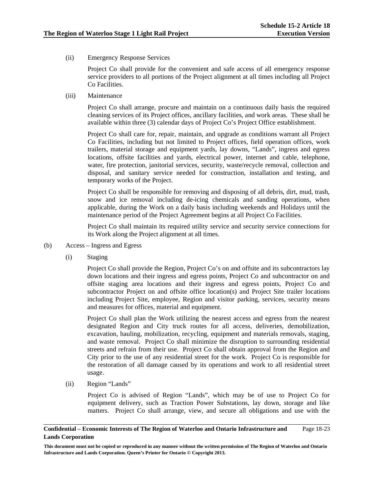(ii) Emergency Response Services

Project Co shall provide for the convenient and safe access of all emergency response service providers to all portions of the Project alignment at all times including all Project Co Facilities.

(iii) Maintenance

Project Co shall arrange, procure and maintain on a continuous daily basis the required cleaning services of its Project offices, ancillary facilities, and work areas. These shall be available within three (3) calendar days of Project Co's Project Office establishment.

Project Co shall care for, repair, maintain, and upgrade as conditions warrant all Project Co Facilities, including but not limited to Project offices, field operation offices, work trailers, material storage and equipment yards, lay downs, "Lands", ingress and egress locations, offsite facilities and yards, electrical power, internet and cable, telephone, water, fire protection, janitorial services, security, waste/recycle removal, collection and disposal, and sanitary service needed for construction, installation and testing, and temporary works of the Project.

Project Co shall be responsible for removing and disposing of all debris, dirt, mud, trash, snow and ice removal including de-icing chemicals and sanding operations, when applicable, during the Work on a daily basis including weekends and Holidays until the maintenance period of the Project Agreement begins at all Project Co Facilities.

Project Co shall maintain its required utility service and security service connections for its Work along the Project alignment at all times.

- (b) Access Ingress and Egress
	- (i) Staging

Project Co shall provide the Region, Project Co's on and offsite and its subcontractors lay down locations and their ingress and egress points, Project Co and subcontractor on and offsite staging area locations and their ingress and egress points, Project Co and subcontractor Project on and offsite office location(s) and Project Site trailer locations including Project Site, employee, Region and visitor parking, services, security means and measures for offices, material and equipment.

Project Co shall plan the Work utilizing the nearest access and egress from the nearest designated Region and City truck routes for all access, deliveries, demobilization, excavation, hauling, mobilization, recycling, equipment and materials removals, staging, and waste removal. Project Co shall minimize the disruption to surrounding residential streets and refrain from their use. Project Co shall obtain approval from the Region and City prior to the use of any residential street for the work. Project Co is responsible for the restoration of all damage caused by its operations and work to all residential street usage.

(ii) Region "Lands"

Project Co is advised of Region "Lands", which may be of use to Project Co for equipment delivery, such as Traction Power Substations, lay down, storage and like matters. Project Co shall arrange, view, and secure all obligations and use with the

### **Confidential – Economic Interests of The Region of Waterloo and Ontario Infrastructure and Lands Corporation**  Page 18-23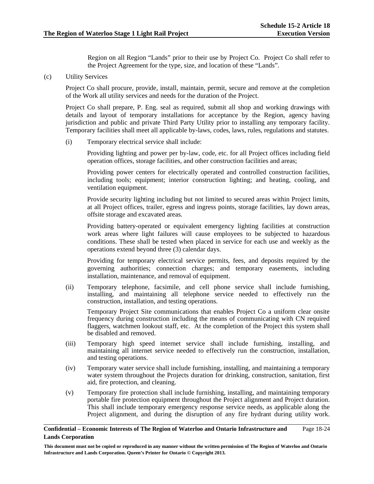Region on all Region "Lands" prior to their use by Project Co. Project Co shall refer to the Project Agreement for the type, size, and location of these "Lands".

(c) Utility Services

 Project Co shall procure, provide, install, maintain, permit, secure and remove at the completion of the Work all utility services and needs for the duration of the Project.

 Project Co shall prepare, P. Eng. seal as required, submit all shop and working drawings with details and layout of temporary installations for acceptance by the Region, agency having jurisdiction and public and private Third Party Utility prior to installing any temporary facility. Temporary facilities shall meet all applicable by-laws, codes, laws, rules, regulations and statutes.

(i) Temporary electrical service shall include:

 Providing lighting and power per by-law, code, etc. for all Project offices including field operation offices, storage facilities, and other construction facilities and areas;

 Providing power centers for electrically operated and controlled construction facilities, including tools; equipment; interior construction lighting; and heating, cooling, and ventilation equipment.

 Provide security lighting including but not limited to secured areas within Project limits, at all Project offices, trailer, egress and ingress points, storage facilities, lay down areas, offsite storage and excavated areas.

 Providing battery-operated or equivalent emergency lighting facilities at construction work areas where light failures will cause employees to be subjected to hazardous conditions. These shall be tested when placed in service for each use and weekly as the operations extend beyond three (3) calendar days.

 Providing for temporary electrical service permits, fees, and deposits required by the governing authorities; connection charges; and temporary easements, including installation, maintenance, and removal of equipment.

 (ii) Temporary telephone, facsimile, and cell phone service shall include furnishing, installing, and maintaining all telephone service needed to effectively run the construction, installation, and testing operations.

 Temporary Project Site communications that enables Project Co a uniform clear onsite frequency during construction including the means of communicating with CN required flaggers, watchmen lookout staff, etc. At the completion of the Project this system shall be disabled and removed.

- (iii) Temporary high speed internet service shall include furnishing, installing, and maintaining all internet service needed to effectively run the construction, installation, and testing operations.
- (iv) Temporary water service shall include furnishing, installing, and maintaining a temporary water system throughout the Projects duration for drinking, construction, sanitation, first aid, fire protection, and cleaning.
- (v) Temporary fire protection shall include furnishing, installing, and maintaining temporary portable fire protection equipment throughout the Project alignment and Project duration. This shall include temporary emergency response service needs, as applicable along the Project alignment, and during the disruption of any fire hydrant during utility work.

#### **Confidential – Economic Interests of The Region of Waterloo and Ontario Infrastructure and Lands Corporation**  Page 18-24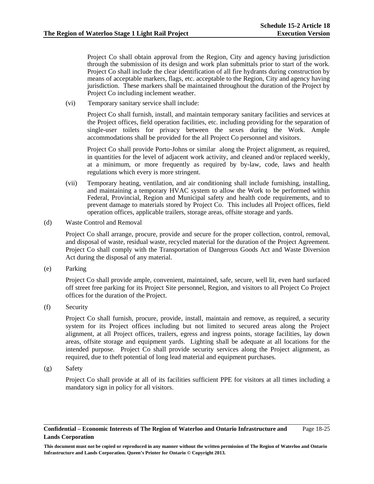Project Co shall obtain approval from the Region, City and agency having jurisdiction through the submission of its design and work plan submittals prior to start of the work. Project Co shall include the clear identification of all fire hydrants during construction by means of acceptable markers, flags, etc. acceptable to the Region, City and agency having jurisdiction. These markers shall be maintained throughout the duration of the Project by Project Co including inclement weather.

(vi) Temporary sanitary service shall include:

Project Co shall furnish, install, and maintain temporary sanitary facilities and services at the Project offices, field operation facilities, etc. including providing for the separation of single-user toilets for privacy between the sexes during the Work. Ample accommodations shall be provided for the all Project Co personnel and visitors.

 Project Co shall provide Porto-Johns or similar along the Project alignment, as required, in quantities for the level of adjacent work activity, and cleaned and/or replaced weekly, at a minimum, or more frequently as required by by-law, code, laws and health regulations which every is more stringent.

- (vii) Temporary heating, ventilation, and air conditioning shall include furnishing, installing, and maintaining a temporary HVAC system to allow the Work to be performed within Federal, Provincial, Region and Municipal safety and health code requirements, and to prevent damage to materials stored by Project Co. This includes all Project offices, field operation offices, applicable trailers, storage areas, offsite storage and yards.
- (d) Waste Control and Removal

 Project Co shall arrange, procure, provide and secure for the proper collection, control, removal, and disposal of waste, residual waste, recycled material for the duration of the Project Agreement. Project Co shall comply with the Transportation of Dangerous Goods Act and Waste Diversion Act during the disposal of any material.

(e) Parking

 Project Co shall provide ample, convenient, maintained, safe, secure, well lit, even hard surfaced off street free parking for its Project Site personnel, Region, and visitors to all Project Co Project offices for the duration of the Project.

(f) Security

 Project Co shall furnish, procure, provide, install, maintain and remove, as required, a security system for its Project offices including but not limited to secured areas along the Project alignment, at all Project offices, trailers, egress and ingress points, storage facilities, lay down areas, offsite storage and equipment yards. Lighting shall be adequate at all locations for the intended purpose. Project Co shall provide security services along the Project alignment, as required, due to theft potential of long lead material and equipment purchases.

(g) Safety

Project Co shall provide at all of its facilities sufficient PPE for visitors at all times including a mandatory sign in policy for all visitors.

### **Confidential – Economic Interests of The Region of Waterloo and Ontario Infrastructure and Lands Corporation**  Page 18-25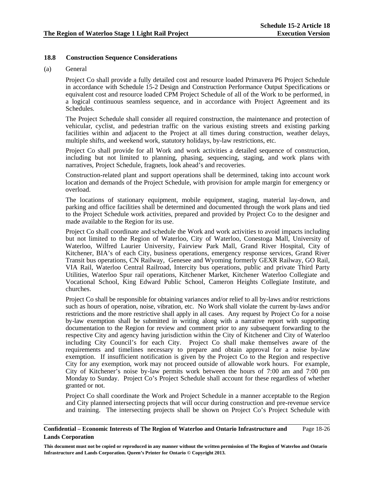# **18.8 Construction Sequence Considerations**

# (a) General

 Project Co shall provide a fully detailed cost and resource loaded Primavera P6 Project Schedule in accordance with Schedule 15-2 Design and Construction Performance Output Specifications or equivalent cost and resource loaded CPM Project Schedule of all of the Work to be performed, in a logical continuous seamless sequence, and in accordance with Project Agreement and its Schedules.

 The Project Schedule shall consider all required construction, the maintenance and protection of vehicular, cyclist, and pedestrian traffic on the various existing streets and existing parking facilities within and adjacent to the Project at all times during construction, weather delays, multiple shifts, and weekend work, statutory holidays, by-law restrictions, etc.

 Project Co shall provide for all Work and work activities a detailed sequence of construction, including but not limited to planning, phasing, sequencing, staging, and work plans with narratives, Project Schedule, fragnets, look ahead's and recoveries.

 Construction-related plant and support operations shall be determined, taking into account work location and demands of the Project Schedule, with provision for ample margin for emergency or overload.

 The locations of stationary equipment, mobile equipment, staging, material lay-down, and parking and office facilities shall be determined and documented through the work plans and tied to the Project Schedule work activities, prepared and provided by Project Co to the designer and made available to the Region for its use.

 Project Co shall coordinate and schedule the Work and work activities to avoid impacts including but not limited to the Region of Waterloo, City of Waterloo, Conestoga Mall, University of Waterloo, Wilfred Laurier University, Fairview Park Mall, Grand River Hospital, City of Kitchener, BIA's of each City, business operations, emergency response services, Grand River Transit bus operations, CN Railway, Genesee and Wyoming formerly GEXR Railway, GO Rail, VIA Rail, Waterloo Central Railroad, Intercity bus operations, public and private Third Party Utilities, Waterloo Spur rail operations, Kitchener Market, Kitchener Waterloo Collegiate and Vocational School, King Edward Public School, Cameron Heights Collegiate Institute, and churches.

Project Co shall be responsible for obtaining variances and/or relief to all by-laws and/or restrictions such as hours of operation, noise, vibration, etc. No Work shall violate the current by-laws and/or restrictions and the more restrictive shall apply in all cases. Any request by Project Co for a noise by-law exemption shall be submitted in writing along with a narrative report with supporting documentation to the Region for review and comment prior to any subsequent forwarding to the respective City and agency having jurisdiction within the City of Kitchener and City of Waterloo including City Council's for each City. Project Co shall make themselves aware of the requirements and timelines necessary to prepare and obtain approval for a noise by-law exemption. If insufficient notification is given by the Project Co to the Region and respective City for any exemption, work may not proceed outside of allowable work hours. For example, City of Kitchener's noise by-law permits work between the hours of 7:00 am and 7:00 pm Monday to Sunday. Project Co's Project Schedule shall account for these regardless of whether granted or not.

Project Co shall coordinate the Work and Project Schedule in a manner acceptable to the Region and City planned intersecting projects that will occur during construction and pre-revenue service and training. The intersecting projects shall be shown on Project Co's Project Schedule with

#### **Confidential – Economic Interests of The Region of Waterloo and Ontario Infrastructure and Lands Corporation**  Page 18-26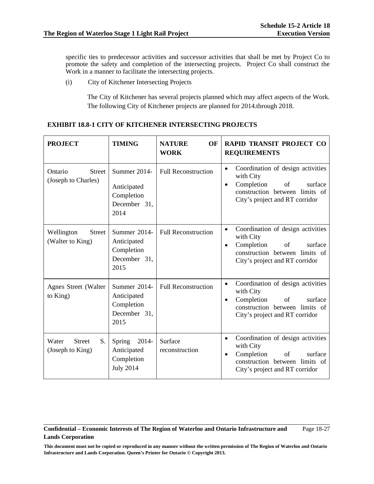specific ties to predecessor activities and successor activities that shall be met by Project Co to promote the safety and completion of the intersecting projects. Project Co shall construct the Work in a manner to facilitate the intersecting projects.

(i) City of Kitchener Intersecting Projects

The City of Kitchener has several projects planned which may affect aspects of the Work. The following City of Kitchener projects are planned for 2014.through 2018.

# **EXHIBIT 18.8-1 CITY OF KITCHENER INTERSECTING PROJECTS**

| <b>PROJECT</b>                                   | <b>TIMING</b>                                                     | <b>NATURE</b><br>OF<br><b>WORK</b> | <b>RAPID TRANSIT PROJECT CO</b><br><b>REQUIREMENTS</b>                                                                                                                      |
|--------------------------------------------------|-------------------------------------------------------------------|------------------------------------|-----------------------------------------------------------------------------------------------------------------------------------------------------------------------------|
| <b>Street</b><br>Ontario<br>(Joseph to Charles)  | Summer 2014-<br>Anticipated<br>Completion<br>December 31,<br>2014 | <b>Full Reconstruction</b>         | Coordination of design activities<br>$\bullet$<br>with City<br>Completion<br>of<br>surface<br>$\bullet$<br>construction between limits of<br>City's project and RT corridor |
| Wellington<br><b>Street</b><br>(Walter to King)  | Summer 2014-<br>Anticipated<br>Completion<br>December 31,<br>2015 | <b>Full Reconstruction</b>         | Coordination of design activities<br>$\bullet$<br>with City<br>Completion<br>of<br>surface<br>$\bullet$<br>construction between limits of<br>City's project and RT corridor |
| Agnes Street (Walter<br>to King)                 | Summer 2014-<br>Anticipated<br>Completion<br>December 31,<br>2015 | <b>Full Reconstruction</b>         | Coordination of design activities<br>$\bullet$<br>with City<br>Completion<br>surface<br>of<br>$\bullet$<br>construction between limits of<br>City's project and RT corridor |
| Water<br><b>Street</b><br>S.<br>(Joseph to King) | 2014-<br>Spring<br>Anticipated<br>Completion<br><b>July 2014</b>  | Surface<br>reconstruction          | Coordination of design activities<br>$\bullet$<br>with City<br>Completion<br>of<br>surface<br>$\bullet$<br>construction between limits of<br>City's project and RT corridor |

## **Confidential – Economic Interests of The Region of Waterloo and Ontario Infrastructure and Lands Corporation**  Page 18-27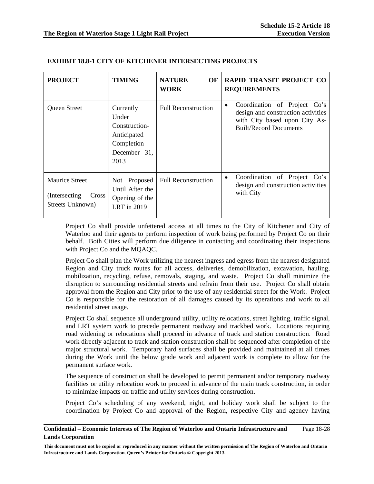| <b>PROJECT</b>                                                              | <b>TIMING</b>                                                                            | <b>NATURE</b><br>OF<br><b>WORK</b> | RAPID TRANSIT PROJECT CO<br><b>REQUIREMENTS</b>                                                                                           |
|-----------------------------------------------------------------------------|------------------------------------------------------------------------------------------|------------------------------------|-------------------------------------------------------------------------------------------------------------------------------------------|
| Queen Street                                                                | Currently<br>Under<br>Construction-<br>Anticipated<br>Completion<br>December 31,<br>2013 | <b>Full Reconstruction</b>         | Coordination of Project Co's<br>٠<br>design and construction activities<br>with City based upon City As-<br><b>Built/Record Documents</b> |
| <b>Maurice Street</b><br>(Intersecting)<br><b>Cross</b><br>Streets Unknown) | Not Proposed<br>Until After the<br>Opening of the<br>LRT in 2019                         | <b>Full Reconstruction</b>         | Coordination of Project<br>Co's<br>$\bullet$<br>design and construction activities<br>with City                                           |

# **EXHIBIT 18.8-1 CITY OF KITCHENER INTERSECTING PROJECTS**

Project Co shall provide unfettered access at all times to the City of Kitchener and City of Waterloo and their agents to perform inspection of work being performed by Project Co on their behalf. Both Cities will perform due diligence in contacting and coordinating their inspections with Project Co and the MQAQC.

Project Co shall plan the Work utilizing the nearest ingress and egress from the nearest designated Region and City truck routes for all access, deliveries, demobilization, excavation, hauling, mobilization, recycling, refuse, removals, staging, and waste. Project Co shall minimize the disruption to surrounding residential streets and refrain from their use. Project Co shall obtain approval from the Region and City prior to the use of any residential street for the Work. Project Co is responsible for the restoration of all damages caused by its operations and work to all residential street usage.

Project Co shall sequence all underground utility, utility relocations, street lighting, traffic signal, and LRT system work to precede permanent roadway and trackbed work. Locations requiring road widening or relocations shall proceed in advance of track and station construction. Road work directly adjacent to track and station construction shall be sequenced after completion of the major structural work. Temporary hard surfaces shall be provided and maintained at all times during the Work until the below grade work and adjacent work is complete to allow for the permanent surface work.

The sequence of construction shall be developed to permit permanent and/or temporary roadway facilities or utility relocation work to proceed in advance of the main track construction, in order to minimize impacts on traffic and utility services during construction.

Project Co's scheduling of any weekend, night, and holiday work shall be subject to the coordination by Project Co and approval of the Region, respective City and agency having

### **Confidential – Economic Interests of The Region of Waterloo and Ontario Infrastructure and Lands Corporation**  Page 18-28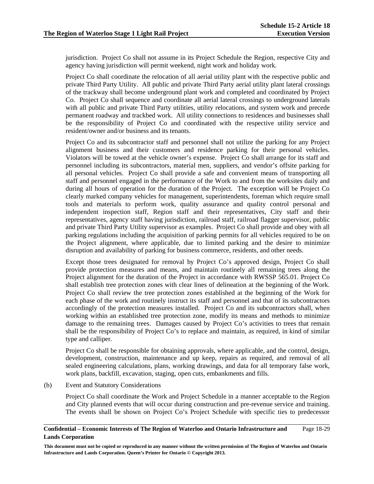jurisdiction. Project Co shall not assume in its Project Schedule the Region, respective City and agency having jurisdiction will permit weekend, night work and holiday work.

Project Co shall coordinate the relocation of all aerial utility plant with the respective public and private Third Party Utility. All public and private Third Party aerial utility plant lateral crossings of the trackway shall become underground plant work and completed and coordinated by Project Co. Project Co shall sequence and coordinate all aerial lateral crossings to underground laterals with all public and private Third Party utilities, utility relocations, and system work and precede permanent roadway and trackbed work. All utility connections to residences and businesses shall be the responsibility of Project Co and coordinated with the respective utility service and resident/owner and/or business and its tenants.

Project Co and its subcontractor staff and personnel shall not utilize the parking for any Project alignment business and their customers and residence parking for their personal vehicles. Violators will be towed at the vehicle owner's expense. Project Co shall arrange for its staff and personnel including its subcontractors, material men, suppliers, and vendor's offsite parking for all personal vehicles. Project Co shall provide a safe and convenient means of transporting all staff and personnel engaged in the performance of the Work to and from the worksites daily and during all hours of operation for the duration of the Project. The exception will be Project Co clearly marked company vehicles for management, superintendents, foreman which require small tools and materials to perform work, quality assurance and quality control personal and independent inspection staff, Region staff and their representatives, City staff and their representatives, agency staff having jurisdiction, railroad staff, railroad flagger supervisor, public and private Third Party Utility supervisor as examples. Project Co shall provide and obey with all parking regulations including the acquisition of parking permits for all vehicles required to be on the Project alignment, where applicable, due to limited parking and the desire to minimize disruption and availability of parking for business commerce, residents, and other needs.

Except those trees designated for removal by Project Co's approved design, Project Co shall provide protection measures and means, and maintain routinely all remaining trees along the Project alignment for the duration of the Project in accordance with RWSSP 565.01. Project Co shall establish tree protection zones with clear lines of delineation at the beginning of the Work. Project Co shall review the tree protection zones established at the beginning of the Work for each phase of the work and routinely instruct its staff and personnel and that of its subcontractors accordingly of the protection measures installed. Project Co and its subcontractors shall, when working within an established tree protection zone, modify its means and methods to minimize damage to the remaining trees. Damages caused by Project Co's activities to trees that remain shall be the responsibility of Project Co's to replace and maintain, as required, in kind of similar type and calliper.

Project Co shall be responsible for obtaining approvals, where applicable, and the control, design, development, construction, maintenance and up keep, repairs as required, and removal of all sealed engineering calculations, plans, working drawings, and data for all temporary false work, work plans, backfill, excavation, staging, open cuts, embankments and fills.

(b) Event and Statutory Considerations

 Project Co shall coordinate the Work and Project Schedule in a manner acceptable to the Region and City planned events that will occur during construction and pre-revenue service and training. The events shall be shown on Project Co's Project Schedule with specific ties to predecessor

#### **Confidential – Economic Interests of The Region of Waterloo and Ontario Infrastructure and Lands Corporation**  Page 18-29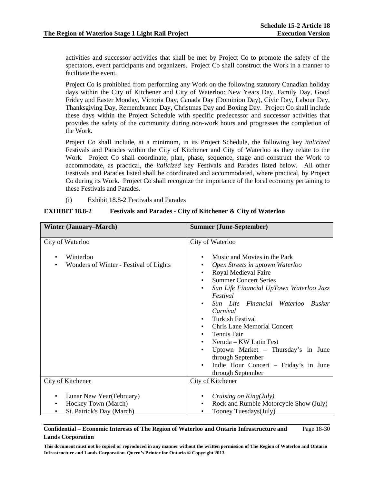activities and successor activities that shall be met by Project Co to promote the safety of the spectators, event participants and organizers. Project Co shall construct the Work in a manner to facilitate the event.

 Project Co is prohibited from performing any Work on the following statutory Canadian holiday days within the City of Kitchener and City of Waterloo: New Years Day, Family Day, Good Friday and Easter Monday, Victoria Day, Canada Day (Dominion Day), Civic Day, Labour Day, Thanksgiving Day, Remembrance Day, Christmas Day and Boxing Day. Project Co shall include these days within the Project Schedule with specific predecessor and successor activities that provides the safety of the community during non-work hours and progresses the completion of the Work.

 Project Co shall include, at a minimum, in its Project Schedule, the following key *italicized* Festivals and Parades within the City of Kitchener and City of Waterloo as they relate to the Work. Project Co shall coordinate, plan, phase, sequence, stage and construct the Work to accommodate, as practical, the *italicized* key Festivals and Parades listed below. All other Festivals and Parades listed shall be coordinated and accommodated, where practical, by Project Co during its Work. Project Co shall recognize the importance of the local economy pertaining to these Festivals and Parades.

(i) Exhibit 18.8-2 Festivals and Parades

# **EXHIBIT 18.8-2 Festivals and Parades - City of Kitchener & City of Waterloo**

| <b>Winter (January–March)</b>                                                               | <b>Summer (June-September)</b>                                                                                                                                                                                                                                                                                                                                                                                                                                                                                                                                                          |
|---------------------------------------------------------------------------------------------|-----------------------------------------------------------------------------------------------------------------------------------------------------------------------------------------------------------------------------------------------------------------------------------------------------------------------------------------------------------------------------------------------------------------------------------------------------------------------------------------------------------------------------------------------------------------------------------------|
| <b>City of Waterloo</b><br>Winterloo<br>Wonders of Winter - Festival of Lights<br>$\bullet$ | <b>City of Waterloo</b><br>Music and Movies in the Park<br>Open Streets in uptown Waterloo<br>Royal Medieval Faire<br>٠<br><b>Summer Concert Series</b><br>$\bullet$<br>Sun Life Financial UpTown Waterloo Jazz<br>$\bullet$<br>Festival<br>Sun Life Financial Waterloo Busker<br>$\bullet$<br>Carnival<br>Turkish Festival<br>$\bullet$<br><b>Chris Lane Memorial Concert</b><br>$\bullet$<br>Tennis Fair<br>$\bullet$<br>Neruda – KW Latin Fest<br>$\bullet$<br>Uptown Market – Thursday's in June<br>through September<br>Indie Hour Concert – Friday's in June<br>through September |
| <b>City of Kitchener</b>                                                                    | <b>City of Kitchener</b>                                                                                                                                                                                                                                                                                                                                                                                                                                                                                                                                                                |
| Lunar New Year(February)<br>Hockey Town (March)<br>$\bullet$<br>St. Patrick's Day (March)   | Cruising on King(July)<br>Rock and Rumble Motorcycle Show (July)<br>٠<br>Tooney Tuesdays(July)                                                                                                                                                                                                                                                                                                                                                                                                                                                                                          |

### **Confidential – Economic Interests of The Region of Waterloo and Ontario Infrastructure and Lands Corporation**  Page 18-30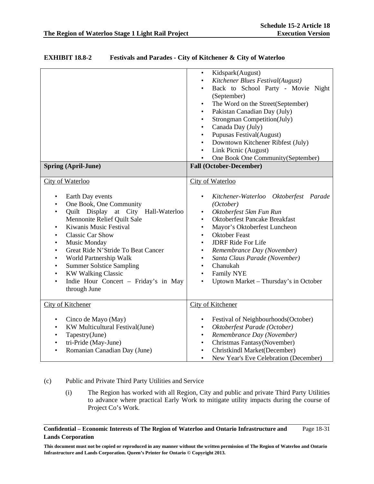| <b>EXHIBIT 18.8-2</b> | <b>Festivals and Parades - City of Kitchener &amp; City of Waterloo</b> |
|-----------------------|-------------------------------------------------------------------------|
|-----------------------|-------------------------------------------------------------------------|

| <b>Spring (April-June)</b>                                                                                                                                                                                                                                                                                                                                                                                                                                                                                                                        | Kidspark(August)<br>$\bullet$<br>Kitchener Blues Festival(August)<br>$\bullet$<br>Back to School Party - Movie Night<br>$\bullet$<br>(September)<br>The Word on the Street(September)<br>$\bullet$<br>Pakistan Canadian Day (July)<br>$\bullet$<br>Strongman Competition(July)<br>$\bullet$<br>Canada Day (July)<br>$\bullet$<br>Pupusas Festival(August)<br>$\bullet$<br>Downtown Kitchener Ribfest (July)<br>$\bullet$<br>Link Picnic (August)<br>$\bullet$<br>One Book One Community (September)<br><b>Fall (October-December)</b> |
|---------------------------------------------------------------------------------------------------------------------------------------------------------------------------------------------------------------------------------------------------------------------------------------------------------------------------------------------------------------------------------------------------------------------------------------------------------------------------------------------------------------------------------------------------|---------------------------------------------------------------------------------------------------------------------------------------------------------------------------------------------------------------------------------------------------------------------------------------------------------------------------------------------------------------------------------------------------------------------------------------------------------------------------------------------------------------------------------------|
| City of Waterloo<br>Earth Day events<br>$\bullet$<br>One Book, One Community<br>$\bullet$<br>Quilt Display at City Hall-Waterloo<br>$\bullet$<br>Mennonite Relief Quilt Sale<br>Kiwanis Music Festival<br>$\bullet$<br><b>Classic Car Show</b><br>$\bullet$<br>Music Monday<br>$\bullet$<br>Great Ride N'Stride To Beat Cancer<br>$\bullet$<br>World Partnership Walk<br>$\bullet$<br><b>Summer Solstice Sampling</b><br>$\bullet$<br><b>KW Walking Classic</b><br>$\bullet$<br>Indie Hour Concert - Friday's in May<br>$\bullet$<br>through June | City of Waterloo<br>Kitchener-Waterloo Oktoberfest Parade<br>$\bullet$<br>(October)<br>Oktoberfest 5km Fun Run<br>$\bullet$<br><b>Oktoberfest Pancake Breakfast</b><br>$\bullet$<br>Mayor's Oktoberfest Luncheon<br>$\bullet$<br><b>Oktober Feast</b><br>$\bullet$<br><b>JDRF Ride For Life</b><br>$\bullet$<br>Remembrance Day (November)<br>$\bullet$<br>Santa Claus Parade (November)<br>$\bullet$<br>Chanukah<br>$\bullet$<br>Family NYE<br>$\bullet$<br>Uptown Market - Thursday's in October<br>$\bullet$                       |
| <b>City of Kitchener</b><br>Cinco de Mayo (May)<br>$\bullet$<br>KW Multicultural Festival(June)<br>$\bullet$<br>Tapestry(June)<br>$\bullet$<br>tri-Pride (May-June)<br>$\bullet$<br>Romanian Canadian Day (June)<br>$\bullet$                                                                                                                                                                                                                                                                                                                     | <b>City of Kitchener</b><br>Festival of Neighbourhoods (October)<br>٠<br>Oktoberfest Parade (October)<br>$\bullet$<br>Remembrance Day (November)<br>$\bullet$<br>Christmas Fantasy(November)<br>$\bullet$<br>Christkindl Market(December)<br>$\bullet$<br>New Year's Eve Celebration (December)<br>$\bullet$                                                                                                                                                                                                                          |

# (c) Public and Private Third Party Utilities and Service

(i) The Region has worked with all Region, City and public and private Third Party Utilities to advance where practical Early Work to mitigate utility impacts during the course of Project Co's Work.

**Confidential – Economic Interests of The Region of Waterloo and Ontario Infrastructure and Lands Corporation**  Page 18-31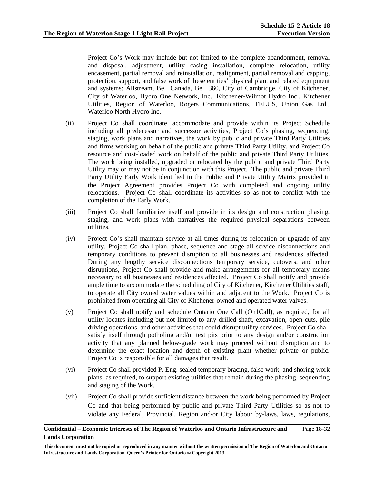Project Co's Work may include but not limited to the complete abandonment, removal and disposal, adjustment, utility casing installation, complete relocation, utility encasement, partial removal and reinstallation, realignment, partial removal and capping, protection, support, and false work of these entities' physical plant and related equipment and systems: Allstream, Bell Canada, Bell 360, City of Cambridge, City of Kitchener, City of Waterloo, Hydro One Network, Inc., Kitchener-Wilmot Hydro Inc., Kitchener Utilities, Region of Waterloo, Rogers Communications, TELUS, Union Gas Ltd., Waterloo North Hydro Inc.

- (ii) Project Co shall coordinate, accommodate and provide within its Project Schedule including all predecessor and successor activities, Project Co's phasing, sequencing, staging, work plans and narratives, the work by public and private Third Party Utilities and firms working on behalf of the public and private Third Party Utility, and Project Co resource and cost-loaded work on behalf of the public and private Third Party Utilities. The work being installed, upgraded or relocated by the public and private Third Party Utility may or may not be in conjunction with this Project. The public and private Third Party Utility Early Work identified in the Public and Private Utility Matrix provided in the Project Agreement provides Project Co with completed and ongoing utility relocations. Project Co shall coordinate its activities so as not to conflict with the completion of the Early Work.
- (iii) Project Co shall familiarize itself and provide in its design and construction phasing, staging, and work plans with narratives the required physical separations between utilities.
- (iv) Project Co's shall maintain service at all times during its relocation or upgrade of any utility. Project Co shall plan, phase, sequence and stage all service disconnections and temporary conditions to prevent disruption to all businesses and residences affected. During any lengthy service disconnections temporary service, cutovers, and other disruptions, Project Co shall provide and make arrangements for all temporary means necessary to all businesses and residences affected. Project Co shall notify and provide ample time to accommodate the scheduling of City of Kitchener, Kitchener Utilities staff, to operate all City owned water values within and adjacent to the Work. Project Co is prohibited from operating all City of Kitchener-owned and operated water valves.
- (v) Project Co shall notify and schedule Ontario One Call (On1Call), as required, for all utility locates including but not limited to any drilled shaft, excavation, open cuts, pile driving operations, and other activities that could disrupt utility services. Project Co shall satisfy itself through potholing and/or test pits prior to any design and/or construction activity that any planned below-grade work may proceed without disruption and to determine the exact location and depth of existing plant whether private or public. Project Co is responsible for all damages that result.
- (vi) Project Co shall provided P. Eng. sealed temporary bracing, false work, and shoring work plans, as required, to support existing utilities that remain during the phasing, sequencing and staging of the Work.
- (vii) Project Co shall provide sufficient distance between the work being performed by Project Co and that being performed by public and private Third Party Utilities so as not to violate any Federal, Provincial, Region and/or City labour by-laws, laws, regulations,

### **Confidential – Economic Interests of The Region of Waterloo and Ontario Infrastructure and Lands Corporation**  Page 18-32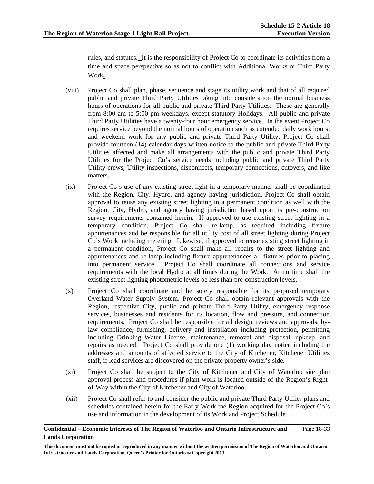rules, and statutes.It is the responsibility of Project Co to coordinate its activities from a time and space perspective so as not to conflict with Additional Works or Third Party Work**.**

- (viii) Project Co shall plan, phase, sequence and stage its utility work and that of all required public and private Third Party Utilities taking into consideration the normal business hours of operations for all public and private Third Party Utilities. These are generally from 8:00 am to 5:00 pm weekdays, except statutory Holidays. All public and private Third Party Utilities have a twenty-four hour emergency service. In the event Project Co requires service beyond the normal hours of operation such as extended daily work hours, and weekend work for any public and private Third Party Utility, Project Co shall provide fourteen (14) calendar days written notice to the public and private Third Party Utilities affected and make all arrangements with the public and private Third Party Utilities for the Project Co's service needs including public and private Third Party Utility crews, Utility inspections, disconnects, temporary connections, cutovers, and like matters.
- (ix) Project Co's use of any existing street light in a temporary manner shall be coordinated with the Region, City, Hydro, and agency having jurisdiction. Project Co shall obtain approval to reuse any existing street lighting in a permanent condition as well with the Region, City, Hydro, and agency having jurisdiction based upon its pre-construction survey requirements contained herein. If approved to use existing street lighting in a temporary condition, Project Co shall re-lamp, as required including fixture appurtenances and be responsible for all utility cost of all street lighting during Project Co's Work including metering. Likewise, if approved to reuse existing street lighting in a permanent condition, Project Co shall make all repairs to the street lighting and appurtenances and re-lamp including fixture appurtenances all fixtures prior to placing into permanent service. Project Co shall coordinate all connections and service requirements with the local Hydro at all times during the Work. At no time shall the existing street lighting photometric levels be less than pre-construction levels.
- (x) Project Co shall coordinate and be solely responsible for its proposed temporary Overland Water Supply System. Project Co shall obtain relevant approvals with the Region, respective City, public and private Third Party Utility, emergency response services, businesses and residents for its location, flow and pressure, and connection requirements. Project Co shall be responsible for all design, reviews and approvals, bylaw compliance, furnishing, delivery and installation including protection, permitting including Drinking Water License, maintenance, removal and disposal, upkeep, and repairs as needed. Project Co shall provide one (1) working day notice including the addresses and amounts of affected service to the City of Kitchener, Kitchener Utilities staff, if lead services are discovered on the private property owner's side.
- (xi) Project Co shall be subject to the City of Kitchener and City of Waterloo site plan approval process and procedures if plant work is located outside of the Region's Rightof-Way within the City of Kitchener and City of Waterloo.
- (xii) Project Co shall refer to and consider the public and private Third Party Utility plans and schedules contained herein for the Early Work the Region acquired for the Project Co's use and information in the development of its Work and Project Schedule.

### **Confidential – Economic Interests of The Region of Waterloo and Ontario Infrastructure and Lands Corporation**  Page 18-33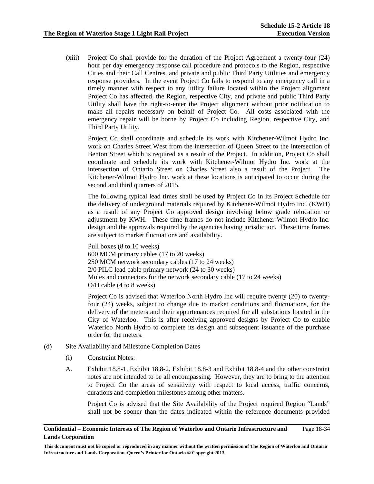(xiii) Project Co shall provide for the duration of the Project Agreement a twenty-four (24) hour per day emergency response call procedure and protocols to the Region, respective Cities and their Call Centres, and private and public Third Party Utilities and emergency response providers. In the event Project Co fails to respond to any emergency call in a timely manner with respect to any utility failure located within the Project alignment Project Co has affected, the Region, respective City, and private and public Third Party Utility shall have the right-to-enter the Project alignment without prior notification to make all repairs necessary on behalf of Project Co. All costs associated with the emergency repair will be borne by Project Co including Region, respective City, and Third Party Utility.

 Project Co shall coordinate and schedule its work with Kitchener-Wilmot Hydro Inc. work on Charles Street West from the intersection of Queen Street to the intersection of Benton Street which is required as a result of the Project. In addition, Project Co shall coordinate and schedule its work with Kitchener-Wilmot Hydro Inc. work at the intersection of Ontario Street on Charles Street also a result of the Project. The Kitchener-Wilmot Hydro Inc. work at these locations is anticipated to occur during the second and third quarters of 2015.

The following typical lead times shall be used by Project Co in its Project Schedule for the delivery of underground materials required by Kitchener-Wilmot Hydro Inc. (KWH) as a result of any Project Co approved design involving below grade relocation or adjustment by KWH. These time frames do not include Kitchener-Wilmot Hydro Inc. design and the approvals required by the agencies having jurisdiction. These time frames are subject to market fluctuations and availability.

Pull boxes (8 to 10 weeks) 600 MCM primary cables (17 to 20 weeks) 250 MCM network secondary cables (17 to 24 weeks) 2/0 PILC lead cable primary network (24 to 30 weeks) Moles and connectors for the network secondary cable (17 to 24 weeks) O/H cable (4 to 8 weeks)

 Project Co is advised that Waterloo North Hydro Inc will require twenty (20) to twentyfour (24) weeks, subject to change due to market conditions and fluctuations, for the delivery of the meters and their appurtenances required for all substations located in the City of Waterloo. This is after receiving approved designs by Project Co to enable Waterloo North Hydro to complete its design and subsequent issuance of the purchase order for the meters.

- (d) Site Availability and Milestone Completion Dates
	- (i) Constraint Notes:
	- A. Exhibit 18.8-1, Exhibit 18.8-2, Exhibit 18.8-3 and Exhibit 18.8-4 and the other constraint notes are not intended to be all encompassing. However, they are to bring to the attention to Project Co the areas of sensitivity with respect to local access, traffic concerns, durations and completion milestones among other matters.

Project Co is advised that the Site Availability of the Project required Region "Lands" shall not be sooner than the dates indicated within the reference documents provided

#### **Confidential – Economic Interests of The Region of Waterloo and Ontario Infrastructure and Lands Corporation**  Page 18-34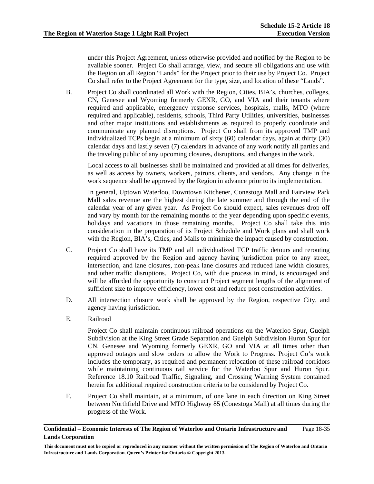under this Project Agreement, unless otherwise provided and notified by the Region to be available sooner. Project Co shall arrange, view, and secure all obligations and use with the Region on all Region "Lands" for the Project prior to their use by Project Co. Project Co shall refer to the Project Agreement for the type, size, and location of these "Lands".

B. Project Co shall coordinated all Work with the Region, Cities, BIA's, churches, colleges, CN, Genesee and Wyoming formerly GEXR, GO, and VIA and their tenants where required and applicable, emergency response services, hospitals, malls, MTO (where required and applicable), residents, schools, Third Party Utilities, universities, businesses and other major institutions and establishments as required to properly coordinate and communicate any planned disruptions. Project Co shall from its approved TMP and individualized TCPs begin at a minimum of sixty (60) calendar days, again at thirty (30) calendar days and lastly seven (7) calendars in advance of any work notify all parties and the traveling public of any upcoming closures, disruptions, and changes in the work.

Local access to all businesses shall be maintained and provided at all times for deliveries, as well as access by owners, workers, patrons, clients, and vendors. Any change in the work sequence shall be approved by the Region in advance prior to its implementation.

In general, Uptown Waterloo, Downtown Kitchener, Conestoga Mall and Fairview Park Mall sales revenue are the highest during the late summer and through the end of the calendar year of any given year. As Project Co should expect, sales revenues drop off and vary by month for the remaining months of the year depending upon specific events, holidays and vacations in those remaining months. Project Co shall take this into consideration in the preparation of its Project Schedule and Work plans and shall work with the Region, BIA's, Cities, and Malls to minimize the impact caused by construction.

- C. Project Co shall have its TMP and all individualized TCP traffic detours and rerouting required approved by the Region and agency having jurisdiction prior to any street, intersection, and lane closures, non-peak lane closures and reduced lane width closures, and other traffic disruptions. Project Co, with due process in mind, is encouraged and will be afforded the opportunity to construct Project segment lengths of the alignment of sufficient size to improve efficiency, lower cost and reduce post construction activities.
- D. All intersection closure work shall be approved by the Region, respective City, and agency having jurisdiction.
- E. Railroad

Project Co shall maintain continuous railroad operations on the Waterloo Spur, Guelph Subdivision at the King Street Grade Separation and Guelph Subdivision Huron Spur for CN, Genesee and Wyoming formerly GEXR, GO and VIA at all times other than approved outages and slow orders to allow the Work to Progress. Project Co's work includes the temporary, as required and permanent relocation of these railroad corridors while maintaining continuous rail service for the Waterloo Spur and Huron Spur. Reference 18.10 Railroad Traffic, Signaling, and Crossing Warning System contained herein for additional required construction criteria to be considered by Project Co.

F. Project Co shall maintain, at a minimum, of one lane in each direction on King Street between Northfield Drive and MTO Highway 85 (Conestoga Mall) at all times during the progress of the Work.

#### **Confidential – Economic Interests of The Region of Waterloo and Ontario Infrastructure and Lands Corporation**  Page 18-35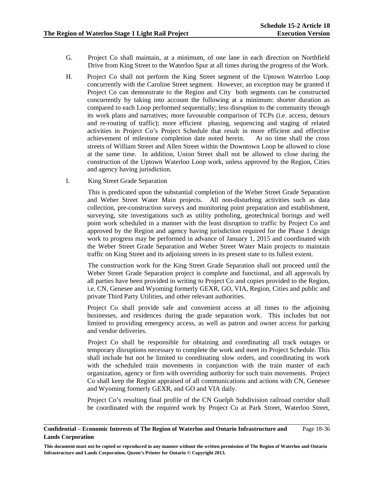- G. Project Co shall maintain, at a minimum, of one lane in each direction on Northfield Drive from King Street to the Waterloo Spur at all times during the progress of the Work.
- H. Project Co shall not perform the King Street segment of the Uptown Waterloo Loop concurrently with the Caroline Street segment. However, an exception may be granted if Project Co can demonstrate to the Region and City both segments can be constructed concurrently by taking into account the following at a minimum: shorter duration as compared to each Loop performed sequentially; less disruption to the community through its work plans and narratives; more favourable comparison of TCPs (i.e. access, detours and re-routing of traffic); more efficient phasing, sequencing and staging of related activities in Project Co's Project Schedule that result in more efficient and effective achievement of milestone completion date noted herein. At no time shall the cross streets of William Street and Allen Street within the Downtown Loop be allowed to close at the same time. In addition, Union Street shall not be allowed to close during the construction of the Uptown Waterloo Loop work, unless approved by the Region, Cities and agency having jurisdiction.
- I. King Street Grade Separation

This is predicated upon the substantial completion of the Weber Street Grade Separation and Weber Street Water Main projects. All non-disturbing activities such as data collection, pre-construction surveys and monitoring point preparation and establishment, surveying, site investigations such as utility potholing, geotechnical borings and well point work scheduled in a manner with the least disruption to traffic by Project Co and approved by the Region and agency having jurisdiction required for the Phase 1 design work to progress may be performed in advance of January 1, 2015 and coordinated with the Weber Street Grade Separation and Weber Street Water Main projects to maintain traffic on King Street and its adjoining streets in its present state to its fullest extent.

 The construction work for the King Street Grade Separation shall not proceed until the Weber Street Grade Separation project is complete and functional, and all approvals by all parties have been provided in writing to Project Co and copies provided to the Region, i.e. CN, Genesee and Wyoming formerly GEXR, GO, VIA, Region, Cities and public and private Third Party Utilities, and other relevant authorities.

Project Co shall provide safe and convenient access at all times to the adjoining businesses, and residences during the grade separation work. This includes but not limited to providing emergency access, as well as patron and owner access for parking and vendor deliveries.

Project Co shall be responsible for obtaining and coordinating all track outages or temporary disruptions necessary to complete the work and meet its Project Schedule. This shall include but not be limited to coordinating slow orders, and coordinating its work with the scheduled train movements in conjunction with the train master of each organization, agency or firm with overriding authority for such train movements. Project Co shall keep the Region appraised of all communications and actions with CN, Genesee and Wyoming formerly GEXR, and GO and VIA daily.

Project Co's resulting final profile of the CN Guelph Subdivision railroad corridor shall be coordinated with the required work by Project Co at Park Street, Waterloo Street,

#### **Confidential – Economic Interests of The Region of Waterloo and Ontario Infrastructure and Lands Corporation**  Page 18-36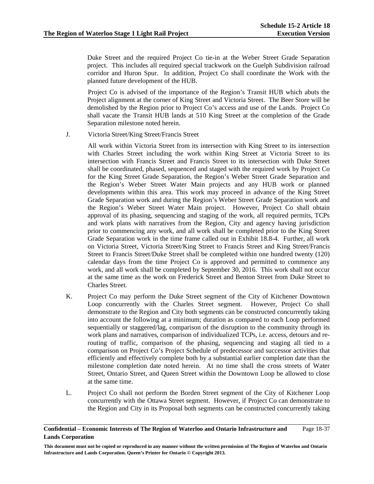Duke Street and the required Project Co tie-in at the Weber Street Grade Separation project. This includes all required special trackwork on the Guelph Subdivision railroad corridor and Huron Spur. In addition, Project Co shall coordinate the Work with the planned future development of the HUB.

 Project Co is advised of the importance of the Region's Transit HUB which abuts the Project alignment at the corner of King Street and Victoria Street. The Beer Store will be demolished by the Region prior to Project Co's access and use of the Lands. Project Co shall vacate the Transit HUB lands at 510 King Street at the completion of the Grade Separation milestone noted herein.

J. Victoria Street/King Street/Francis Street

All work within Victoria Street from its intersection with King Street to its intersection with Charles Street including the work within King Street at Victoria Street to its intersection with Francis Street and Francis Street to its intersection with Duke Street shall be coordinated, phased, sequenced and staged with the required work by Project Co for the King Street Grade Separation, the Region's Weber Street Grade Separation and the Region's Weber Street Water Main projects and any HUB work or planned developments within this area. This work may proceed in advance of the King Street Grade Separation work and during the Region's Weber Street Grade Separation work and the Region's Weber Street Water Main project. However, Project Co shall obtain approval of its phasing, sequencing and staging of the work, all required permits, TCPs and work plans with narratives from the Region, City and agency having jurisdiction prior to commencing any work, and all work shall be completed prior to the King Street Grade Separation work in the time frame called out in Exhibit 18.8-4. Further, all work on Victoria Street, Victoria Street/King Street to Francis Street and King Street/Francis Street to Francis Street/Duke Street shall be completed within one hundred twenty (120) calendar days from the time Project Co is approved and permitted to commence any work, and all work shall be completed by September 30, 2016. This work shall not occur at the same time as the work on Frederick Street and Benton Street from Duke Street to Charles Street.

- K. Project Co may perform the Duke Street segment of the City of Kitchener Downtown Loop concurrently with the Charles Street segment. However, Project Co shall demonstrate to the Region and City both segments can be constructed concurrently taking into account the following at a minimum; duration as compared to each Loop performed sequentially or staggered/lag, comparison of the disruption to the community through its work plans and narratives, comparison of individualized TCPs, i.e. access, detours and rerouting of traffic, comparison of the phasing, sequencing and staging all tied to a comparison on Project Co's Project Schedule of predecessor and successor activities that efficiently and effectively complete both by a substantial earlier completion date than the milestone completion date noted herein. At no time shall the cross streets of Water Street, Ontario Street, and Queen Street within the Downtown Loop be allowed to close at the same time.
- L. Project Co shall not perform the Borden Street segment of the City of Kitchener Loop concurrently with the Ottawa Street segment. However, if Project Co can demonstrate to the Region and City in its Proposal both segments can be constructed concurrently taking

#### **Confidential – Economic Interests of The Region of Waterloo and Ontario Infrastructure and Lands Corporation**  Page 18-37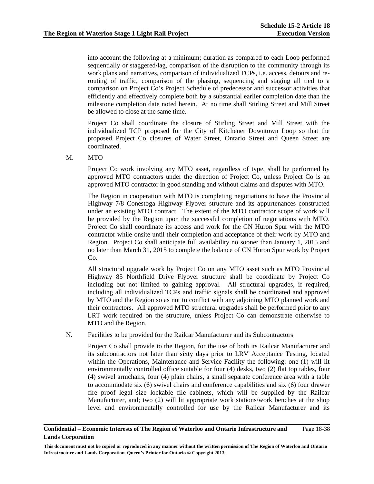into account the following at a minimum; duration as compared to each Loop performed sequentially or staggered/lag, comparison of the disruption to the community through its work plans and narratives, comparison of individualized TCPs, i.e. access, detours and rerouting of traffic, comparison of the phasing, sequencing and staging all tied to a comparison on Project Co's Project Schedule of predecessor and successor activities that efficiently and effectively complete both by a substantial earlier completion date than the milestone completion date noted herein. At no time shall Stirling Street and Mill Street be allowed to close at the same time.

Project Co shall coordinate the closure of Stirling Street and Mill Street with the individualized TCP proposed for the City of Kitchener Downtown Loop so that the proposed Project Co closures of Water Street, Ontario Street and Queen Street are coordinated.

M. MTO

Project Co work involving any MTO asset, regardless of type, shall be performed by approved MTO contractors under the direction of Project Co, unless Project Co is an approved MTO contractor in good standing and without claims and disputes with MTO.

The Region in cooperation with MTO is completing negotiations to have the Provincial Highway 7/8 Conestoga Highway Flyover structure and its appurtenances constructed under an existing MTO contract. The extent of the MTO contractor scope of work will be provided by the Region upon the successful completion of negotiations with MTO. Project Co shall coordinate its access and work for the CN Huron Spur with the MTO contractor while onsite until their completion and acceptance of their work by MTO and Region. Project Co shall anticipate full availability no sooner than January 1, 2015 and no later than March 31, 2015 to complete the balance of CN Huron Spur work by Project Co.

All structural upgrade work by Project Co on any MTO asset such as MTO Provincial Highway 85 Northfield Drive Flyover structure shall be coordinate by Project Co including but not limited to gaining approval. All structural upgrades, if required, including all individualized TCPs and traffic signals shall be coordinated and approved by MTO and the Region so as not to conflict with any adjoining MTO planned work and their contractors. All approved MTO structural upgrades shall be performed prior to any LRT work required on the structure, unless Project Co can demonstrate otherwise to MTO and the Region.

N. Facilities to be provided for the Railcar Manufacturer and its Subcontractors

Project Co shall provide to the Region, for the use of both its Railcar Manufacturer and its subcontractors not later than sixty days prior to LRV Acceptance Testing, located within the Operations, Maintenance and Service Facility the following: one (1) will lit environmentally controlled office suitable for four (4) desks, two (2) flat top tables, four (4) swivel armchairs, four (4) plain chairs, a small separate conference area with a table to accommodate six (6) swivel chairs and conference capabilities and six (6) four drawer fire proof legal size lockable file cabinets, which will be supplied by the Railcar Manufacturer, and; two (2) will lit appropriate work stations/work benches at the shop level and environmentally controlled for use by the Railcar Manufacturer and its

#### **Confidential – Economic Interests of The Region of Waterloo and Ontario Infrastructure and Lands Corporation**  Page 18-38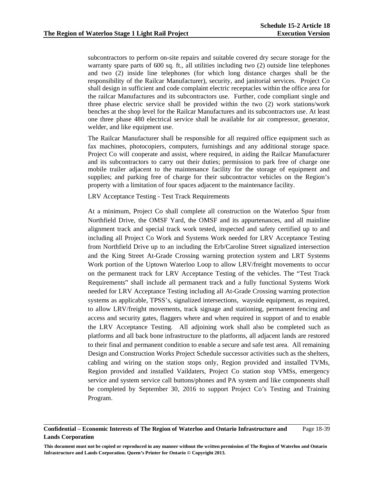subcontractors to perform on-site repairs and suitable covered dry secure storage for the warranty spare parts of 600 sq. ft., all utilities including two (2) outside line telephones and two (2) inside line telephones (for which long distance charges shall be the responsibility of the Railcar Manufacturer), security, and janitorial services. Project Co shall design in sufficient and code complaint electric receptacles within the office area for the railcar Manufactures and its subcontractors use. Further, code compliant single and three phase electric service shall be provided within the two (2) work stations/work benches at the shop level for the Railcar Manufactures and its subcontractors use. At least one three phase 480 electrical service shall be available for air compressor, generator, welder, and like equipment use.

The Railcar Manufacturer shall be responsible for all required office equipment such as fax machines, photocopiers, computers, furnishings and any additional storage space. Project Co will cooperate and assist, where required, in aiding the Railcar Manufacturer and its subcontractors to carry out their duties; permission to park free of charge one mobile trailer adjacent to the maintenance facility for the storage of equipment and supplies; and parking free of charge for their subcontractor vehicles on the Region's property with a limitation of four spaces adjacent to the maintenance facility.

LRV Acceptance Testing - Test Track Requirements

At a minimum, Project Co shall complete all construction on the Waterloo Spur from Northfield Drive, the OMSF Yard, the OMSF and its appurtenances, and all mainline alignment track and special track work tested, inspected and safety certified up to and including all Project Co Work and Systems Work needed for LRV Acceptance Testing from Northfield Drive up to an including the Erb/Caroline Street signalized intersection and the King Street At-Grade Crossing warning protection system and LRT Systems Work portion of the Uptown Waterloo Loop to allow LRV/freight movements to occur on the permanent track for LRV Acceptance Testing of the vehicles. The "Test Track Requirements" shall include all permanent track and a fully functional Systems Work needed for LRV Acceptance Testing including all At-Grade Crossing warning protection systems as applicable, TPSS's, signalized intersections, wayside equipment, as required, to allow LRV/freight movements, track signage and stationing, permanent fencing and access and security gates, flaggers where and when required in support of and to enable the LRV Acceptance Testing. All adjoining work shall also be completed such as platforms and all back bone infrastructure to the platforms, all adjacent lands are restored to their final and permanent condition to enable a secure and safe test area. All remaining Design and Construction Works Project Schedule successor activities such as the shelters, cabling and wiring on the station stops only, Region provided and installed TVMs, Region provided and installed Vaildaters, Project Co station stop VMSs, emergency service and system service call buttons/phones and PA system and like components shall be completed by September 30, 2016 to support Project Co's Testing and Training Program.

#### **Confidential – Economic Interests of The Region of Waterloo and Ontario Infrastructure and Lands Corporation**  Page 18-39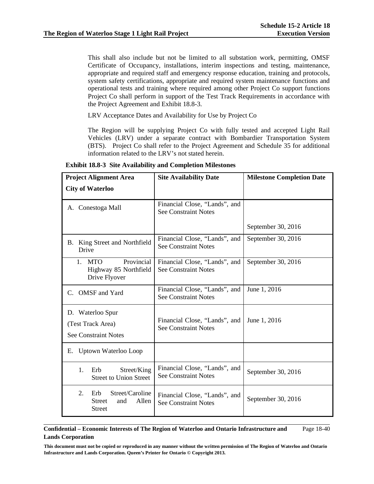This shall also include but not be limited to all substation work, permitting, OMSF Certificate of Occupancy, installations, interim inspections and testing, maintenance, appropriate and required staff and emergency response education, training and protocols, system safety certifications, appropriate and required system maintenance functions and operational tests and training where required among other Project Co support functions Project Co shall perform in support of the Test Track Requirements in accordance with the Project Agreement and Exhibit 18.8-3.

LRV Acceptance Dates and Availability for Use by Project Co

The Region will be supplying Project Co with fully tested and accepted Light Rail Vehicles (LRV) under a separate contract with Bombardier Transportation System (BTS). Project Co shall refer to the Project Agreement and Schedule 35 for additional information related to the LRV's not stated herein.

| <b>Project Alignment Area</b>                                                        | <b>Site Availability Date</b>                                | <b>Milestone Completion Date</b> |  |
|--------------------------------------------------------------------------------------|--------------------------------------------------------------|----------------------------------|--|
| <b>City of Waterloo</b>                                                              |                                                              |                                  |  |
| A. Conestoga Mall                                                                    | Financial Close, "Lands", and<br><b>See Constraint Notes</b> |                                  |  |
|                                                                                      |                                                              | September 30, 2016               |  |
| B. King Street and Northfield<br>Drive                                               | Financial Close, "Lands", and<br><b>See Constraint Notes</b> | September 30, 2016               |  |
| Provincial<br>1. MTO<br>Highway 85 Northfield<br>Drive Flyover                       | Financial Close, "Lands", and<br><b>See Constraint Notes</b> | September 30, 2016               |  |
| C. OMSF and Yard                                                                     | Financial Close, "Lands", and<br><b>See Constraint Notes</b> | June 1, 2016                     |  |
| D. Waterloo Spur<br>(Test Track Area)<br><b>See Constraint Notes</b>                 | Financial Close, "Lands", and<br><b>See Constraint Notes</b> | June 1, 2016                     |  |
| E. Uptown Waterloo Loop                                                              |                                                              |                                  |  |
| 1.<br>Street/King<br>Erb<br><b>Street to Union Street</b>                            | Financial Close, "Lands", and<br><b>See Constraint Notes</b> | September 30, 2016               |  |
| $2^{2}$<br>Street/Caroline<br>Erb.<br>Allen<br><b>Street</b><br>and<br><b>Street</b> | Financial Close, "Lands", and<br><b>See Constraint Notes</b> | September 30, 2016               |  |

**Exhibit 18.8-3 Site Availability and Completion Milestones** 

#### **Confidential – Economic Interests of The Region of Waterloo and Ontario Infrastructure and Lands Corporation**  Page 18-40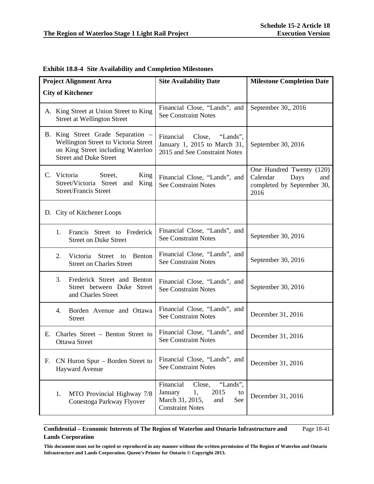| <b>Project Alignment Area</b> |                                                                                                                                                 | <b>Site Availability Date</b>                                                                                              | <b>Milestone Completion Date</b>                                                          |  |
|-------------------------------|-------------------------------------------------------------------------------------------------------------------------------------------------|----------------------------------------------------------------------------------------------------------------------------|-------------------------------------------------------------------------------------------|--|
| <b>City of Kitchener</b>      |                                                                                                                                                 |                                                                                                                            |                                                                                           |  |
|                               | A. King Street at Union Street to King<br><b>Street at Wellington Street</b>                                                                    | Financial Close, "Lands", and<br><b>See Constraint Notes</b>                                                               | September 30,, 2016                                                                       |  |
|                               | B. King Street Grade Separation -<br>Wellington Street to Victoria Street<br>on King Street including Waterloo<br><b>Street and Duke Street</b> | Financial Close,<br>"Lands",<br>January 1, 2015 to March 31,<br>2015 and See Constraint Notes                              | September 30, 2016                                                                        |  |
|                               | C. Victoria<br>Street,<br>King<br>Street/Victoria Street and<br>King<br><b>Street/Francis Street</b>                                            | Financial Close, "Lands", and<br><b>See Constraint Notes</b>                                                               | One Hundred Twenty (120)<br>Calendar<br>Days<br>and<br>completed by September 30,<br>2016 |  |
|                               | D. City of Kitchener Loops                                                                                                                      |                                                                                                                            |                                                                                           |  |
|                               | Francis Street to Frederick<br>1.<br><b>Street on Duke Street</b>                                                                               | Financial Close, "Lands", and<br><b>See Constraint Notes</b>                                                               | September 30, 2016                                                                        |  |
|                               | Victoria Street to<br>2.<br>Benton<br><b>Street on Charles Street</b>                                                                           | Financial Close, "Lands", and<br><b>See Constraint Notes</b>                                                               | September 30, 2016                                                                        |  |
|                               | Frederick Street and Benton<br>3.<br>Street between Duke Street<br>and Charles Street                                                           | Financial Close, "Lands", and<br><b>See Constraint Notes</b>                                                               | September 30, 2016                                                                        |  |
|                               | Borden Avenue and Ottawa<br>4.<br><b>Street</b>                                                                                                 | Financial Close, "Lands", and<br><b>See Constraint Notes</b>                                                               | December 31, 2016                                                                         |  |
| Е.                            | Charles Street – Benton Street to<br><b>Ottawa Street</b>                                                                                       | Financial Close, "Lands", and<br><b>See Constraint Notes</b>                                                               | December 31, 2016                                                                         |  |
| F.                            | CN Huron Spur – Borden Street to<br><b>Hayward Avenue</b>                                                                                       | Financial Close, "Lands", and<br><b>See Constraint Notes</b>                                                               | December 31, 2016                                                                         |  |
|                               | MTO Provincial Highway 7/8<br>1.<br>Conestoga Parkway Flyover                                                                                   | "Lands",<br>Financial<br>Close,<br>2015<br>1,<br>January<br>to<br>March 31, 2015,<br>and<br>See<br><b>Constraint Notes</b> | December 31, 2016                                                                         |  |

# **Exhibit 18.8-4 Site Availability and Completion Milestones**

### **Confidential – Economic Interests of The Region of Waterloo and Ontario Infrastructure and Lands Corporation**  Page 18-41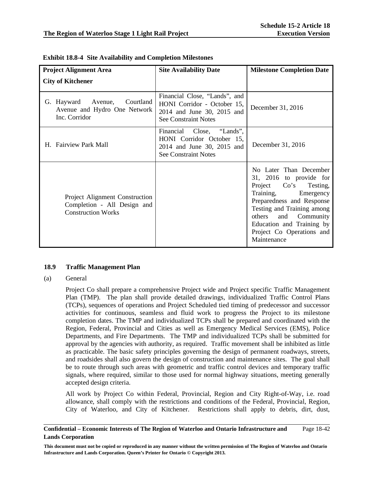| <b>Project Alignment Area</b>                                                              | <b>Site Availability Date</b>                                                                                             | <b>Milestone Completion Date</b>                                                                                                                                                                                                                                    |  |
|--------------------------------------------------------------------------------------------|---------------------------------------------------------------------------------------------------------------------------|---------------------------------------------------------------------------------------------------------------------------------------------------------------------------------------------------------------------------------------------------------------------|--|
| <b>City of Kitchener</b>                                                                   |                                                                                                                           |                                                                                                                                                                                                                                                                     |  |
| Courtland<br>G. Hayward Avenue,<br>Avenue and Hydro One Network<br>Inc. Corridor           | Financial Close, "Lands", and<br>HONI Corridor - October 15,<br>2014 and June 30, 2015 and<br><b>See Constraint Notes</b> | December 31, 2016                                                                                                                                                                                                                                                   |  |
| H. Fairview Park Mall                                                                      | Financial Close, "Lands",<br>HONI Corridor October 15,<br>2014 and June 30, 2015 and<br><b>See Constraint Notes</b>       | December 31, 2016                                                                                                                                                                                                                                                   |  |
| Project Alignment Construction<br>Completion - All Design and<br><b>Construction Works</b> |                                                                                                                           | No Later Than December<br>31, 2016 to provide for<br>Project Co's Testing,<br>Training,<br>Emergency<br>Preparedness and Response<br>Testing and Training among<br>and Community<br>others<br>Education and Training by<br>Project Co Operations and<br>Maintenance |  |

|  |  | <b>Exhibit 18.8-4 Site Availability and Completion Milestones</b> |  |
|--|--|-------------------------------------------------------------------|--|
|--|--|-------------------------------------------------------------------|--|

### **18.9 Traffic Management Plan**

(a) General

 Project Co shall prepare a comprehensive Project wide and Project specific Traffic Management Plan (TMP). The plan shall provide detailed drawings, individualized Traffic Control Plans (TCPs), sequences of operations and Project Scheduled tied timing of predecessor and successor activities for continuous, seamless and fluid work to progress the Project to its milestone completion dates. The TMP and individualized TCPs shall be prepared and coordinated with the Region, Federal, Provincial and Cities as well as Emergency Medical Services (EMS), Police Departments, and Fire Departments. The TMP and individualized TCPs shall be submitted for approval by the agencies with authority, as required. Traffic movement shall be inhibited as little as practicable. The basic safety principles governing the design of permanent roadways, streets, and roadsides shall also govern the design of construction and maintenance sites. The goal shall be to route through such areas with geometric and traffic control devices and temporary traffic signals, where required, similar to those used for normal highway situations, meeting generally accepted design criteria.

 All work by Project Co within Federal, Provincial, Region and City Right-of-Way, i.e. road allowance, shall comply with the restrictions and conditions of the Federal, Provincial, Region, City of Waterloo, and City of Kitchener. Restrictions shall apply to debris, dirt, dust,

#### **Confidential – Economic Interests of The Region of Waterloo and Ontario Infrastructure and Lands Corporation**  Page 18-42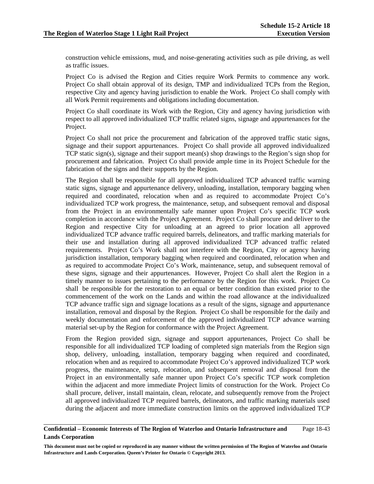construction vehicle emissions, mud, and noise-generating activities such as pile driving, as well as traffic issues.

Project Co is advised the Region and Cities require Work Permits to commence any work. Project Co shall obtain approval of its design, TMP and individualized TCPs from the Region, respective City and agency having jurisdiction to enable the Work. Project Co shall comply with all Work Permit requirements and obligations including documentation.

 Project Co shall coordinate its Work with the Region, City and agency having jurisdiction with respect to all approved individualized TCP traffic related signs, signage and appurtenances for the Project.

Project Co shall not price the procurement and fabrication of the approved traffic static signs, signage and their support appurtenances. Project Co shall provide all approved individualized TCP static sign(s), signage and their support mean(s) shop drawings to the Region's sign shop for procurement and fabrication. Project Co shall provide ample time in its Project Schedule for the fabrication of the signs and their supports by the Region.

The Region shall be responsible for all approved individualized TCP advanced traffic warning static signs, signage and appurtenance delivery, unloading, installation, temporary bagging when required and coordinated, relocation when and as required to accommodate Project Co's individualized TCP work progress, the maintenance, setup, and subsequent removal and disposal from the Project in an environmentally safe manner upon Project Co's specific TCP work completion in accordance with the Project Agreement. Project Co shall procure and deliver to the Region and respective City for unloading at an agreed to prior location all approved individualized TCP advance traffic required barrels, delineators, and traffic marking materials for their use and installation during all approved individualized TCP advanced traffic related requirements. Project Co's Work shall not interfere with the Region, City or agency having jurisdiction installation, temporary bagging when required and coordinated, relocation when and as required to accommodate Project Co's Work, maintenance, setup, and subsequent removal of these signs, signage and their appurtenances. However, Project Co shall alert the Region in a timely manner to issues pertaining to the performance by the Region for this work. Project Co shall be responsible for the restoration to an equal or better condition than existed prior to the commencement of the work on the Lands and within the road allowance at the individualized TCP advance traffic sign and signage locations as a result of the signs, signage and appurtenance installation, removal and disposal by the Region. Project Co shall be responsible for the daily and weekly documentation and enforcement of the approved individualized TCP advance warning material set-up by the Region for conformance with the Project Agreement.

From the Region provided sign, signage and support appurtenances, Project Co shall be responsible for all individualized TCP loading of completed sign materials from the Region sign shop, delivery, unloading, installation, temporary bagging when required and coordinated, relocation when and as required to accommodate Project Co's approved individualized TCP work progress, the maintenance, setup, relocation, and subsequent removal and disposal from the Project in an environmentally safe manner upon Project Co's specific TCP work completion within the adjacent and more immediate Project limits of construction for the Work. Project Co shall procure, deliver, install maintain, clean, relocate, and subsequently remove from the Project all approved individualized TCP required barrels, delineators, and traffic marking materials used during the adjacent and more immediate construction limits on the approved individualized TCP

#### **Confidential – Economic Interests of The Region of Waterloo and Ontario Infrastructure and Lands Corporation**  Page 18-43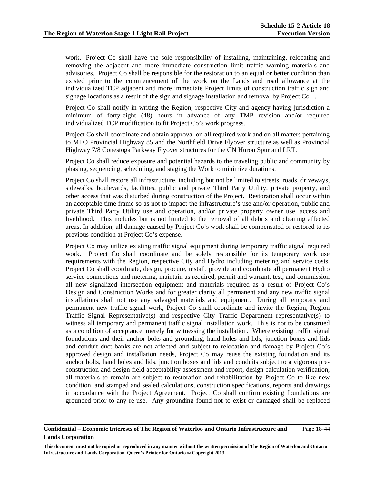work. Project Co shall have the sole responsibility of installing, maintaining, relocating and removing the adjacent and more immediate construction limit traffic warning materials and advisories. Project Co shall be responsible for the restoration to an equal or better condition than existed prior to the commencement of the work on the Lands and road allowance at the individualized TCP adjacent and more immediate Project limits of construction traffic sign and signage locations as a result of the sign and signage installation and removal by Project Co. .

Project Co shall notify in writing the Region, respective City and agency having jurisdiction a minimum of forty-eight (48) hours in advance of any TMP revision and/or required individualized TCP modification to fit Project Co's work progress.

 Project Co shall coordinate and obtain approval on all required work and on all matters pertaining to MTO Provincial Highway 85 and the Northfield Drive Flyover structure as well as Provincial Highway 7/8 Conestoga Parkway Flyover structures for the CN Huron Spur and LRT.

 Project Co shall reduce exposure and potential hazards to the traveling public and community by phasing, sequencing, scheduling, and staging the Work to minimize durations.

 Project Co shall restore all infrastructure, including but not be limited to streets, roads, driveways, sidewalks, boulevards, facilities, public and private Third Party Utility, private property, and other access that was disturbed during construction of the Project. Restoration shall occur within an acceptable time frame so as not to impact the infrastructure's use and/or operation, public and private Third Party Utility use and operation, and/or private property owner use, access and livelihood. This includes but is not limited to the removal of all debris and cleaning affected areas. In addition, all damage caused by Project Co's work shall be compensated or restored to its previous condition at Project Co's expense.

Project Co may utilize existing traffic signal equipment during temporary traffic signal required work. Project Co shall coordinate and be solely responsible for its temporary work use requirements with the Region, respective City and Hydro including metering and service costs. Project Co shall coordinate, design, procure, install, provide and coordinate all permanent Hydro service connections and metering, maintain as required, permit and warrant, test, and commission all new signalized intersection equipment and materials required as a result of Project Co's Design and Construction Works and for greater clarity all permanent and any new traffic signal installations shall not use any salvaged materials and equipment. During all temporary and permanent new traffic signal work, Project Co shall coordinate and invite the Region, Region Traffic Signal Representative(s) and respective City Traffic Department representative(s) to witness all temporary and permanent traffic signal installation work. This is not to be construed as a condition of acceptance, merely for witnessing the installation. Where existing traffic signal foundations and their anchor bolts and grounding, hand holes and lids, junction boxes and lids and conduit duct banks are not affected and subject to relocation and damage by Project Co's approved design and installation needs, Project Co may reuse the existing foundation and its anchor bolts, hand holes and lids, junction boxes and lids and conduits subject to a vigorous preconstruction and design field acceptability assessment and report, design calculation verification, all materials to remain are subject to restoration and rehabilitation by Project Co to like new condition, and stamped and sealed calculations, construction specifications, reports and drawings in accordance with the Project Agreement. Project Co shall confirm existing foundations are grounded prior to any re-use. Any grounding found not to exist or damaged shall be replaced

#### **Confidential – Economic Interests of The Region of Waterloo and Ontario Infrastructure and Lands Corporation**  Page 18-44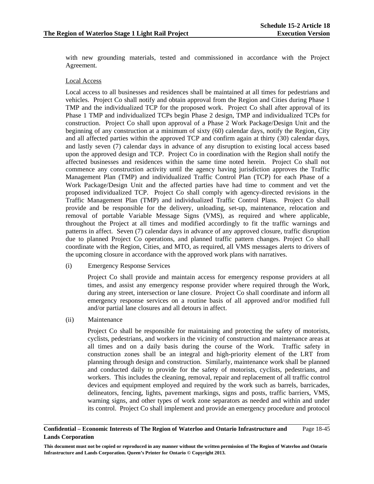with new grounding materials, tested and commissioned in accordance with the Project Agreement.

### Local Access

Local access to all businesses and residences shall be maintained at all times for pedestrians and vehicles. Project Co shall notify and obtain approval from the Region and Cities during Phase 1 TMP and the individualized TCP for the proposed work. Project Co shall after approval of its Phase 1 TMP and individualized TCPs begin Phase 2 design, TMP and individualized TCPs for construction. Project Co shall upon approval of a Phase 2 Work Package/Design Unit and the beginning of any construction at a minimum of sixty (60) calendar days, notify the Region, City and all affected parties within the approved TCP and confirm again at thirty (30) calendar days, and lastly seven (7) calendar days in advance of any disruption to existing local access based upon the approved design and TCP. Project Co in coordination with the Region shall notify the affected businesses and residences within the same time noted herein. Project Co shall not commence any construction activity until the agency having jurisdiction approves the Traffic Management Plan (TMP) and individualized Traffic Control Plan (TCP) for each Phase of a Work Package/Design Unit and the affected parties have had time to comment and vet the proposed individualized TCP. Project Co shall comply with agency-directed revisions in the Traffic Management Plan (TMP) and individualized Traffic Control Plans. Project Co shall provide and be responsible for the delivery, unloading, set-up, maintenance, relocation and removal of portable Variable Message Signs (VMS), as required and where applicable, throughout the Project at all times and modified accordingly to fit the traffic warnings and patterns in affect. Seven (7) calendar days in advance of any approved closure, traffic disruption due to planned Project Co operations, and planned traffic pattern changes. Project Co shall coordinate with the Region, Cities, and MTO, as required, all VMS messages alerts to drivers of the upcoming closure in accordance with the approved work plans with narratives.

(i) Emergency Response Services

Project Co shall provide and maintain access for emergency response providers at all times, and assist any emergency response provider where required through the Work, during any street, intersection or lane closure. Project Co shall coordinate and inform all emergency response services on a routine basis of all approved and/or modified full and/or partial lane closures and all detours in affect.

(ii) Maintenance

Project Co shall be responsible for maintaining and protecting the safety of motorists, cyclists, pedestrians, and workers in the vicinity of construction and maintenance areas at all times and on a daily basis during the course of the Work. Traffic safety in construction zones shall be an integral and high-priority element of the LRT from planning through design and construction. Similarly, maintenance work shall be planned and conducted daily to provide for the safety of motorists, cyclists, pedestrians, and workers. This includes the cleaning, removal, repair and replacement of all traffic control devices and equipment employed and required by the work such as barrels, barricades, delineators, fencing, lights, pavement markings, signs and posts, traffic barriers, VMS, warning signs, and other types of work zone separators as needed and within and under its control. Project Co shall implement and provide an emergency procedure and protocol

#### **Confidential – Economic Interests of The Region of Waterloo and Ontario Infrastructure and Lands Corporation**  Page 18-45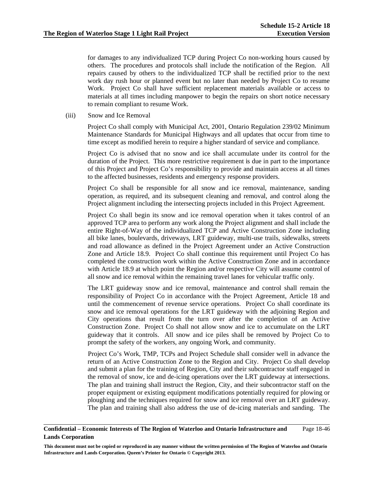for damages to any individualized TCP during Project Co non-working hours caused by others. The procedures and protocols shall include the notification of the Region. All repairs caused by others to the individualized TCP shall be rectified prior to the next work day rush hour or planned event but no later than needed by Project Co to resume Work. Project Co shall have sufficient replacement materials available or access to materials at all times including manpower to begin the repairs on short notice necessary to remain compliant to resume Work.

(iii) Snow and Ice Removal

Project Co shall comply with Municipal Act, 2001, Ontario Regulation 239/02 Minimum Maintenance Standards for Municipal Highways and all updates that occur from time to time except as modified herein to require a higher standard of service and compliance.

Project Co is advised that no snow and ice shall accumulate under its control for the duration of the Project. This more restrictive requirement is due in part to the importance of this Project and Project Co's responsibility to provide and maintain access at all times to the affected businesses, residents and emergency response providers.

Project Co shall be responsible for all snow and ice removal, maintenance, sanding operation, as required, and its subsequent cleaning and removal, and control along the Project alignment including the intersecting projects included in this Project Agreement.

Project Co shall begin its snow and ice removal operation when it takes control of an approved TCP area to perform any work along the Project alignment and shall include the entire Right-of-Way of the individualized TCP and Active Construction Zone including all bike lanes, boulevards, driveways, LRT guideway, multi-use trails, sidewalks, streets and road allowance as defined in the Project Agreement under an Active Construction Zone and Article 18.9. Project Co shall continue this requirement until Project Co has completed the construction work within the Active Construction Zone and in accordance with Article 18.9 at which point the Region and/or respective City will assume control of all snow and ice removal within the remaining travel lanes for vehicular traffic only.

The LRT guideway snow and ice removal, maintenance and control shall remain the responsibility of Project Co in accordance with the Project Agreement, Article 18 and until the commencement of revenue service operations. Project Co shall coordinate its snow and ice removal operations for the LRT guideway with the adjoining Region and City operations that result from the turn over after the completion of an Active Construction Zone. Project Co shall not allow snow and ice to accumulate on the LRT guideway that it controls. All snow and ice piles shall be removed by Project Co to prompt the safety of the workers, any ongoing Work, and community.

Project Co's Work, TMP, TCPs and Project Schedule shall consider well in advance the return of an Active Construction Zone to the Region and City. Project Co shall develop and submit a plan for the training of Region, City and their subcontractor staff engaged in the removal of snow, ice and de-icing operations over the LRT guideway at intersections. The plan and training shall instruct the Region, City, and their subcontractor staff on the proper equipment or existing equipment modifications potentially required for plowing or ploughing and the techniques required for snow and ice removal over an LRT guideway. The plan and training shall also address the use of de-icing materials and sanding. The

#### **Confidential – Economic Interests of The Region of Waterloo and Ontario Infrastructure and Lands Corporation**  Page 18-46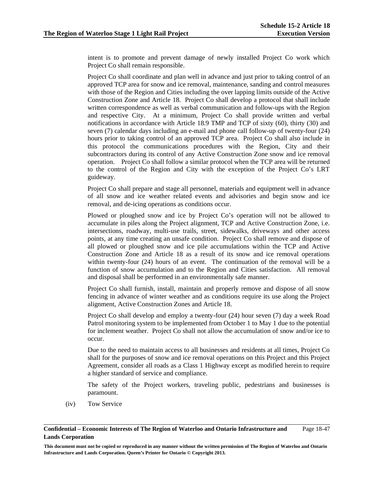intent is to promote and prevent damage of newly installed Project Co work which Project Co shall remain responsible.

Project Co shall coordinate and plan well in advance and just prior to taking control of an approved TCP area for snow and ice removal, maintenance, sanding and control measures with those of the Region and Cities including the over lapping limits outside of the Active Construction Zone and Article 18. Project Co shall develop a protocol that shall include written correspondence as well as verbal communication and follow-ups with the Region and respective City. At a minimum, Project Co shall provide written and verbal notifications in accordance with Article 18.9 TMP and TCP of sixty (60), thirty (30) and seven (7) calendar days including an e-mail and phone call follow-up of twenty-four (24) hours prior to taking control of an approved TCP area. Project Co shall also include in this protocol the communications procedures with the Region, City and their subcontractors during its control of any Active Construction Zone snow and ice removal operation. Project Co shall follow a similar protocol when the TCP area will be returned to the control of the Region and City with the exception of the Project Co's LRT guideway.

Project Co shall prepare and stage all personnel, materials and equipment well in advance of all snow and ice weather related events and advisories and begin snow and ice removal, and de-icing operations as conditions occur.

Plowed or ploughed snow and ice by Project Co's operation will not be allowed to accumulate in piles along the Project alignment, TCP and Active Construction Zone, i.e. intersections, roadway, multi-use trails, street, sidewalks, driveways and other access points, at any time creating an unsafe condition. Project Co shall remove and dispose of all plowed or ploughed snow and ice pile accumulations within the TCP and Active Construction Zone and Article 18 as a result of its snow and ice removal operations within twenty-four (24) hours of an event. The continuation of the removal will be a function of snow accumulation and to the Region and Cities satisfaction. All removal and disposal shall be performed in an environmentally safe manner.

Project Co shall furnish, install, maintain and properly remove and dispose of all snow fencing in advance of winter weather and as conditions require its use along the Project alignment, Active Construction Zones and Article 18.

Project Co shall develop and employ a twenty-four (24) hour seven (7) day a week Road Patrol monitoring system to be implemented from October 1 to May 1 due to the potential for inclement weather. Project Co shall not allow the accumulation of snow and/or ice to occur.

Due to the need to maintain access to all businesses and residents at all times, Project Co shall for the purposes of snow and ice removal operations on this Project and this Project Agreement, consider all roads as a Class 1 Highway except as modified herein to require a higher standard of service and compliance.

The safety of the Project workers, traveling public, pedestrians and businesses is paramount.

(iv) Tow Service

**Confidential – Economic Interests of The Region of Waterloo and Ontario Infrastructure and Lands Corporation**  Page 18-47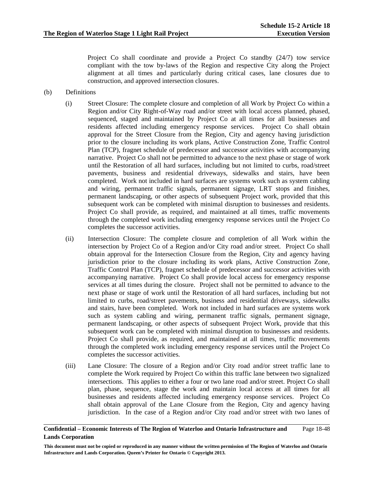Project Co shall coordinate and provide a Project Co standby (24/7) tow service compliant with the tow by-laws of the Region and respective City along the Project alignment at all times and particularly during critical cases, lane closures due to construction, and approved intersection closures.

- (b) Definitions
	- (i) Street Closure: The complete closure and completion of all Work by Project Co within a Region and/or City Right-of-Way road and/or street with local access planned, phased, sequenced, staged and maintained by Project Co at all times for all businesses and residents affected including emergency response services. Project Co shall obtain approval for the Street Closure from the Region, City and agency having jurisdiction prior to the closure including its work plans, Active Construction Zone, Traffic Control Plan (TCP), fragnet schedule of predecessor and successor activities with accompanying narrative. Project Co shall not be permitted to advance to the next phase or stage of work until the Restoration of all hard surfaces, including but not limited to curbs, road/street pavements, business and residential driveways, sidewalks and stairs, have been completed. Work not included in hard surfaces are systems work such as system cabling and wiring, permanent traffic signals, permanent signage, LRT stops and finishes, permanent landscaping, or other aspects of subsequent Project work, provided that this subsequent work can be completed with minimal disruption to businesses and residents. Project Co shall provide, as required, and maintained at all times, traffic movements through the completed work including emergency response services until the Project Co completes the successor activities.
	- (ii) Intersection Closure: The complete closure and completion of all Work within the intersection by Project Co of a Region and/or City road and/or street. Project Co shall obtain approval for the Intersection Closure from the Region, City and agency having jurisdiction prior to the closure including its work plans, Active Construction Zone, Traffic Control Plan (TCP), fragnet schedule of predecessor and successor activities with accompanying narrative. Project Co shall provide local access for emergency response services at all times during the closure. Project shall not be permitted to advance to the next phase or stage of work until the Restoration of all hard surfaces, including but not limited to curbs, road/street pavements, business and residential driveways, sidewalks and stairs, have been completed. Work not included in hard surfaces are systems work such as system cabling and wiring, permanent traffic signals, permanent signage, permanent landscaping, or other aspects of subsequent Project Work, provide that this subsequent work can be completed with minimal disruption to businesses and residents. Project Co shall provide, as required, and maintained at all times, traffic movements through the completed work including emergency response services until the Project Co completes the successor activities.
	- (iii) Lane Closure: The closure of a Region and/or City road and/or street traffic lane to complete the Work required by Project Co within this traffic lane between two signalized intersections. This applies to either a four or two lane road and/or street. Project Co shall plan, phase, sequence, stage the work and maintain local access at all times for all businesses and residents affected including emergency response services. Project Co shall obtain approval of the Lane Closure from the Region, City and agency having jurisdiction. In the case of a Region and/or City road and/or street with two lanes of

#### **Confidential – Economic Interests of The Region of Waterloo and Ontario Infrastructure and Lands Corporation**  Page 18-48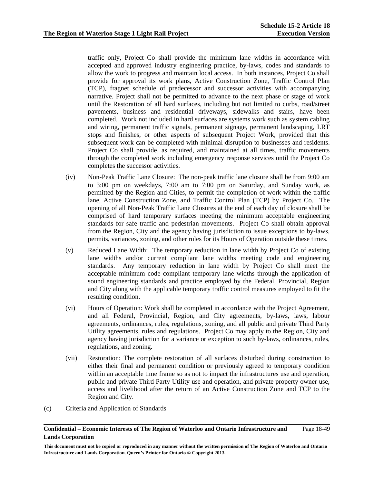traffic only, Project Co shall provide the minimum lane widths in accordance with accepted and approved industry engineering practice, by-laws, codes and standards to allow the work to progress and maintain local access. In both instances, Project Co shall provide for approval its work plans, Active Construction Zone, Traffic Control Plan (TCP), fragnet schedule of predecessor and successor activities with accompanying narrative. Project shall not be permitted to advance to the next phase or stage of work until the Restoration of all hard surfaces, including but not limited to curbs, road/street pavements, business and residential driveways, sidewalks and stairs, have been completed. Work not included in hard surfaces are systems work such as system cabling and wiring, permanent traffic signals, permanent signage, permanent landscaping, LRT stops and finishes, or other aspects of subsequent Project Work, provided that this subsequent work can be completed with minimal disruption to businesses and residents. Project Co shall provide, as required, and maintained at all times, traffic movements through the completed work including emergency response services until the Project Co completes the successor activities.

- (iv) Non-Peak Traffic Lane Closure: The non-peak traffic lane closure shall be from 9:00 am to 3:00 pm on weekdays, 7:00 am to 7:00 pm on Saturday, and Sunday work, as permitted by the Region and Cities, to permit the completion of work within the traffic lane, Active Construction Zone, and Traffic Control Plan (TCP) by Project Co. The opening of all Non-Peak Traffic Lane Closures at the end of each day of closure shall be comprised of hard temporary surfaces meeting the minimum acceptable engineering standards for safe traffic and pedestrian movements. Project Co shall obtain approval from the Region, City and the agency having jurisdiction to issue exceptions to by-laws, permits, variances, zoning, and other rules for its Hours of Operation outside these times.
- (v) Reduced Lane Width: The temporary reduction in lane width by Project Co of existing lane widths and/or current compliant lane widths meeting code and engineering standards. Any temporary reduction in lane width by Project Co shall meet the acceptable minimum code compliant temporary lane widths through the application of sound engineering standards and practice employed by the Federal, Provincial, Region and City along with the applicable temporary traffic control measures employed to fit the resulting condition.
- (vi) Hours of Operation: Work shall be completed in accordance with the Project Agreement, and all Federal, Provincial, Region, and City agreements, by-laws, laws, labour agreements, ordinances, rules, regulations, zoning, and all public and private Third Party Utility agreements, rules and regulations. Project Co may apply to the Region, City and agency having jurisdiction for a variance or exception to such by-laws, ordinances, rules, regulations, and zoning.
- (vii) Restoration: The complete restoration of all surfaces disturbed during construction to either their final and permanent condition or previously agreed to temporary condition within an acceptable time frame so as not to impact the infrastructures use and operation, public and private Third Party Utility use and operation, and private property owner use, access and livelihood after the return of an Active Construction Zone and TCP to the Region and City.
- (c) Criteria and Application of Standards

#### **Confidential – Economic Interests of The Region of Waterloo and Ontario Infrastructure and Lands Corporation**  Page 18-49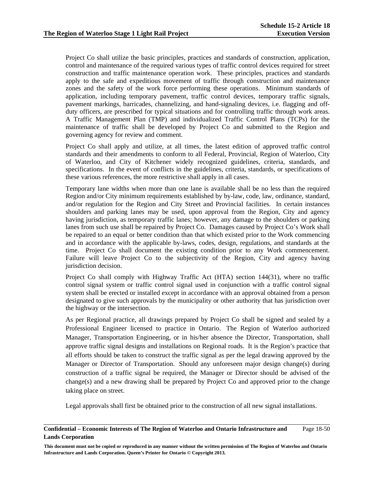Project Co shall utilize the basic principles, practices and standards of construction, application, control and maintenance of the required various types of traffic control devices required for street construction and traffic maintenance operation work. These principles, practices and standards apply to the safe and expeditious movement of traffic through construction and maintenance zones and the safety of the work force performing these operations. Minimum standards of application, including temporary pavement, traffic control devices, temporary traffic signals, pavement markings, barricades, channelizing, and hand-signaling devices, i.e. flagging and offduty officers, are prescribed for typical situations and for controlling traffic through work areas. A Traffic Management Plan (TMP) and individualized Traffic Control Plans (TCPs) for the maintenance of traffic shall be developed by Project Co and submitted to the Region and governing agency for review and comment.

 Project Co shall apply and utilize, at all times, the latest edition of approved traffic control standards and their amendments to conform to all Federal, Provincial, Region of Waterloo, City of Waterloo, and City of Kitchener widely recognized guidelines, criteria, standards, and specifications. In the event of conflicts in the guidelines, criteria, standards, or specifications of these various references, the more restrictive shall apply in all cases.

 Temporary lane widths when more than one lane is available shall be no less than the required Region and/or City minimum requirements established by by-law, code, law, ordinance, standard, and/or regulation for the Region and City Street and Provincial facilities. In certain instances shoulders and parking lanes may be used, upon approval from the Region, City and agency having jurisdiction, as temporary traffic lanes; however, any damage to the shoulders or parking lanes from such use shall be repaired by Project Co. Damages caused by Project Co's Work shall be repaired to an equal or better condition than that which existed prior to the Work commencing and in accordance with the applicable by-laws, codes, design, regulations, and standards at the time. Project Co shall document the existing condition prior to any Work commencement. Failure will leave Project Co to the subjectivity of the Region, City and agency having jurisdiction decision.

Project Co shall comply with Highway Traffic Act (HTA) section 144(31), where no traffic control signal system or traffic control signal used in conjunction with a traffic control signal system shall be erected or installed except in accordance with an approval obtained from a person designated to give such approvals by the municipality or other authority that has jurisdiction over the highway or the intersection.

As per Regional practice, all drawings prepared by Project Co shall be signed and sealed by a Professional Engineer licensed to practice in Ontario. The Region of Waterloo authorized Manager, Transportation Engineering, or in his/her absence the Director, Transportation, shall approve traffic signal designs and installations on Regional roads. It is the Region's practice that all efforts should be taken to construct the traffic signal as per the legal drawing approved by the Manager or Director of Transportation. Should any unforeseen major design change(s) during construction of a traffic signal be required, the Manager or Director should be advised of the change(s) and a new drawing shall be prepared by Project Co and approved prior to the change taking place on street.

Legal approvals shall first be obtained prior to the construction of all new signal installations.

#### **Confidential – Economic Interests of The Region of Waterloo and Ontario Infrastructure and Lands Corporation**  Page 18-50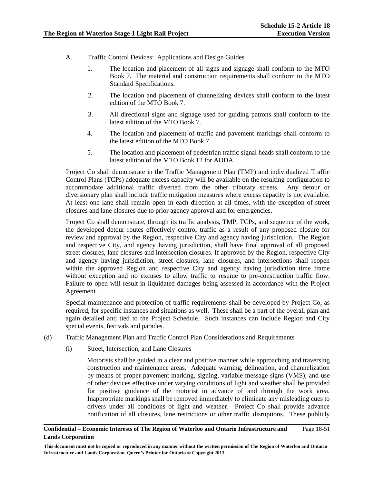- A. Traffic Control Devices: Applications and Design Guides
	- 1. The location and placement of all signs and signage shall conform to the MTO Book 7. The material and construction requirements shall conform to the MTO Standard Specifications.
	- 2. The location and placement of channelizing devices shall conform to the latest edition of the MTO Book 7.
	- 3. All directional signs and signage used for guiding patrons shall conform to the latest edition of the MTO Book 7.
	- 4. The location and placement of traffic and pavement markings shall conform to the latest edition of the MTO Book 7.
	- 5. The location and placement of pedestrian traffic signal heads shall conform to the latest edition of the MTO Book 12 for AODA.

Project Co shall demonstrate in the Traffic Management Plan (TMP) and individualized Traffic Control Plans (TCPs) adequate excess capacity will be available on the resulting configuration to accommodate additional traffic diverted from the other tributary streets. Any detour or diversionary plan shall include traffic mitigation measures where excess capacity is not available. At least one lane shall remain open in each direction at all times, with the exception of street closures and lane closures due to prior agency approval and for emergencies.

Project Co shall demonstrate, through its traffic analysis, TMP, TCPs, and sequence of the work, the developed detour routes effectively control traffic as a result of any proposed closure for review and approval by the Region, respective City and agency having jurisdiction. The Region and respective City, and agency having jurisdiction, shall have final approval of all proposed street closures, lane closures and intersection closures. If approved by the Region, respective City and agency having jurisdiction, street closures, lane closures, and intersections shall reopen within the approved Region and respective City and agency having jurisdiction time frame without exception and no excuses to allow traffic to resume to pre-construction traffic flow. Failure to open will result in liquidated damages being assessed in accordance with the Project Agreement.

Special maintenance and protection of traffic requirements shall be developed by Project Co, as required, for specific instances and situations as well. These shall be a part of the overall plan and again detailed and tied to the Project Schedule. Such instances can include Region and City special events, festivals and parades.

- (d) Traffic Management Plan and Traffic Control Plan Considerations and Requirements
	- (i) Street, Intersection, and Lane Closures

 Motorists shall be guided in a clear and positive manner while approaching and traversing construction and maintenance areas. Adequate warning, delineation, and channelization by means of proper pavement marking, signing, variable message signs (VMS), and use of other devices effective under varying conditions of light and weather shall be provided for positive guidance of the motorist in advance of and through the work area. Inappropriate markings shall be removed immediately to eliminate any misleading cues to drivers under all conditions of light and weather. Project Co shall provide advance notification of all closures, lane restrictions or other traffic disruptions. These publicly

#### **Confidential – Economic Interests of The Region of Waterloo and Ontario Infrastructure and Lands Corporation**  Page 18-51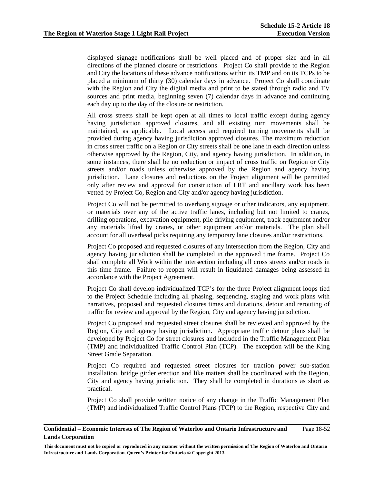displayed signage notifications shall be well placed and of proper size and in all directions of the planned closure or restrictions. Project Co shall provide to the Region and City the locations of these advance notifications within its TMP and on its TCPs to be placed a minimum of thirty (30) calendar days in advance. Project Co shall coordinate with the Region and City the digital media and print to be stated through radio and TV sources and print media, beginning seven (7) calendar days in advance and continuing each day up to the day of the closure or restriction.

 All cross streets shall be kept open at all times to local traffic except during agency having jurisdiction approved closures, and all existing turn movements shall be maintained, as applicable. Local access and required turning movements shall be provided during agency having jurisdiction approved closures. The maximum reduction in cross street traffic on a Region or City streets shall be one lane in each direction unless otherwise approved by the Region, City, and agency having jurisdiction. In addition, in some instances, there shall be no reduction or impact of cross traffic on Region or City streets and/or roads unless otherwise approved by the Region and agency having jurisdiction. Lane closures and reductions on the Project alignment will be permitted only after review and approval for construction of LRT and ancillary work has been vetted by Project Co, Region and City and/or agency having jurisdiction.

 Project Co will not be permitted to overhang signage or other indicators, any equipment, or materials over any of the active traffic lanes, including but not limited to cranes, drilling operations, excavation equipment, pile driving equipment, track equipment and/or any materials lifted by cranes, or other equipment and/or materials. The plan shall account for all overhead picks requiring any temporary lane closures and/or restrictions.

Project Co proposed and requested closures of any intersection from the Region, City and agency having jurisdiction shall be completed in the approved time frame. Project Co shall complete all Work within the intersection including all cross streets and/or roads in this time frame. Failure to reopen will result in liquidated damages being assessed in accordance with the Project Agreement.

Project Co shall develop individualized TCP's for the three Project alignment loops tied to the Project Schedule including all phasing, sequencing, staging and work plans with narratives, proposed and requested closures times and durations, detour and rerouting of traffic for review and approval by the Region, City and agency having jurisdiction.

 Project Co proposed and requested street closures shall be reviewed and approved by the Region, City and agency having jurisdiction. Appropriate traffic detour plans shall be developed by Project Co for street closures and included in the Traffic Management Plan (TMP) and individualized Traffic Control Plan (TCP). The exception will be the King Street Grade Separation.

Project Co required and requested street closures for traction power sub-station installation, bridge girder erection and like matters shall be coordinated with the Region, City and agency having jurisdiction. They shall be completed in durations as short as practical.

Project Co shall provide written notice of any change in the Traffic Management Plan (TMP) and individualized Traffic Control Plans (TCP) to the Region, respective City and

#### **Confidential – Economic Interests of The Region of Waterloo and Ontario Infrastructure and Lands Corporation**  Page 18-52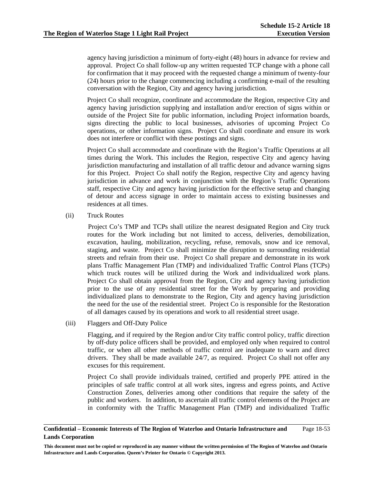agency having jurisdiction a minimum of forty-eight (48) hours in advance for review and approval. Project Co shall follow-up any written requested TCP change with a phone call for confirmation that it may proceed with the requested change a minimum of twenty-four (24) hours prior to the change commencing including a confirming e-mail of the resulting conversation with the Region, City and agency having jurisdiction.

 Project Co shall recognize, coordinate and accommodate the Region, respective City and agency having jurisdiction supplying and installation and/or erection of signs within or outside of the Project Site for public information, including Project information boards, signs directing the public to local businesses, advisories of upcoming Project Co operations, or other information signs. Project Co shall coordinate and ensure its work does not interfere or conflict with these postings and signs.

 Project Co shall accommodate and coordinate with the Region's Traffic Operations at all times during the Work. This includes the Region, respective City and agency having jurisdiction manufacturing and installation of all traffic detour and advance warning signs for this Project. Project Co shall notify the Region, respective City and agency having jurisdiction in advance and work in conjunction with the Region's Traffic Operations staff, respective City and agency having jurisdiction for the effective setup and changing of detour and access signage in order to maintain access to existing businesses and residences at all times.

(ii) Truck Routes

Project Co's TMP and TCPs shall utilize the nearest designated Region and City truck routes for the Work including but not limited to access, deliveries, demobilization, excavation, hauling, mobilization, recycling, refuse, removals, snow and ice removal, staging, and waste. Project Co shall minimize the disruption to surrounding residential streets and refrain from their use. Project Co shall prepare and demonstrate in its work plans Traffic Management Plan (TMP) and individualized Traffic Control Plans (TCPs) which truck routes will be utilized during the Work and individualized work plans. Project Co shall obtain approval from the Region, City and agency having jurisdiction prior to the use of any residential street for the Work by preparing and providing individualized plans to demonstrate to the Region, City and agency having jurisdiction the need for the use of the residential street. Project Co is responsible for the Restoration of all damages caused by its operations and work to all residential street usage.

(iii) Flaggers and Off-Duty Police

Flagging, and if required by the Region and/or City traffic control policy, traffic direction by off-duty police officers shall be provided, and employed only when required to control traffic, or when all other methods of traffic control are inadequate to warn and direct drivers. They shall be made available 24/7, as required. Project Co shall not offer any excuses for this requirement.

Project Co shall provide individuals trained, certified and properly PPE attired in the principles of safe traffic control at all work sites, ingress and egress points, and Active Construction Zones, deliveries among other conditions that require the safety of the public and workers. In addition, to ascertain all traffic control elements of the Project are in conformity with the Traffic Management Plan (TMP) and individualized Traffic

**Confidential – Economic Interests of The Region of Waterloo and Ontario Infrastructure and Lands Corporation**  Page 18-53

**This document must not be copied or reproduced in any manner without the written permission of The Region of Waterloo and Ontario Infrastructure and Lands Corporation. Queen's Printer for Ontario © Copyright 2013.**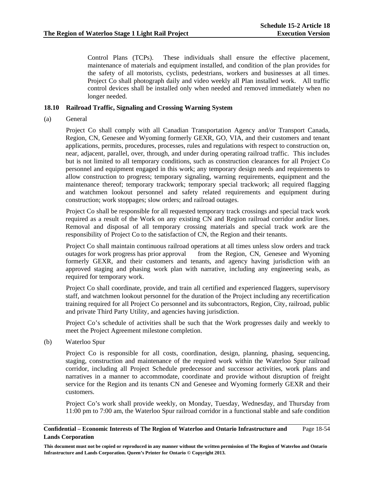Control Plans (TCPs). These individuals shall ensure the effective placement, maintenance of materials and equipment installed, and condition of the plan provides for the safety of all motorists, cyclists, pedestrians, workers and businesses at all times. Project Co shall photograph daily and video weekly all Plan installed work. All traffic control devices shall be installed only when needed and removed immediately when no longer needed.

## **18.10 Railroad Traffic, Signaling and Crossing Warning System**

(a) General

Project Co shall comply with all Canadian Transportation Agency and/or Transport Canada, Region, CN, Genesee and Wyoming formerly GEXR, GO, VIA, and their customers and tenant applications, permits, procedures, processes, rules and regulations with respect to construction on, near, adjacent, parallel, over, through, and under during operating railroad traffic. This includes but is not limited to all temporary conditions, such as construction clearances for all Project Co personnel and equipment engaged in this work; any temporary design needs and requirements to allow construction to progress; temporary signaling, warning requirements, equipment and the maintenance thereof; temporary trackwork; temporary special trackwork; all required flagging and watchmen lookout personnel and safety related requirements and equipment during construction; work stoppages; slow orders; and railroad outages.

Project Co shall be responsible for all requested temporary track crossings and special track work required as a result of the Work on any existing CN and Region railroad corridor and/or lines. Removal and disposal of all temporary crossing materials and special track work are the responsibility of Project Co to the satisfaction of CN, the Region and their tenants.

Project Co shall maintain continuous railroad operations at all times unless slow orders and track outages for work progress has prior approval from the Region, CN, Genesee and Wyoming formerly GEXR, and their customers and tenants, and agency having jurisdiction with an approved staging and phasing work plan with narrative, including any engineering seals, as required for temporary work.

Project Co shall coordinate, provide, and train all certified and experienced flaggers, supervisory staff, and watchmen lookout personnel for the duration of the Project including any recertification training required for all Project Co personnel and its subcontractors, Region, City, railroad, public and private Third Party Utility, and agencies having jurisdiction.

Project Co's schedule of activities shall be such that the Work progresses daily and weekly to meet the Project Agreement milestone completion.

(b) Waterloo Spur

Project Co is responsible for all costs, coordination, design, planning, phasing, sequencing, staging, construction and maintenance of the required work within the Waterloo Spur railroad corridor, including all Project Schedule predecessor and successor activities, work plans and narratives in a manner to accommodate, coordinate and provide without disruption of freight service for the Region and its tenants CN and Genesee and Wyoming formerly GEXR and their customers.

Project Co's work shall provide weekly, on Monday, Tuesday, Wednesday, and Thursday from 11:00 pm to 7:00 am, the Waterloo Spur railroad corridor in a functional stable and safe condition

#### **Confidential – Economic Interests of The Region of Waterloo and Ontario Infrastructure and Lands Corporation**  Page 18-54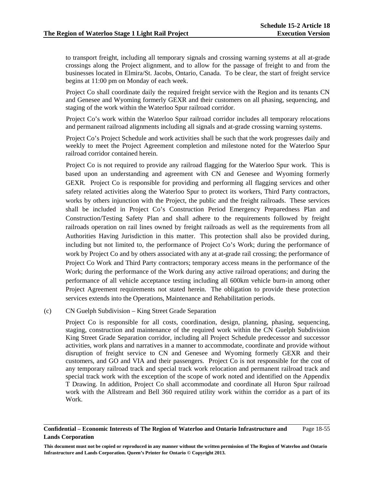to transport freight, including all temporary signals and crossing warning systems at all at-grade crossings along the Project alignment, and to allow for the passage of freight to and from the businesses located in Elmira/St. Jacobs, Ontario, Canada. To be clear, the start of freight service begins at 11:00 pm on Monday of each week.

Project Co shall coordinate daily the required freight service with the Region and its tenants CN and Genesee and Wyoming formerly GEXR and their customers on all phasing, sequencing, and staging of the work within the Waterloo Spur railroad corridor.

Project Co's work within the Waterloo Spur railroad corridor includes all temporary relocations and permanent railroad alignments including all signals and at-grade crossing warning systems.

Project Co's Project Schedule and work activities shall be such that the work progresses daily and weekly to meet the Project Agreement completion and milestone noted for the Waterloo Spur railroad corridor contained herein.

Project Co is not required to provide any railroad flagging for the Waterloo Spur work. This is based upon an understanding and agreement with CN and Genesee and Wyoming formerly GEXR. Project Co is responsible for providing and performing all flagging services and other safety related activities along the Waterloo Spur to protect its workers, Third Party contractors, works by others injunction with the Project, the public and the freight railroads. These services shall be included in Project Co's Construction Period Emergency Preparedness Plan and Construction/Testing Safety Plan and shall adhere to the requirements followed by freight railroads operation on rail lines owned by freight railroads as well as the requirements from all Authorities Having Jurisdiction in this matter. This protection shall also be provided during, including but not limited to, the performance of Project Co's Work; during the performance of work by Project Co and by others associated with any at at-grade rail crossing; the performance of Project Co Work and Third Party contractors; temporary access means in the performance of the Work; during the performance of the Work during any active railroad operations; and during the performance of all vehicle acceptance testing including all 600km vehicle burn-in among other Project Agreement requirements not stated herein. The obligation to provide these protection services extends into the Operations, Maintenance and Rehabilitation periods.

### (c) CN Guelph Subdivision – King Street Grade Separation

Project Co is responsible for all costs, coordination, design, planning, phasing, sequencing, staging, construction and maintenance of the required work within the CN Guelph Subdivision King Street Grade Separation corridor, including all Project Schedule predecessor and successor activities, work plans and narratives in a manner to accommodate, coordinate and provide without disruption of freight service to CN and Genesee and Wyoming formerly GEXR and their customers, and GO and VIA and their passengers. Project Co is not responsible for the cost of any temporary railroad track and special track work relocation and permanent railroad track and special track work with the exception of the scope of work noted and identified on the Appendix T Drawing. In addition, Project Co shall accommodate and coordinate all Huron Spur railroad work with the Allstream and Bell 360 required utility work within the corridor as a part of its Work.

#### **Confidential – Economic Interests of The Region of Waterloo and Ontario Infrastructure and Lands Corporation**  Page 18-55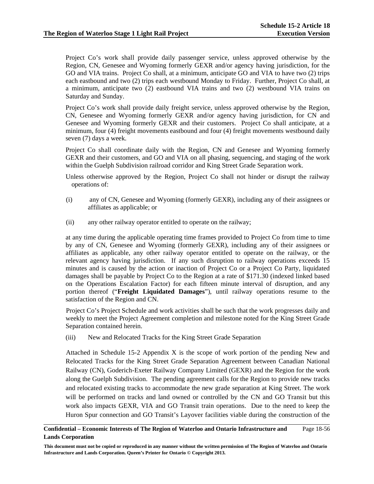Project Co's work shall provide daily passenger service, unless approved otherwise by the Region, CN, Genesee and Wyoming formerly GEXR and/or agency having jurisdiction, for the GO and VIA trains. Project Co shall, at a minimum, anticipate GO and VIA to have two (2) trips each eastbound and two (2) trips each westbound Monday to Friday. Further, Project Co shall, at a minimum, anticipate two (2) eastbound VIA trains and two (2) westbound VIA trains on Saturday and Sunday.

Project Co's work shall provide daily freight service, unless approved otherwise by the Region, CN, Genesee and Wyoming formerly GEXR and/or agency having jurisdiction, for CN and Genesee and Wyoming formerly GEXR and their customers. Project Co shall anticipate, at a minimum, four (4) freight movements eastbound and four (4) freight movements westbound daily seven (7) days a week.

Project Co shall coordinate daily with the Region, CN and Genesee and Wyoming formerly GEXR and their customers, and GO and VIA on all phasing, sequencing, and staging of the work within the Guelph Subdivision railroad corridor and King Street Grade Separation work.

Unless otherwise approved by the Region, Project Co shall not hinder or disrupt the railway operations of:

- (i) any of CN, Genesee and Wyoming (formerly GEXR), including any of their assignees or affiliates as applicable; or
- (ii) any other railway operator entitled to operate on the railway;

at any time during the applicable operating time frames provided to Project Co from time to time by any of CN, Genesee and Wyoming (formerly GEXR), including any of their assignees or affiliates as applicable, any other railway operator entitled to operate on the railway, or the relevant agency having jurisdiction. If any such disruption to railway operations exceeds 15 minutes and is caused by the action or inaction of Project Co or a Project Co Party, liquidated damages shall be payable by Project Co to the Region at a rate of \$171.30 (indexed linked based on the Operations Escalation Factor) for each fifteen minute interval of disruption, and any portion thereof ("**Freight Liquidated Damages**"), until railway operations resume to the satisfaction of the Region and CN.

Project Co's Project Schedule and work activities shall be such that the work progresses daily and weekly to meet the Project Agreement completion and milestone noted for the King Street Grade Separation contained herein.

(iii) New and Relocated Tracks for the King Street Grade Separation

Attached in Schedule 15-2 Appendix X is the scope of work portion of the pending New and Relocated Tracks for the King Street Grade Separation Agreement between Canadian National Railway (CN), Goderich-Exeter Railway Company Limited (GEXR) and the Region for the work along the Guelph Subdivision. The pending agreement calls for the Region to provide new tracks and relocated existing tracks to accommodate the new grade separation at King Street. The work will be performed on tracks and land owned or controlled by the CN and GO Transit but this work also impacts GEXR, VIA and GO Transit train operations. Due to the need to keep the Huron Spur connection and GO Transit's Layover facilities viable during the construction of the

#### **Confidential – Economic Interests of The Region of Waterloo and Ontario Infrastructure and Lands Corporation**  Page 18-56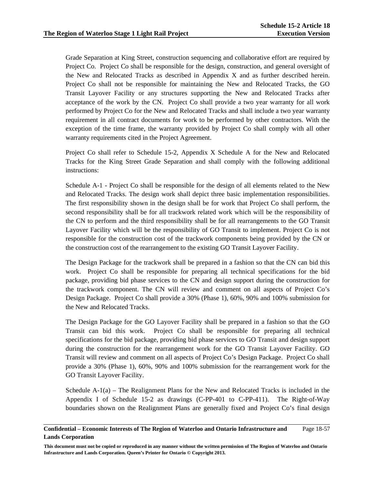Grade Separation at King Street, construction sequencing and collaborative effort are required by Project Co. Project Co shall be responsible for the design, construction, and general oversight of the New and Relocated Tracks as described in Appendix X and as further described herein. Project Co shall not be responsible for maintaining the New and Relocated Tracks, the GO Transit Layover Facility or any structures supporting the New and Relocated Tracks after acceptance of the work by the CN. Project Co shall provide a two year warranty for all work performed by Project Co for the New and Relocated Tracks and shall include a two year warranty requirement in all contract documents for work to be performed by other contractors. With the exception of the time frame, the warranty provided by Project Co shall comply with all other warranty requirements cited in the Project Agreement.

Project Co shall refer to Schedule 15-2, Appendix X Schedule A for the New and Relocated Tracks for the King Street Grade Separation and shall comply with the following additional instructions:

Schedule A-1 - Project Co shall be responsible for the design of all elements related to the New and Relocated Tracks. The design work shall depict three basic implementation responsibilities. The first responsibility shown in the design shall be for work that Project Co shall perform, the second responsibility shall be for all trackwork related work which will be the responsibility of the CN to perform and the third responsibility shall be for all rearrangements to the GO Transit Layover Facility which will be the responsibility of GO Transit to implement. Project Co is not responsible for the construction cost of the trackwork components being provided by the CN or the construction cost of the rearrangement to the existing GO Transit Layover Facility.

The Design Package for the trackwork shall be prepared in a fashion so that the CN can bid this work. Project Co shall be responsible for preparing all technical specifications for the bid package, providing bid phase services to the CN and design support during the construction for the trackwork component. The CN will review and comment on all aspects of Project Co's Design Package. Project Co shall provide a 30% (Phase 1), 60%, 90% and 100% submission for the New and Relocated Tracks.

The Design Package for the GO Layover Facility shall be prepared in a fashion so that the GO Transit can bid this work. Project Co shall be responsible for preparing all technical specifications for the bid package, providing bid phase services to GO Transit and design support during the construction for the rearrangement work for the GO Transit Layover Facility. GO Transit will review and comment on all aspects of Project Co's Design Package. Project Co shall provide a 30% (Phase 1), 60%, 90% and 100% submission for the rearrangement work for the GO Transit Layover Facility.

Schedule  $A-1(a)$  – The Realignment Plans for the New and Relocated Tracks is included in the Appendix I of Schedule 15-2 as drawings (C-PP-401 to C-PP-411). The Right-of-Way boundaries shown on the Realignment Plans are generally fixed and Project Co's final design

#### **Confidential – Economic Interests of The Region of Waterloo and Ontario Infrastructure and Lands Corporation**  Page 18-57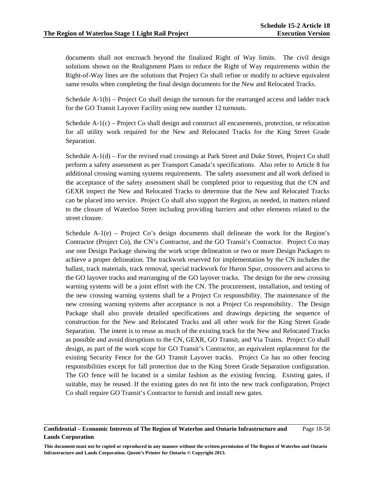documents shall not encroach beyond the finalized Right of Way limits. The civil design solutions shown on the Realignment Plans to reduce the Right of Way requirements within the Right-of-Way lines are the solutions that Project Co shall refine or modify to achieve equivalent same results when completing the final design documents for the New and Relocated Tracks.

Schedule A-1(b) – Project Co shall design the turnouts for the rearranged access and ladder track for the GO Transit Layover Facility using new number 12 turnouts.

Schedule A-1(c) – Project Co shall design and construct all encasements, protection, or relocation for all utility work required for the New and Relocated Tracks for the King Street Grade Separation.

Schedule A-1(d) – For the revised road crossings at Park Street and Duke Street, Project Co shall perform a safety assessment as per Transport Canada's specifications. Also refer to Article 8 for additional crossing warning systems requirements. The safety assessment and all work defined in the acceptance of the safety assessment shall be completed prior to requesting that the CN and GEXR inspect the New and Relocated Tracks to determine that the New and Relocated Tracks can be placed into service. Project Co shall also support the Region, as needed, in matters related to the closure of Waterloo Street including providing barriers and other elements related to the street closure.

Schedule  $A-1(e)$  – Project Co's design documents shall delineate the work for the Region's Contractor (Project Co), the CN's Contractor, and the GO Transit's Contractor. Project Co may use one Design Package showing the work scope delineation or two or more Design Packages to achieve a proper delineation. The trackwork reserved for implementation by the CN includes the ballast, track materials, track removal, special trackwork for Huron Spur, crossovers and access to the GO layover tracks and rearranging of the GO layover tracks. The design for the new crossing warning systems will be a joint effort with the CN. The procurement, installation, and testing of the new crossing warning systems shall be a Project Co responsibility. The maintenance of the new crossing warning systems after acceptance is not a Project Co responsibility. The Design Package shall also provide detailed specifications and drawings depicting the sequence of construction for the New and Relocated Tracks and all other work for the King Street Grade Separation. The intent is to reuse as much of the existing track for the New and Relocated Tracks as possible and avoid disruptions to the CN, GEXR, GO Transit, and Via Trains. Project Co shall design, as part of the work scope for GO Transit's Contractor, an equivalent replacement for the existing Security Fence for the GO Transit Layover tracks. Project Co has no other fencing responsibilities except for fall protection due to the King Street Grade Separation configuration. The GO fence will be located in a similar fashion as the existing fencing. Existing gates, if suitable, may be reused. If the existing gates do not fit into the new track configuration, Project Co shall require GO Transit's Contractor to furnish and install new gates.

#### **Confidential – Economic Interests of The Region of Waterloo and Ontario Infrastructure and Lands Corporation**  Page 18-58

**This document must not be copied or reproduced in any manner without the written permission of The Region of Waterloo and Ontario Infrastructure and Lands Corporation. Queen's Printer for Ontario © Copyright 2013.**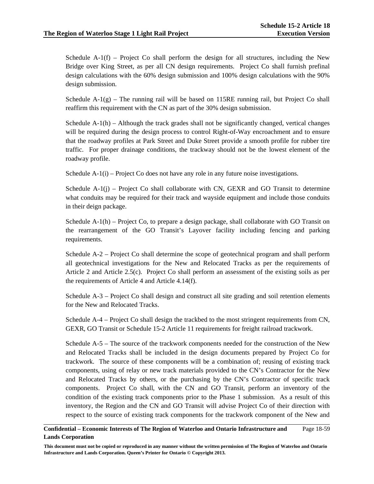Schedule  $A-1(f)$  – Project Co shall perform the design for all structures, including the New Bridge over King Street, as per all CN design requirements. Project Co shall furnish prefinal design calculations with the 60% design submission and 100% design calculations with the 90% design submission.

Schedule A-1(g) – The running rail will be based on 115RE running rail, but Project Co shall reaffirm this requirement with the CN as part of the 30% design submission.

Schedule  $A-1(h)$  – Although the track grades shall not be significantly changed, vertical changes will be required during the design process to control Right-of-Way encroachment and to ensure that the roadway profiles at Park Street and Duke Street provide a smooth profile for rubber tire traffic. For proper drainage conditions, the trackway should not be the lowest element of the roadway profile.

Schedule  $A-1(i)$  – Project Co does not have any role in any future noise investigations.

Schedule  $A-1(j)$  – Project Co shall collaborate with CN, GEXR and GO Transit to determine what conduits may be required for their track and wayside equipment and include those conduits in their deign package.

Schedule A-1(h) – Project Co, to prepare a design package, shall collaborate with GO Transit on the rearrangement of the GO Transit's Layover facility including fencing and parking requirements.

Schedule A-2 – Project Co shall determine the scope of geotechnical program and shall perform all geotechnical investigations for the New and Relocated Tracks as per the requirements of Article 2 and Article 2.5(c). Project Co shall perform an assessment of the existing soils as per the requirements of Article 4 and Article 4.14(f).

Schedule A-3 – Project Co shall design and construct all site grading and soil retention elements for the New and Relocated Tracks.

Schedule A-4 – Project Co shall design the trackbed to the most stringent requirements from CN, GEXR, GO Transit or Schedule 15-2 Article 11 requirements for freight railroad trackwork.

Schedule A-5 – The source of the trackwork components needed for the construction of the New and Relocated Tracks shall be included in the design documents prepared by Project Co for trackwork. The source of these components will be a combination of; reusing of existing track components, using of relay or new track materials provided to the CN's Contractor for the New and Relocated Tracks by others, or the purchasing by the CN's Contractor of specific track components. Project Co shall, with the CN and GO Transit, perform an inventory of the condition of the existing track components prior to the Phase 1 submission. As a result of this inventory, the Region and the CN and GO Transit will advise Project Co of their direction with respect to the source of existing track components for the trackwork component of the New and

#### **Confidential – Economic Interests of The Region of Waterloo and Ontario Infrastructure and Lands Corporation**  Page 18-59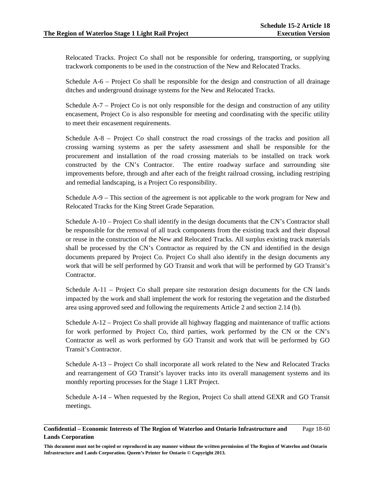Relocated Tracks. Project Co shall not be responsible for ordering, transporting, or supplying trackwork components to be used in the construction of the New and Relocated Tracks.

Schedule A-6 – Project Co shall be responsible for the design and construction of all drainage ditches and underground drainage systems for the New and Relocated Tracks.

Schedule A-7 – Project Co is not only responsible for the design and construction of any utility encasement, Project Co is also responsible for meeting and coordinating with the specific utility to meet their encasement requirements.

Schedule A-8 – Project Co shall construct the road crossings of the tracks and position all crossing warning systems as per the safety assessment and shall be responsible for the procurement and installation of the road crossing materials to be installed on track work constructed by the CN's Contractor. The entire roadway surface and surrounding site improvements before, through and after each of the freight railroad crossing, including restriping and remedial landscaping, is a Project Co responsibility.

Schedule A-9 – This section of the agreement is not applicable to the work program for New and Relocated Tracks for the King Street Grade Separation.

Schedule A-10 – Project Co shall identify in the design documents that the CN's Contractor shall be responsible for the removal of all track components from the existing track and their disposal or reuse in the construction of the New and Relocated Tracks. All surplus existing track materials shall be processed by the CN's Contractor as required by the CN and identified in the design documents prepared by Project Co. Project Co shall also identify in the design documents any work that will be self performed by GO Transit and work that will be performed by GO Transit's **Contractor** 

Schedule A-11 – Project Co shall prepare site restoration design documents for the CN lands impacted by the work and shall implement the work for restoring the vegetation and the disturbed area using approved seed and following the requirements Article 2 and section 2.14 (b).

Schedule A-12 – Project Co shall provide all highway flagging and maintenance of traffic actions for work performed by Project Co, third parties, work performed by the CN or the CN's Contractor as well as work performed by GO Transit and work that will be performed by GO Transit's Contractor.

Schedule A-13 – Project Co shall incorporate all work related to the New and Relocated Tracks and rearrangement of GO Transit's layover tracks into its overall management systems and its monthly reporting processes for the Stage 1 LRT Project.

Schedule A-14 – When requested by the Region, Project Co shall attend GEXR and GO Transit meetings.

#### **Confidential – Economic Interests of The Region of Waterloo and Ontario Infrastructure and Lands Corporation**  Page 18-60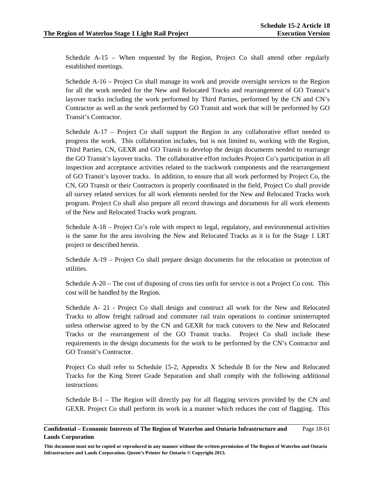Schedule A-15 – When requested by the Region, Project Co shall attend other regularly established meetings.

Schedule A-16 – Project Co shall manage its work and provide oversight services to the Region for all the work needed for the New and Relocated Tracks and rearrangement of GO Transit's layover tracks including the work performed by Third Parties, performed by the CN and CN's Contractor as well as the work performed by GO Transit and work that will be performed by GO Transit's Contractor.

Schedule A-17 – Project Co shall support the Region in any collaborative effort needed to progress the work. This collaboration includes, but is not limited to, working with the Region, Third Parties, CN, GEXR and GO Transit to develop the design documents needed to rearrange the GO Transit's layover tracks. The collaborative effort includes Project Co's participation in all inspection and acceptance activities related to the trackwork components and the rearrangement of GO Transit's layover tracks. In addition, to ensure that all work performed by Project Co, the CN, GO Transit or their Contractors is properly coordinated in the field, Project Co shall provide all survey related services for all work elements needed for the New and Relocated Tracks work program. Project Co shall also prepare all record drawings and documents for all work elements of the New and Relocated Tracks work program.

Schedule A-18 – Project Co's role with respect to legal, regulatory, and environmental activities is the same for the area involving the New and Relocated Tracks as it is for the Stage 1 LRT project or described herein.

Schedule A-19 – Project Co shall prepare design documents for the relocation or protection of utilities.

Schedule A-20 – The cost of disposing of cross ties unfit for service is not a Project Co cost. This cost will be handled by the Region.

Schedule A- 21 - Project Co shall design and construct all work for the New and Relocated Tracks to allow freight railroad and commuter rail train operations to continue uninterrupted unless otherwise agreed to by the CN and GEXR for track cutovers to the New and Relocated Tracks or the rearrangement of the GO Transit tracks. Project Co shall include these requirements in the design documents for the work to be performed by the CN's Contractor and GO Transit's Contractor.

Project Co shall refer to Schedule 15-2, Appendix X Schedule B for the New and Relocated Tracks for the King Street Grade Separation and shall comply with the following additional instructions:

Schedule B-1 – The Region will directly pay for all flagging services provided by the CN and GEXR. Project Co shall perform its work in a manner which reduces the cost of flagging. This

#### **Confidential – Economic Interests of The Region of Waterloo and Ontario Infrastructure and Lands Corporation**  Page 18-61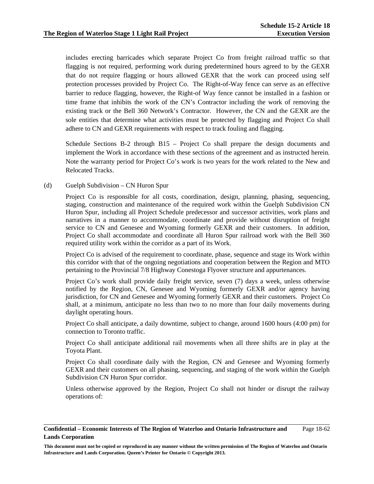includes erecting barricades which separate Project Co from freight railroad traffic so that flagging is not required, performing work during predetermined hours agreed to by the GEXR that do not require flagging or hours allowed GEXR that the work can proceed using self protection processes provided by Project Co. The Right-of-Way fence can serve as an effective barrier to reduce flagging, however, the Right-of Way fence cannot be installed in a fashion or time frame that inhibits the work of the CN's Contractor including the work of removing the existing track or the Bell 360 Network's Contractor. However, the CN and the GEXR are the sole entities that determine what activities must be protected by flagging and Project Co shall adhere to CN and GEXR requirements with respect to track fouling and flagging.

Schedule Sections B-2 through B15 – Project Co shall prepare the design documents and implement the Work in accordance with these sections of the agreement and as instructed herein. Note the warranty period for Project Co's work is two years for the work related to the New and Relocated Tracks.

### (d) Guelph Subdivision – CN Huron Spur

 Project Co is responsible for all costs, coordination, design, planning, phasing, sequencing, staging, construction and maintenance of the required work within the Guelph Subdivision CN Huron Spur, including all Project Schedule predecessor and successor activities, work plans and narratives in a manner to accommodate, coordinate and provide without disruption of freight service to CN and Genesee and Wyoming formerly GEXR and their customers. In addition, Project Co shall accommodate and coordinate all Huron Spur railroad work with the Bell 360 required utility work within the corridor as a part of its Work.

Project Co is advised of the requirement to coordinate, phase, sequence and stage its Work within this corridor with that of the ongoing negotiations and cooperation between the Region and MTO pertaining to the Provincial 7/8 Highway Conestoga Flyover structure and appurtenances.

Project Co's work shall provide daily freight service, seven (7) days a week, unless otherwise notified by the Region, CN, Genesee and Wyoming formerly GEXR and/or agency having jurisdiction, for CN and Genesee and Wyoming formerly GEXR and their customers. Project Co shall, at a minimum, anticipate no less than two to no more than four daily movements during daylight operating hours.

Project Co shall anticipate, a daily downtime, subject to change, around 1600 hours (4:00 pm) for connection to Toronto traffic.

Project Co shall anticipate additional rail movements when all three shifts are in play at the Toyota Plant.

Project Co shall coordinate daily with the Region, CN and Genesee and Wyoming formerly GEXR and their customers on all phasing, sequencing, and staging of the work within the Guelph Subdivision CN Huron Spur corridor.

Unless otherwise approved by the Region, Project Co shall not hinder or disrupt the railway operations of:

#### **Confidential – Economic Interests of The Region of Waterloo and Ontario Infrastructure and Lands Corporation**  Page 18-62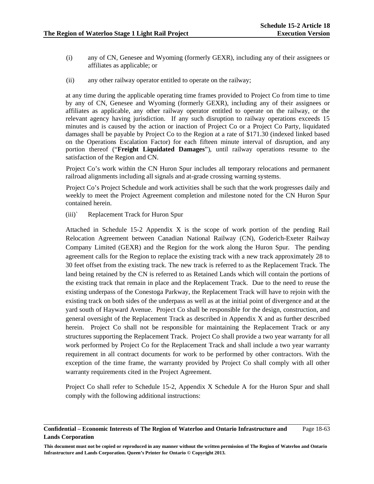- (i) any of CN, Genesee and Wyoming (formerly GEXR), including any of their assignees or affiliates as applicable; or
- (ii) any other railway operator entitled to operate on the railway;

at any time during the applicable operating time frames provided to Project Co from time to time by any of CN, Genesee and Wyoming (formerly GEXR), including any of their assignees or affiliates as applicable, any other railway operator entitled to operate on the railway, or the relevant agency having jurisdiction. If any such disruption to railway operations exceeds 15 minutes and is caused by the action or inaction of Project Co or a Project Co Party, liquidated damages shall be payable by Project Co to the Region at a rate of \$171.30 (indexed linked based on the Operations Escalation Factor) for each fifteen minute interval of disruption, and any portion thereof ("**Freight Liquidated Damages**"), until railway operations resume to the satisfaction of the Region and CN.

Project Co's work within the CN Huron Spur includes all temporary relocations and permanent railroad alignments including all signals and at-grade crossing warning systems.

Project Co's Project Schedule and work activities shall be such that the work progresses daily and weekly to meet the Project Agreement completion and milestone noted for the CN Huron Spur contained herein.

(iii)` Replacement Track for Huron Spur

Attached in Schedule 15-2 Appendix X is the scope of work portion of the pending Rail Relocation Agreement between Canadian National Railway (CN), Goderich-Exeter Railway Company Limited (GEXR) and the Region for the work along the Huron Spur. The pending agreement calls for the Region to replace the existing track with a new track approximately 28 to 30 feet offset from the existing track. The new track is referred to as the Replacement Track. The land being retained by the CN is referred to as Retained Lands which will contain the portions of the existing track that remain in place and the Replacement Track. Due to the need to reuse the existing underpass of the Conestoga Parkway, the Replacement Track will have to rejoin with the existing track on both sides of the underpass as well as at the initial point of divergence and at the yard south of Hayward Avenue. Project Co shall be responsible for the design, construction, and general oversight of the Replacement Track as described in Appendix X and as further described herein. Project Co shall not be responsible for maintaining the Replacement Track or any structures supporting the Replacement Track. Project Co shall provide a two year warranty for all work performed by Project Co for the Replacement Track and shall include a two year warranty requirement in all contract documents for work to be performed by other contractors. With the exception of the time frame, the warranty provided by Project Co shall comply with all other warranty requirements cited in the Project Agreement.

Project Co shall refer to Schedule 15-2, Appendix X Schedule A for the Huron Spur and shall comply with the following additional instructions:

#### **Confidential – Economic Interests of The Region of Waterloo and Ontario Infrastructure and Lands Corporation**  Page 18-63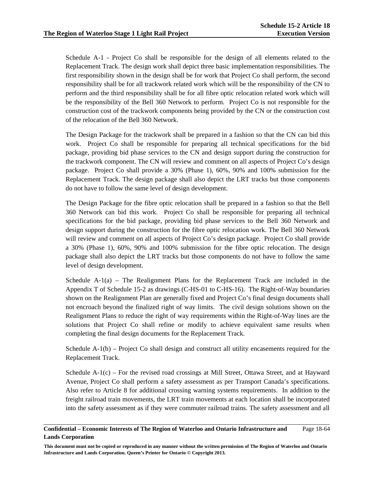Schedule A-1 - Project Co shall be responsible for the design of all elements related to the Replacement Track. The design work shall depict three basic implementation responsibilities. The first responsibility shown in the design shall be for work that Project Co shall perform, the second responsibility shall be for all trackwork related work which will be the responsibility of the CN to perform and the third responsibility shall be for all fibre optic relocation related work which will be the responsibility of the Bell 360 Network to perform. Project Co is not responsible for the construction cost of the trackwork components being provided by the CN or the construction cost of the relocation of the Bell 360 Network.

The Design Package for the trackwork shall be prepared in a fashion so that the CN can bid this work. Project Co shall be responsible for preparing all technical specifications for the bid package, providing bid phase services to the CN and design support during the construction for the trackwork component. The CN will review and comment on all aspects of Project Co's design package. Project Co shall provide a 30% (Phase 1), 60%, 90% and 100% submission for the Replacement Track. The design package shall also depict the LRT tracks but those components do not have to follow the same level of design development.

The Design Package for the fibre optic relocation shall be prepared in a fashion so that the Bell 360 Network can bid this work. Project Co shall be responsible for preparing all technical specifications for the bid package, providing bid phase services to the Bell 360 Network and design support during the construction for the fibre optic relocation work. The Bell 360 Network will review and comment on all aspects of Project Co's design package. Project Co shall provide a 30% (Phase 1), 60%, 90% and 100% submission for the fibre optic relocation. The design package shall also depict the LRT tracks but those components do not have to follow the same level of design development.

Schedule  $A-1(a)$  – The Realignment Plans for the Replacement Track are included in the Appendix T of Schedule 15-2 as drawings (C-HS-01 to C-HS-16). The Right-of-Way boundaries shown on the Realignment Plan are generally fixed and Project Co's final design documents shall not encroach beyond the finalized right of way limits. The civil design solutions shown on the Realignment Plans to reduce the right of way requirements within the Right-of-Way lines are the solutions that Project Co shall refine or modify to achieve equivalent same results when completing the final design documents for the Replacement Track.

Schedule A-1(b) – Project Co shall design and construct all utility encasements required for the Replacement Track.

Schedule A-1(c) – For the revised road crossings at Mill Street, Ottawa Street, and at Hayward Avenue, Project Co shall perform a safety assessment as per Transport Canada's specifications. Also refer to Article 8 for additional crossing warning systems requirements. In addition to the freight railroad train movements, the LRT train movements at each location shall be incorporated into the safety assessment as if they were commuter railroad trains. The safety assessment and all

#### **Confidential – Economic Interests of The Region of Waterloo and Ontario Infrastructure and Lands Corporation**  Page 18-64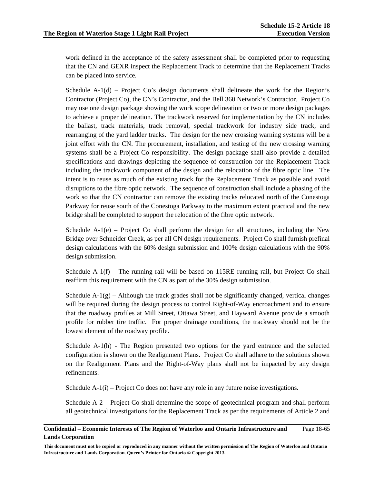work defined in the acceptance of the safety assessment shall be completed prior to requesting that the CN and GEXR inspect the Replacement Track to determine that the Replacement Tracks can be placed into service.

Schedule  $A-1(d)$  – Project Co's design documents shall delineate the work for the Region's Contractor (Project Co), the CN's Contractor, and the Bell 360 Network's Contractor. Project Co may use one design package showing the work scope delineation or two or more design packages to achieve a proper delineation. The trackwork reserved for implementation by the CN includes the ballast, track materials, track removal, special trackwork for industry side track, and rearranging of the yard ladder tracks. The design for the new crossing warning systems will be a joint effort with the CN. The procurement, installation, and testing of the new crossing warning systems shall be a Project Co responsibility. The design package shall also provide a detailed specifications and drawings depicting the sequence of construction for the Replacement Track including the trackwork component of the design and the relocation of the fibre optic line. The intent is to reuse as much of the existing track for the Replacement Track as possible and avoid disruptions to the fibre optic network. The sequence of construction shall include a phasing of the work so that the CN contractor can remove the existing tracks relocated north of the Conestoga Parkway for reuse south of the Conestoga Parkway to the maximum extent practical and the new bridge shall be completed to support the relocation of the fibre optic network.

Schedule  $A-1(e)$  – Project Co shall perform the design for all structures, including the New Bridge over Schneider Creek, as per all CN design requirements. Project Co shall furnish prefinal design calculations with the 60% design submission and 100% design calculations with the 90% design submission.

Schedule  $A-1(f)$  – The running rail will be based on 115RE running rail, but Project Co shall reaffirm this requirement with the CN as part of the 30% design submission.

Schedule  $A-1(g)$  – Although the track grades shall not be significantly changed, vertical changes will be required during the design process to control Right-of-Way encroachment and to ensure that the roadway profiles at Mill Street, Ottawa Street, and Hayward Avenue provide a smooth profile for rubber tire traffic. For proper drainage conditions, the trackway should not be the lowest element of the roadway profile.

Schedule A-1(h) - The Region presented two options for the yard entrance and the selected configuration is shown on the Realignment Plans. Project Co shall adhere to the solutions shown on the Realignment Plans and the Right-of-Way plans shall not be impacted by any design refinements.

Schedule  $A-1(i)$  – Project Co does not have any role in any future noise investigations.

Schedule A-2 – Project Co shall determine the scope of geotechnical program and shall perform all geotechnical investigations for the Replacement Track as per the requirements of Article 2 and

#### **Confidential – Economic Interests of The Region of Waterloo and Ontario Infrastructure and Lands Corporation**  Page 18-65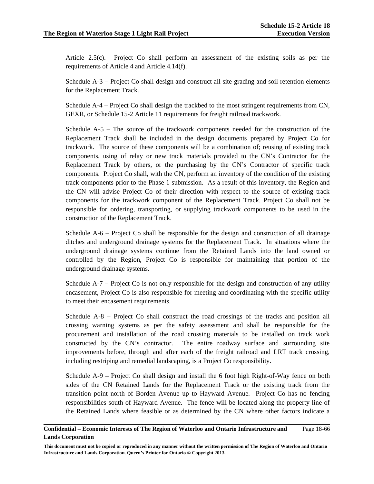Article 2.5(c). Project Co shall perform an assessment of the existing soils as per the requirements of Article 4 and Article 4.14(f).

Schedule A-3 – Project Co shall design and construct all site grading and soil retention elements for the Replacement Track.

Schedule A-4 – Project Co shall design the trackbed to the most stringent requirements from CN, GEXR, or Schedule 15-2 Article 11 requirements for freight railroad trackwork.

Schedule A-5 – The source of the trackwork components needed for the construction of the Replacement Track shall be included in the design documents prepared by Project Co for trackwork. The source of these components will be a combination of; reusing of existing track components, using of relay or new track materials provided to the CN's Contractor for the Replacement Track by others, or the purchasing by the CN's Contractor of specific track components. Project Co shall, with the CN, perform an inventory of the condition of the existing track components prior to the Phase 1 submission. As a result of this inventory, the Region and the CN will advise Project Co of their direction with respect to the source of existing track components for the trackwork component of the Replacement Track. Project Co shall not be responsible for ordering, transporting, or supplying trackwork components to be used in the construction of the Replacement Track.

Schedule A-6 – Project Co shall be responsible for the design and construction of all drainage ditches and underground drainage systems for the Replacement Track. In situations where the underground drainage systems continue from the Retained Lands into the land owned or controlled by the Region, Project Co is responsible for maintaining that portion of the underground drainage systems.

Schedule A-7 – Project Co is not only responsible for the design and construction of any utility encasement, Project Co is also responsible for meeting and coordinating with the specific utility to meet their encasement requirements.

Schedule A-8 – Project Co shall construct the road crossings of the tracks and position all crossing warning systems as per the safety assessment and shall be responsible for the procurement and installation of the road crossing materials to be installed on track work constructed by the CN's contractor. The entire roadway surface and surrounding site improvements before, through and after each of the freight railroad and LRT track crossing, including restriping and remedial landscaping, is a Project Co responsibility.

Schedule A-9 – Project Co shall design and install the 6 foot high Right-of-Way fence on both sides of the CN Retained Lands for the Replacement Track or the existing track from the transition point north of Borden Avenue up to Hayward Avenue. Project Co has no fencing responsibilities south of Hayward Avenue. The fence will be located along the property line of the Retained Lands where feasible or as determined by the CN where other factors indicate a

#### **Confidential – Economic Interests of The Region of Waterloo and Ontario Infrastructure and Lands Corporation**  Page 18-66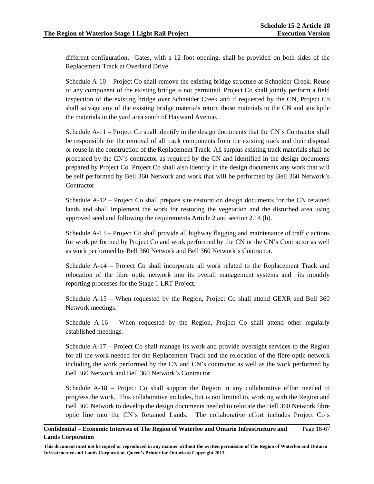different configuration. Gates, with a 12 foot opening, shall be provided on both sides of the Replacement Track at Overland Drive.

Schedule A-10 – Project Co shall remove the existing bridge structure at Schneider Creek. Reuse of any component of the existing bridge is not permitted. Project Co shall jointly perform a field inspection of the existing bridge over Schneider Creek and if requested by the CN, Project Co shall salvage any of the existing bridge materials return those materials to the CN and stockpile the materials in the yard area south of Hayward Avenue.

Schedule A-11 – Project Co shall identify in the design documents that the CN's Contractor shall be responsible for the removal of all track components from the existing track and their disposal or reuse in the construction of the Replacement Track. All surplus existing track materials shall be processed by the CN's contractor as required by the CN and identified in the design documents prepared by Project Co. Project Co shall also identify in the design documents any work that will be self performed by Bell 360 Network and work that will be performed by Bell 360 Network's Contractor.

Schedule A-12 – Project Co shall prepare site restoration design documents for the CN retained lands and shall implement the work for restoring the vegetation and the disturbed area using approved seed and following the requirements Article 2 and section 2.14 (b).

Schedule A-13 – Project Co shall provide all highway flagging and maintenance of traffic actions for work performed by Project Co and work performed by the CN or the CN's Contractor as well as work performed by Bell 360 Network and Bell 360 Network's Contractor.

Schedule A-14 – Project Co shall incorporate all work related to the Replacement Track and relocation of the fibre optic network into its overall management systems and its monthly reporting processes for the Stage 1 LRT Project.

Schedule A-15 – When requested by the Region, Project Co shall attend GEXR and Bell 360 Network meetings.

Schedule A-16 – When requested by the Region, Project Co shall attend other regularly established meetings.

Schedule A-17 – Project Co shall manage its work and provide oversight services to the Region for all the work needed for the Replacement Track and the relocation of the fibre optic network including the work performed by the CN and CN's contractor as well as the work performed by Bell 360 Network and Bell 360 Network's Contractor.

Schedule A-18 – Project Co shall support the Region in any collaborative effort needed to progress the work. This collaborative includes, but is not limited to, working with the Region and Bell 360 Network to develop the design documents needed to relocate the Bell 360 Network fibre optic line into the CN's Retained Lands. The collaborative effort includes Project Co's

#### **Confidential – Economic Interests of The Region of Waterloo and Ontario Infrastructure and Lands Corporation**  Page 18-67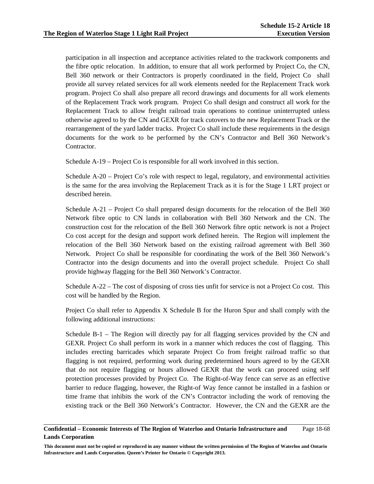participation in all inspection and acceptance activities related to the trackwork components and the fibre optic relocation. In addition, to ensure that all work performed by Project Co, the CN, Bell 360 network or their Contractors is properly coordinated in the field, Project Co shall provide all survey related services for all work elements needed for the Replacement Track work program. Project Co shall also prepare all record drawings and documents for all work elements of the Replacement Track work program. Project Co shall design and construct all work for the Replacement Track to allow freight railroad train operations to continue uninterrupted unless otherwise agreed to by the CN and GEXR for track cutovers to the new Replacement Track or the rearrangement of the yard ladder tracks. Project Co shall include these requirements in the design documents for the work to be performed by the CN's Contractor and Bell 360 Network's Contractor.

Schedule A-19 – Project Co is responsible for all work involved in this section.

Schedule A-20 – Project Co's role with respect to legal, regulatory, and environmental activities is the same for the area involving the Replacement Track as it is for the Stage 1 LRT project or described herein.

Schedule A-21 – Project Co shall prepared design documents for the relocation of the Bell 360 Network fibre optic to CN lands in collaboration with Bell 360 Network and the CN. The construction cost for the relocation of the Bell 360 Network fibre optic network is not a Project Co cost accept for the design and support work defined herein. The Region will implement the relocation of the Bell 360 Network based on the existing railroad agreement with Bell 360 Network. Project Co shall be responsible for coordinating the work of the Bell 360 Network's Contractor into the design documents and into the overall project schedule. Project Co shall provide highway flagging for the Bell 360 Network's Contractor.

Schedule A-22 – The cost of disposing of cross ties unfit for service is not a Project Co cost. This cost will be handled by the Region.

Project Co shall refer to Appendix X Schedule B for the Huron Spur and shall comply with the following additional instructions:

Schedule B-1 – The Region will directly pay for all flagging services provided by the CN and GEXR. Project Co shall perform its work in a manner which reduces the cost of flagging. This includes erecting barricades which separate Project Co from freight railroad traffic so that flagging is not required, performing work during predetermined hours agreed to by the GEXR that do not require flagging or hours allowed GEXR that the work can proceed using self protection processes provided by Project Co. The Right-of-Way fence can serve as an effective barrier to reduce flagging, however, the Right-of Way fence cannot be installed in a fashion or time frame that inhibits the work of the CN's Contractor including the work of removing the existing track or the Bell 360 Network's Contractor. However, the CN and the GEXR are the

#### **Confidential – Economic Interests of The Region of Waterloo and Ontario Infrastructure and Lands Corporation**  Page 18-68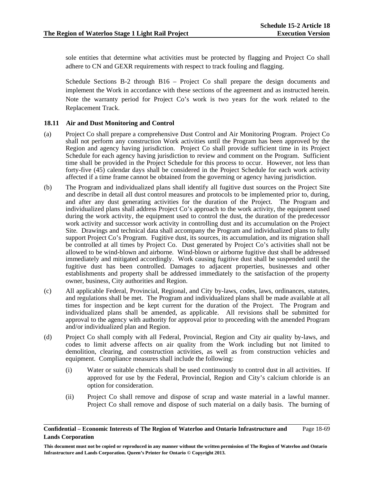sole entities that determine what activities must be protected by flagging and Project Co shall adhere to CN and GEXR requirements with respect to track fouling and flagging.

Schedule Sections B-2 through B16 – Project Co shall prepare the design documents and implement the Work in accordance with these sections of the agreement and as instructed herein. Note the warranty period for Project Co's work is two years for the work related to the Replacement Track.

### **18.11 Air and Dust Monitoring and Control**

- (a) Project Co shall prepare a comprehensive Dust Control and Air Monitoring Program. Project Co shall not perform any construction Work activities until the Program has been approved by the Region and agency having jurisdiction. Project Co shall provide sufficient time in its Project Schedule for each agency having jurisdiction to review and comment on the Program. Sufficient time shall be provided in the Project Schedule for this process to occur. However, not less than forty-five (45) calendar days shall be considered in the Project Schedule for each work activity affected if a time frame cannot be obtained from the governing or agency having jurisdiction.
- (b) The Program and individualized plans shall identify all fugitive dust sources on the Project Site and describe in detail all dust control measures and protocols to be implemented prior to, during, and after any dust generating activities for the duration of the Project. The Program and individualized plans shall address Project Co's approach to the work activity, the equipment used during the work activity, the equipment used to control the dust, the duration of the predecessor work activity and successor work activity in controlling dust and its accumulation on the Project Site. Drawings and technical data shall accompany the Program and individualized plans to fully support Project Co's Program. Fugitive dust, its sources, its accumulation, and its migration shall be controlled at all times by Project Co. Dust generated by Project Co's activities shall not be allowed to be wind-blown and airborne. Wind-blown or airborne fugitive dust shall be addressed immediately and mitigated accordingly. Work causing fugitive dust shall be suspended until the fugitive dust has been controlled. Damages to adjacent properties, businesses and other establishments and property shall be addressed immediately to the satisfaction of the property owner, business, City authorities and Region.
- (c) All applicable Federal, Provincial, Regional, and City by-laws, codes, laws, ordinances, statutes, and regulations shall be met. The Program and individualized plans shall be made available at all times for inspection and be kept current for the duration of the Project. The Program and individualized plans shall be amended, as applicable. All revisions shall be submitted for approval to the agency with authority for approval prior to proceeding with the amended Program and/or individualized plan and Region.
- (d) Project Co shall comply with all Federal, Provincial, Region and City air quality by-laws, and codes to limit adverse affects on air quality from the Work including but not limited to demolition, clearing, and construction activities, as well as from construction vehicles and equipment. Compliance measures shall include the following:
	- (i) Water or suitable chemicals shall be used continuously to control dust in all activities. If approved for use by the Federal, Provincial, Region and City's calcium chloride is an option for consideration.
	- (ii) Project Co shall remove and dispose of scrap and waste material in a lawful manner. Project Co shall remove and dispose of such material on a daily basis. The burning of

#### **Confidential – Economic Interests of The Region of Waterloo and Ontario Infrastructure and Lands Corporation**  Page 18-69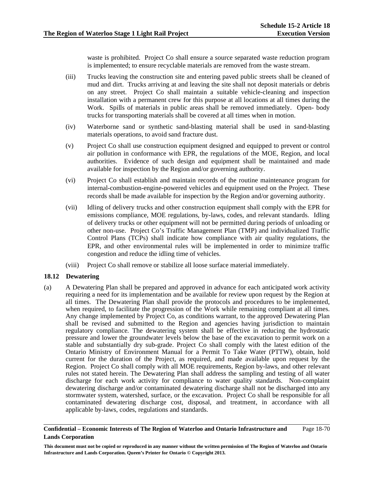waste is prohibited. Project Co shall ensure a source separated waste reduction program is implemented; to ensure recyclable materials are removed from the waste stream.

- (iii) Trucks leaving the construction site and entering paved public streets shall be cleaned of mud and dirt. Trucks arriving at and leaving the site shall not deposit materials or debris on any street. Project Co shall maintain a suitable vehicle-cleaning and inspection installation with a permanent crew for this purpose at all locations at all times during the Work. Spills of materials in public areas shall be removed immediately. Open- body trucks for transporting materials shall be covered at all times when in motion.
- (iv) Waterborne sand or synthetic sand-blasting material shall be used in sand-blasting materials operations, to avoid sand fracture dust.
- (v) Project Co shall use construction equipment designed and equipped to prevent or control air pollution in conformance with EPR, the regulations of the MOE, Region, and local authorities. Evidence of such design and equipment shall be maintained and made available for inspection by the Region and/or governing authority.
- (vi) Project Co shall establish and maintain records of the routine maintenance program for internal-combustion-engine-powered vehicles and equipment used on the Project. These records shall be made available for inspection by the Region and/or governing authority.
- (vii) Idling of delivery trucks and other construction equipment shall comply with the EPR for emissions compliance, MOE regulations, by-laws, codes, and relevant standards. Idling of delivery trucks or other equipment will not be permitted during periods of unloading or other non-use. Project Co's Traffic Management Plan (TMP) and individualized Traffic Control Plans (TCPs) shall indicate how compliance with air quality regulations, the EPR, and other environmental rules will be implemented in order to minimize traffic congestion and reduce the idling time of vehicles.
- (viii) Project Co shall remove or stabilize all loose surface material immediately.

### **18.12 Dewatering**

(a) A Dewatering Plan shall be prepared and approved in advance for each anticipated work activity requiring a need for its implementation and be available for review upon request by the Region at all times. The Dewatering Plan shall provide the protocols and procedures to be implemented, when required, to facilitate the progression of the Work while remaining compliant at all times. Any change implemented by Project Co, as conditions warrant, to the approved Dewatering Plan shall be revised and submitted to the Region and agencies having jurisdiction to maintain regulatory compliance. The dewatering system shall be effective in reducing the hydrostatic pressure and lower the groundwater levels below the base of the excavation to permit work on a stable and substantially dry sub-grade. Project Co shall comply with the latest edition of the Ontario Ministry of Environment Manual for a Permit To Take Water (PTTW), obtain, hold current for the duration of the Project, as required, and made available upon request by the Region. Project Co shall comply with all MOE requirements, Region by-laws, and other relevant rules not stated herein. The Dewatering Plan shall address the sampling and testing of all water discharge for each work activity for compliance to water quality standards. Non-complaint dewatering discharge and/or contaminated dewatering discharge shall not be discharged into any stormwater system, watershed, surface, or the excavation. Project Co shall be responsible for all contaminated dewatering discharge cost, disposal, and treatment, in accordance with all applicable by-laws, codes, regulations and standards.

#### **Confidential – Economic Interests of The Region of Waterloo and Ontario Infrastructure and Lands Corporation**  Page 18-70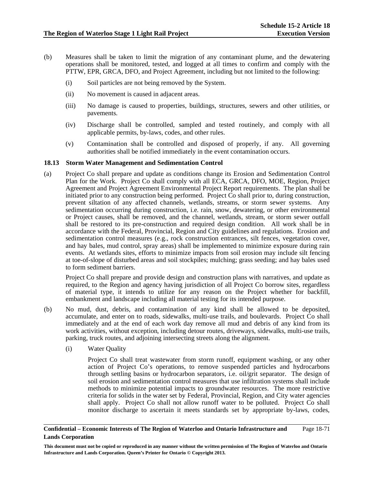- (b) Measures shall be taken to limit the migration of any contaminant plume, and the dewatering operations shall be monitored, tested, and logged at all times to confirm and comply with the PTTW, EPR, GRCA, DFO, and Project Agreement, including but not limited to the following:
	- (i) Soil particles are not being removed by the System.
	- (ii) No movement is caused in adjacent areas.
	- (iii) No damage is caused to properties, buildings, structures, sewers and other utilities, or pavements.
	- (iv) Discharge shall be controlled, sampled and tested routinely, and comply with all applicable permits, by-laws, codes, and other rules.
	- (v) Contamination shall be controlled and disposed of properly, if any. All governing authorities shall be notified immediately in the event contamination occurs.

### **18.13 Storm Water Management and Sedimentation Control**

(a) Project Co shall prepare and update as conditions change its Erosion and Sedimentation Control Plan for the Work. Project Co shall comply with all ECA, GRCA, DFO, MOE, Region, Project Agreement and Project Agreement Environmental Project Report requirements. The plan shall be initiated prior to any construction being performed. Project Co shall prior to, during construction, prevent siltation of any affected channels, wetlands, streams, or storm sewer systems. Any sedimentation occurring during construction, i.e. rain, snow, dewatering, or other environmental or Project causes, shall be removed, and the channel, wetlands, stream, or storm sewer outfall shall be restored to its pre-construction and required design condition. All work shall be in accordance with the Federal, Provincial, Region and City guidelines and regulations. Erosion and sedimentation control measures (e.g., rock construction entrances, silt fences, vegetation cover, and hay bales, mud control, spray areas) shall be implemented to minimize exposure during rain events. At wetlands sites, efforts to minimize impacts from soil erosion may include silt fencing at toe-of-slope of disturbed areas and soil stockpiles; mulching; grass seeding; and hay bales used to form sediment barriers.

 Project Co shall prepare and provide design and construction plans with narratives, and update as required, to the Region and agency having jurisdiction of all Project Co borrow sites, regardless of material type, it intends to utilize for any reason on the Project whether for backfill, embankment and landscape including all material testing for its intended purpose.

- (b) No mud, dust, debris, and contamination of any kind shall be allowed to be deposited, accumulate, and enter on to roads, sidewalks, multi-use trails, and boulevards. Project Co shall immediately and at the end of each work day remove all mud and debris of any kind from its work activities, without exception, including detour routes, driveways, sidewalks, multi-use trails, parking, truck routes, and adjoining intersecting streets along the alignment.
	- (i) Water Quality

 Project Co shall treat wastewater from storm runoff, equipment washing, or any other action of Project Co's operations, to remove suspended particles and hydrocarbons through settling basins or hydrocarbon separators, i.e. oil/grit separator. The design of soil erosion and sedimentation control measures that use infiltration systems shall include methods to minimize potential impacts to groundwater resources. The more restrictive criteria for solids in the water set by Federal, Provincial, Region, and City water agencies shall apply. Project Co shall not allow runoff water to be polluted. Project Co shall monitor discharge to ascertain it meets standards set by appropriate by-laws, codes,

#### **Confidential – Economic Interests of The Region of Waterloo and Ontario Infrastructure and Lands Corporation**  Page 18-71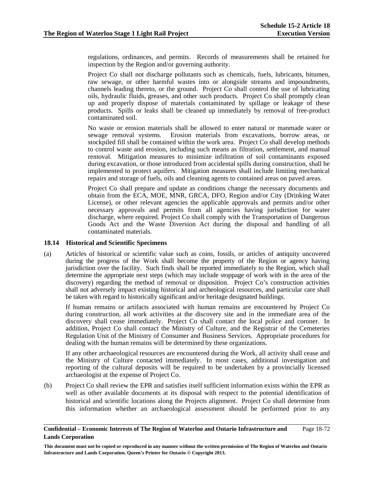regulations, ordinances, and permits. Records of measurements shall be retained for inspection by the Region and/or governing authority.

 Project Co shall not discharge pollutants such as chemicals, fuels, lubricants, bitumen, raw sewage, or other harmful wastes into or alongside streams and impoundments, channels leading thereto, or the ground. Project Co shall control the use of lubricating oils, hydraulic fluids, greases, and other such products. Project Co shall promptly clean up and properly dispose of materials contaminated by spillage or leakage of these products. Spills or leaks shall be cleaned up immediately by removal of free-product contaminated soil.

 No waste or erosion materials shall be allowed to enter natural or manmade water or sewage removal systems. Erosion materials from excavations, borrow areas, or stockpiled fill shall be contained within the work area. Project Co shall develop methods to control waste and erosion, including such means as filtration, settlement, and manual removal. Mitigation measures to minimize infiltration of soil contaminants exposed during excavation, or those introduced from accidental spills during construction, shall be implemented to protect aquifers. Mitigation measures shall include limiting mechanical repairs and storage of fuels, oils and cleaning agents to contained areas on paved areas.

 Project Co shall prepare and update as conditions change the necessary documents and obtain from the ECA, MOE, MNR, GRCA, DFO, Region and/or City (Drinking Water License), or other relevant agencies the applicable approvals and permits and/or other necessary approvals and permits from all agencies having jurisdiction for water discharge, where required. Project Co shall comply with the Transportation of Dangerous Goods Act and the Waste Diversion Act during the disposal and handling of all contaminated materials.

### **18.14 Historical and Scientific Specimens**

(a) Articles of historical or scientific value such as coins, fossils, or articles of antiquity uncovered during the progress of the Work shall become the property of the Region or agency having jurisdiction over the facility. Such finds shall be reported immediately to the Region, which shall determine the appropriate next steps (which may include stoppage of work with in the area of the discovery) regarding the method of removal or disposition. Project Co's construction activities shall not adversely impact existing historical and archeological resources, and particular care shall be taken with regard to historically significant and/or heritage designated buildings.

If human remains or artifacts associated with human remains are encountered by Project Co during construction, all work activities at the discovery site and in the immediate area of the discovery shall cease immediately. Project Co shall contact the local police and coroner. In addition, Project Co shall contact the Ministry of Culture, and the Registrar of the Cemeteries Regulation Unit of the Ministry of Consumer and Business Services. Appropriate procedures for dealing with the human remains will be determined by these organizations.

If any other archaeological resources are encountered during the Work, all activity shall cease and the Ministry of Culture contacted immediately. In most cases, additional investigation and reporting of the cultural deposits will be required to be undertaken by a provincially licensed archaeologist at the expense of Project Co.

(b) Project Co shall review the EPR and satisfies itself sufficient information exists within the EPR as well as other available documents at its disposal with respect to the potential identification of historical and scientific locations along the Projects alignment. Project Co shall determine from this information whether an archaeological assessment should be performed prior to any

#### **Confidential – Economic Interests of The Region of Waterloo and Ontario Infrastructure and Lands Corporation**  Page 18-72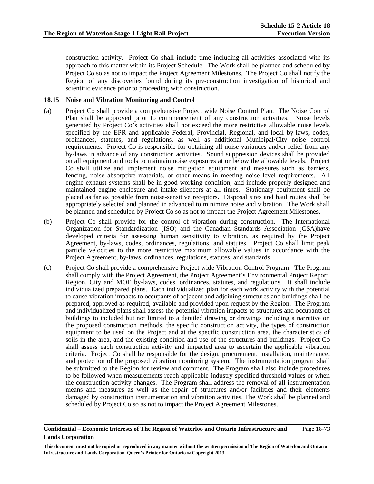construction activity. Project Co shall include time including all activities associated with its approach to this matter within its Project Schedule. The Work shall be planned and scheduled by Project Co so as not to impact the Project Agreement Milestones. The Project Co shall notify the Region of any discoveries found during its pre-construction investigation of historical and scientific evidence prior to proceeding with construction.

## **18.15 Noise and Vibration Monitoring and Control**

- (a) Project Co shall provide a comprehensive Project wide Noise Control Plan. The Noise Control Plan shall be approved prior to commencement of any construction activities. Noise levels generated by Project Co's activities shall not exceed the more restrictive allowable noise levels specified by the EPR and applicable Federal, Provincial, Regional, and local by-laws, codes, ordinances, statutes, and regulations, as well as additional Municipal/City noise control requirements. Project Co is responsible for obtaining all noise variances and/or relief from any by-laws in advance of any construction activities. Sound suppression devices shall be provided on all equipment and tools to maintain noise exposures at or below the allowable levels. Project Co shall utilize and implement noise mitigation equipment and measures such as barriers, fencing, noise absorptive materials, or other means in meeting noise level requirements. All engine exhaust systems shall be in good working condition, and include properly designed and maintained engine enclosure and intake silencers at all times. Stationary equipment shall be placed as far as possible from noise-sensitive receptors. Disposal sites and haul routes shall be appropriately selected and planned in advanced to minimize noise and vibration. The Work shall be planned and scheduled by Project Co so as not to impact the Project Agreement Milestones.
- (b) Project Co shall provide for the control of vibration during construction. The International Organization for Standardization (ISO) and the Canadian Standards Association (CSA)have developed criteria for assessing human sensitivity to vibration, as required by the Project Agreement, by-laws, codes, ordinances, regulations, and statutes. Project Co shall limit peak particle velocities to the more restrictive maximum allowable values in accordance with the Project Agreement, by-laws, ordinances, regulations, statutes, and standards.
- (c) Project Co shall provide a comprehensive Project wide Vibration Control Program. The Program shall comply with the Project Agreement, the Project Agreement's Environmental Project Report, Region, City and MOE by-laws, codes, ordinances, statutes, and regulations. It shall include individualized prepared plans. Each individualized plan for each work activity with the potential to cause vibration impacts to occupants of adjacent and adjoining structures and buildings shall be prepared, approved as required, available and provided upon request by the Region. The Program and individualized plans shall assess the potential vibration impacts to structures and occupants of buildings to included but not limited to a detailed drawing or drawings including a narrative on the proposed construction methods, the specific construction activity, the types of construction equipment to be used on the Project and at the specific construction area, the characteristics of soils in the area, and the existing condition and use of the structures and buildings. Project Co shall assess each construction activity and impacted area to ascertain the applicable vibration criteria. Project Co shall be responsible for the design, procurement, installation, maintenance, and protection of the proposed vibration monitoring system. The instrumentation program shall be submitted to the Region for review and comment. The Program shall also include procedures to be followed when measurements reach applicable industry specified threshold values or when the construction activity changes. The Program shall address the removal of all instrumentation means and measures as well as the repair of structures and/or facilities and their elements damaged by construction instrumentation and vibration activities. The Work shall be planned and scheduled by Project Co so as not to impact the Project Agreement Milestones.

### **Confidential – Economic Interests of The Region of Waterloo and Ontario Infrastructure and Lands Corporation**  Page 18-73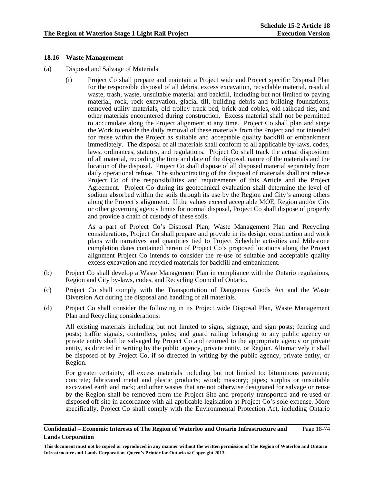## **18.16 Waste Management**

- (a) Disposal and Salvage of Materials
	- (i) Project Co shall prepare and maintain a Project wide and Project specific Disposal Plan for the responsible disposal of all debris, excess excavation, recyclable material, residual waste, trash, waste, unsuitable material and backfill, including but not limited to paving material, rock, rock excavation, glacial till, building debris and building foundations, removed utility materials, old trolley track bed, brick and cobles, old railroad ties, and other materials encountered during construction. Excess material shall not be permitted to accumulate along the Project alignment at any time. Project Co shall plan and stage the Work to enable the daily removal of these materials from the Project and not intended for reuse within the Project as suitable and acceptable quality backfill or embankment immediately. The disposal of all materials shall conform to all applicable by-laws, codes, laws, ordinances, statutes, and regulations. Project Co shall track the actual disposition of all material, recording the time and date of the disposal, nature of the materials and the location of the disposal. Project Co shall dispose of all disposed material separately from daily operational refuse. The subcontracting of the disposal of materials shall not relieve Project Co of the responsibilities and requirements of this Article and the Project Agreement. Project Co during its geotechnical evaluation shall determine the level of sodium absorbed within the soils through its use by the Region and City's among others along the Project's alignment. If the values exceed acceptable MOE, Region and/or City or other governing agency limits for normal disposal, Project Co shall dispose of properly and provide a chain of custody of these soils.

 As a part of Project Co's Disposal Plan, Waste Management Plan and Recycling considerations, Project Co shall prepare and provide in its design, construction and work plans with narratives and quantities tied to Project Schedule activities and Milestone completion dates contained herein of Project Co's proposed locations along the Project alignment Project Co intends to consider the re-use of suitable and acceptable quality excess excavation and recycled materials for backfill and embankment.

- (b) Project Co shall develop a Waste Management Plan in compliance with the Ontario regulations, Region and City by-laws, codes, and Recycling Council of Ontario.
- (c) Project Co shall comply with the Transportation of Dangerous Goods Act and the Waste Diversion Act during the disposal and handling of all materials.
- (d) Project Co shall consider the following in its Project wide Disposal Plan, Waste Management Plan and Recycling considerations:

All existing materials including but not limited to signs, signage, and sign posts; fencing and posts; traffic signals, controllers, poles; and guard railing belonging to any public agency or private entity shall be salvaged by Project Co and returned to the appropriate agency or private entity, as directed in writing by the public agency, private entity, or Region. Alternatively it shall be disposed of by Project Co, if so directed in writing by the public agency, private entity, or Region.

For greater certainty, all excess materials including but not limited to: bituminous pavement; concrete; fabricated metal and plastic products; wood; masonry; pipes; surplus or unsuitable excavated earth and rock; and other wastes that are not otherwise designated for salvage or reuse by the Region shall be removed from the Project Site and properly transported and re-used or disposed off-site in accordance with all applicable legislation at Project Co's sole expense. More specifically, Project Co shall comply with the Environmental Protection Act, including Ontario

### **Confidential – Economic Interests of The Region of Waterloo and Ontario Infrastructure and Lands Corporation**  Page 18-74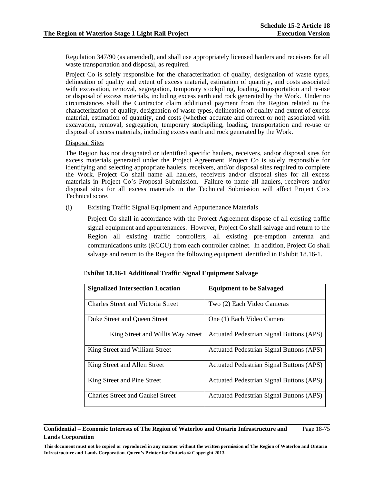Regulation 347/90 (as amended), and shall use appropriately licensed haulers and receivers for all waste transportation and disposal, as required.

Project Co is solely responsible for the characterization of quality, designation of waste types, delineation of quality and extent of excess material, estimation of quantity, and costs associated with excavation, removal, segregation, temporary stockpiling, loading, transportation and re-use or disposal of excess materials, including excess earth and rock generated by the Work. Under no circumstances shall the Contractor claim additional payment from the Region related to the characterization of quality, designation of waste types, delineation of quality and extent of excess material, estimation of quantity, and costs (whether accurate and correct or not) associated with excavation, removal, segregation, temporary stockpiling, loading, transportation and re-use or disposal of excess materials, including excess earth and rock generated by the Work.

## Disposal Sites

The Region has not designated or identified specific haulers, receivers, and/or disposal sites for excess materials generated under the Project Agreement. Project Co is solely responsible for identifying and selecting appropriate haulers, receivers, and/or disposal sites required to complete the Work. Project Co shall name all haulers, receivers and/or disposal sites for all excess materials in Project Co's Proposal Submission. Failure to name all haulers, receivers and/or disposal sites for all excess materials in the Technical Submission will affect Project Co's Technical score.

(i) Existing Traffic Signal Equipment and Appurtenance Materials

Project Co shall in accordance with the Project Agreement dispose of all existing traffic signal equipment and appurtenances. However, Project Co shall salvage and return to the Region all existing traffic controllers, all existing pre-emption antenna and communications units (RCCU) from each controller cabinet. In addition, Project Co shall salvage and return to the Region the following equipment identified in Exhibit 18.16-1.

| <b>Signalized Intersection Location</b>   | <b>Equipment to be Salvaged</b>                 |  |  |
|-------------------------------------------|-------------------------------------------------|--|--|
| <b>Charles Street and Victoria Street</b> | Two (2) Each Video Cameras                      |  |  |
| Duke Street and Queen Street              | One (1) Each Video Camera                       |  |  |
| King Street and Willis Way Street         | <b>Actuated Pedestrian Signal Buttons (APS)</b> |  |  |
| King Street and William Street            | Actuated Pedestrian Signal Buttons (APS)        |  |  |
| King Street and Allen Street              | <b>Actuated Pedestrian Signal Buttons (APS)</b> |  |  |
| King Street and Pine Street               | Actuated Pedestrian Signal Buttons (APS)        |  |  |
| <b>Charles Street and Gaukel Street</b>   | <b>Actuated Pedestrian Signal Buttons (APS)</b> |  |  |

**Confidential – Economic Interests of The Region of Waterloo and Ontario Infrastructure and Lands Corporation**  Page 18-75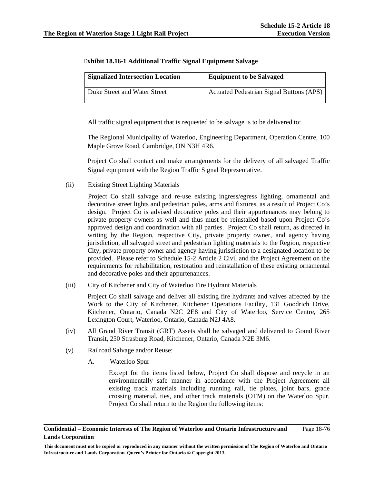| <b>Signalized Intersection Location</b> | <b>Equipment to be Salvaged</b>                 |  |
|-----------------------------------------|-------------------------------------------------|--|
| Duke Street and Water Street            | <b>Actuated Pedestrian Signal Buttons (APS)</b> |  |

| <b>Exhibit 18.16-1 Additional Traffic Signal Equipment Salvage</b> |  |  |  |
|--------------------------------------------------------------------|--|--|--|
|--------------------------------------------------------------------|--|--|--|

All traffic signal equipment that is requested to be salvage is to be delivered to:

The Regional Municipality of Waterloo, Engineering Department, Operation Centre, 100 Maple Grove Road, Cambridge, ON N3H 4R6.

Project Co shall contact and make arrangements for the delivery of all salvaged Traffic Signal equipment with the Region Traffic Signal Representative.

(ii) Existing Street Lighting Materials

Project Co shall salvage and re-use existing ingress/egress lighting, ornamental and decorative street lights and pedestrian poles, arms and fixtures, as a result of Project Co's design. Project Co is advised decorative poles and their appurtenances may belong to private property owners as well and thus must be reinstalled based upon Project Co's approved design and coordination with all parties. Project Co shall return, as directed in writing by the Region, respective City, private property owner, and agency having jurisdiction, all salvaged street and pedestrian lighting materials to the Region, respective City, private property owner and agency having jurisdiction to a designated location to be provided. Please refer to Schedule 15-2 Article 2 Civil and the Project Agreement on the requirements for rehabilitation, restoration and reinstallation of these existing ornamental and decorative poles and their appurtenances.

(iii) City of Kitchener and City of Waterloo Fire Hydrant Materials

Project Co shall salvage and deliver all existing fire hydrants and valves affected by the Work to the City of Kitchener, Kitchener Operations Facility, 131 Goodrich Drive, Kitchener, Ontario, Canada N2C 2E8 and City of Waterloo, Service Centre, 265 Lexington Court, Waterloo, Ontario, Canada N2J 4A8.

- (iv) All Grand River Transit (GRT) Assets shall be salvaged and delivered to Grand River Transit, 250 Strasburg Road, Kitchener, Ontario, Canada N2E 3M6.
- (v) Railroad Salvage and/or Reuse:
	- A. Waterloo Spur

Except for the items listed below, Project Co shall dispose and recycle in an environmentally safe manner in accordance with the Project Agreement all existing track materials including running rail, tie plates, joint bars, grade crossing material, ties, and other track materials (OTM) on the Waterloo Spur. Project Co shall return to the Region the following items:

### **Confidential – Economic Interests of The Region of Waterloo and Ontario Infrastructure and Lands Corporation**  Page 18-76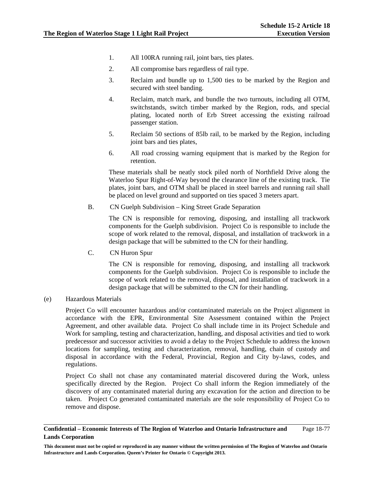- 1. All 100RA running rail, joint bars, ties plates.
- 2. All compromise bars regardless of rail type.
- 3. Reclaim and bundle up to 1,500 ties to be marked by the Region and secured with steel banding.
- 4. Reclaim, match mark, and bundle the two turnouts, including all OTM, switchstands, switch timber marked by the Region, rods, and special plating, located north of Erb Street accessing the existing railroad passenger station.
- 5. Reclaim 50 sections of 85lb rail, to be marked by the Region, including joint bars and ties plates,
- 6. All road crossing warning equipment that is marked by the Region for retention.

These materials shall be neatly stock piled north of Northfield Drive along the Waterloo Spur Right-of-Way beyond the clearance line of the existing track. Tie plates, joint bars, and OTM shall be placed in steel barrels and running rail shall be placed on level ground and supported on ties spaced 3 meters apart.

B. CN Guelph Subdivision – King Street Grade Separation

The CN is responsible for removing, disposing, and installing all trackwork components for the Guelph subdivision. Project Co is responsible to include the scope of work related to the removal, disposal, and installation of trackwork in a design package that will be submitted to the CN for their handling.

C. CN Huron Spur

The CN is responsible for removing, disposing, and installing all trackwork components for the Guelph subdivision. Project Co is responsible to include the scope of work related to the removal, disposal, and installation of trackwork in a design package that will be submitted to the CN for their handling.

# (e) Hazardous Materials

Project Co will encounter hazardous and/or contaminated materials on the Project alignment in accordance with the EPR, Environmental Site Assessment contained within the Project Agreement, and other available data. Project Co shall include time in its Project Schedule and Work for sampling, testing and characterization, handling, and disposal activities and tied to work predecessor and successor activities to avoid a delay to the Project Schedule to address the known locations for sampling, testing and characterization, removal, handling, chain of custody and disposal in accordance with the Federal, Provincial, Region and City by-laws, codes, and regulations.

Project Co shall not chase any contaminated material discovered during the Work, unless specifically directed by the Region. Project Co shall inform the Region immediately of the discovery of any contaminated material during any excavation for the action and direction to be taken. Project Co generated contaminated materials are the sole responsibility of Project Co to remove and dispose.

### **Confidential – Economic Interests of The Region of Waterloo and Ontario Infrastructure and Lands Corporation**  Page 18-77